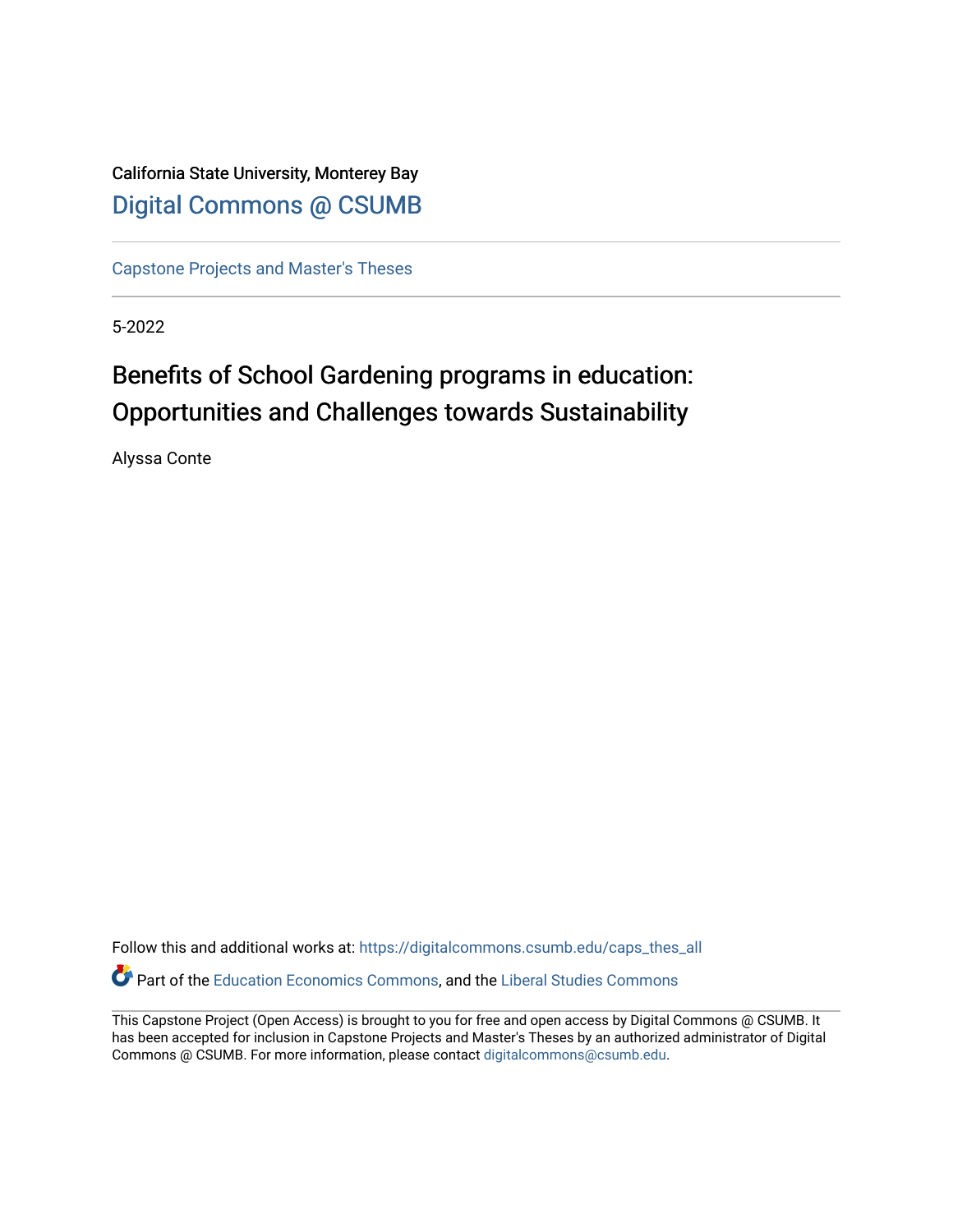California State University, Monterey Bay [Digital Commons @ CSUMB](https://digitalcommons.csumb.edu/)

[Capstone Projects and Master's Theses](https://digitalcommons.csumb.edu/caps_thes_all)

5-2022

# Benefits of School Gardening programs in education: Opportunities and Challenges towards Sustainability

Alyssa Conte

Follow this and additional works at: [https://digitalcommons.csumb.edu/caps\\_thes\\_all](https://digitalcommons.csumb.edu/caps_thes_all?utm_source=digitalcommons.csumb.edu%2Fcaps_thes_all%2F1318&utm_medium=PDF&utm_campaign=PDFCoverPages) Part of the [Education Economics Commons,](https://network.bepress.com/hgg/discipline/1262?utm_source=digitalcommons.csumb.edu%2Fcaps_thes_all%2F1318&utm_medium=PDF&utm_campaign=PDFCoverPages) and the [Liberal Studies Commons](https://network.bepress.com/hgg/discipline/1042?utm_source=digitalcommons.csumb.edu%2Fcaps_thes_all%2F1318&utm_medium=PDF&utm_campaign=PDFCoverPages) 

This Capstone Project (Open Access) is brought to you for free and open access by Digital Commons @ CSUMB. It has been accepted for inclusion in Capstone Projects and Master's Theses by an authorized administrator of Digital Commons @ CSUMB. For more information, please contact [digitalcommons@csumb.edu](mailto:digitalcommons@csumb.edu).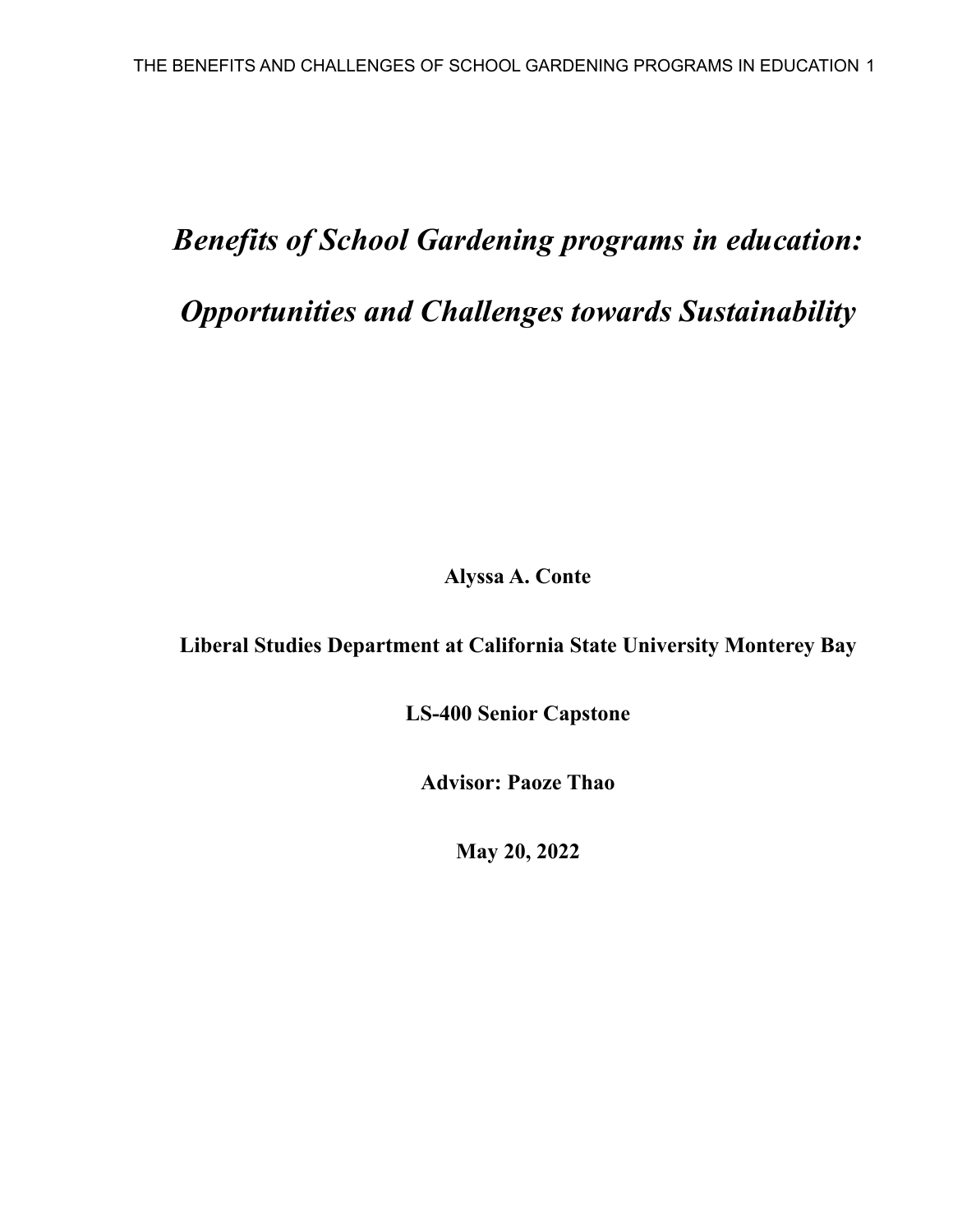# *Benefits of School Gardening programs in education: Opportunities and Challenges towards Sustainability*

**Alyssa A. Conte**

**Liberal Studies Department at California State University Monterey Bay**

**LS-400 Senior Capstone**

**Advisor: Paoze Thao**

**May 20, 2022**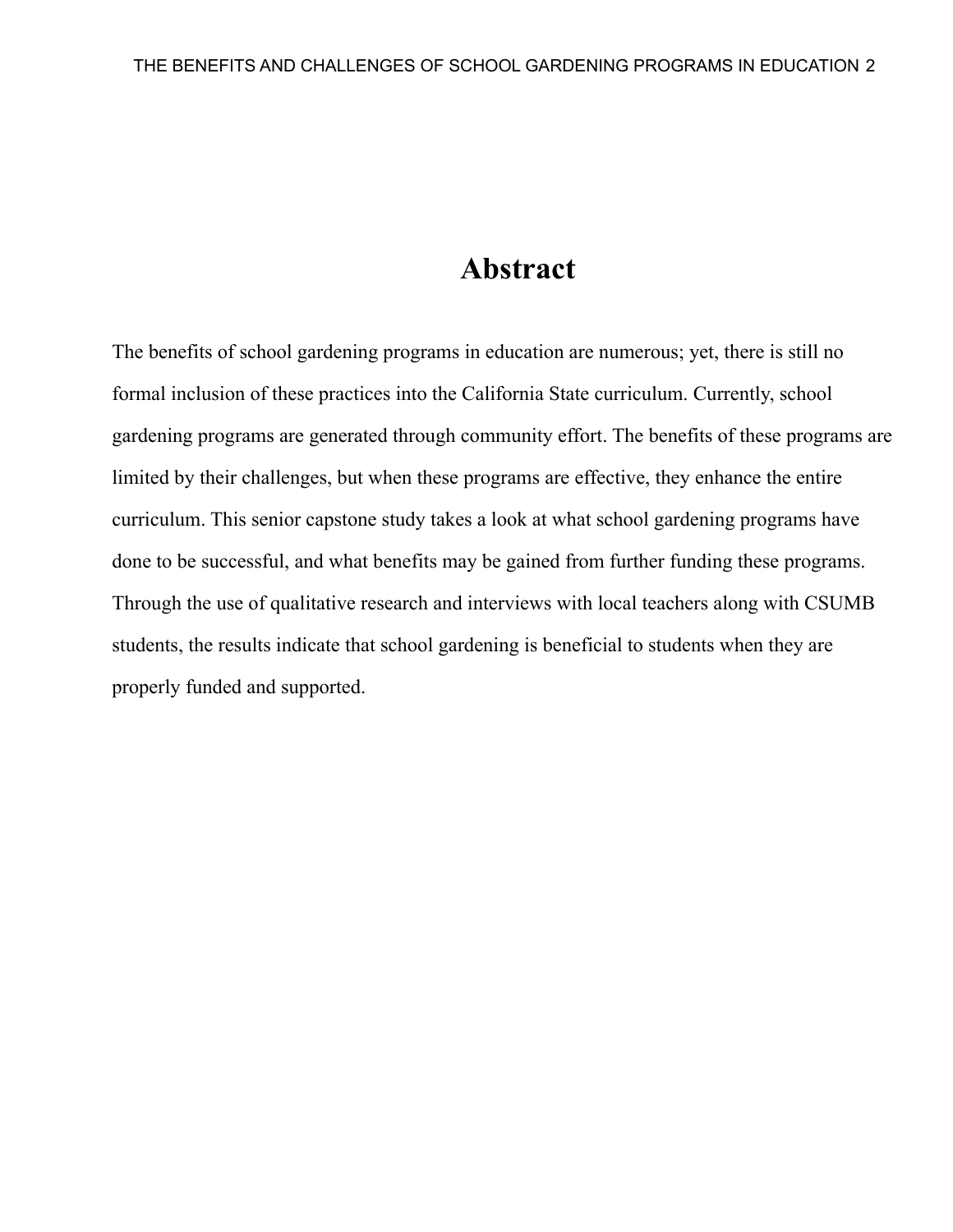# **Abstract**

The benefits of school gardening programs in education are numerous; yet, there is still no formal inclusion of these practices into the California State curriculum. Currently, school gardening programs are generated through community effort. The benefits of these programs are limited by their challenges, but when these programs are effective, they enhance the entire curriculum. This senior capstone study takes a look at what school gardening programs have done to be successful, and what benefits may be gained from further funding these programs. Through the use of qualitative research and interviews with local teachers along with CSUMB students, the results indicate that school gardening is beneficial to students when they are properly funded and supported.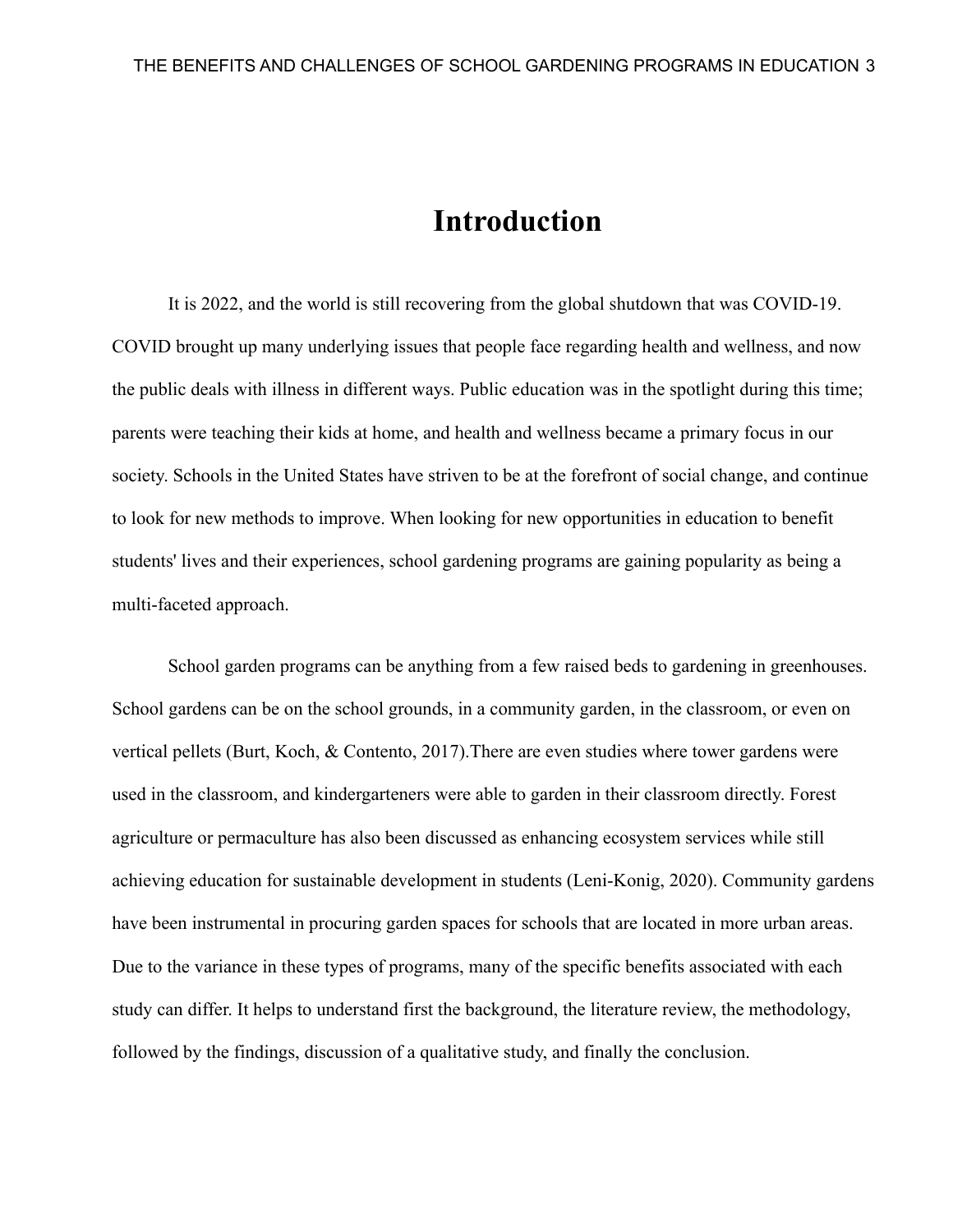### **Introduction**

It is 2022, and the world is still recovering from the global shutdown that was COVID-19. COVID brought up many underlying issues that people face regarding health and wellness, and now the public deals with illness in different ways. Public education was in the spotlight during this time; parents were teaching their kids at home, and health and wellness became a primary focus in our society. Schools in the United States have striven to be at the forefront of social change, and continue to look for new methods to improve. When looking for new opportunities in education to benefit students' lives and their experiences, school gardening programs are gaining popularity as being a multi-faceted approach.

School garden programs can be anything from a few raised beds to gardening in greenhouses. School gardens can be on the school grounds, in a community garden, in the classroom, or even on vertical pellets (Burt, Koch, & Contento, 2017).There are even studies where tower gardens were used in the classroom, and kindergarteners were able to garden in their classroom directly. Forest agriculture or permaculture has also been discussed as enhancing ecosystem services while still achieving education for sustainable development in students (Leni-Konig, 2020). Community gardens have been instrumental in procuring garden spaces for schools that are located in more urban areas. Due to the variance in these types of programs, many of the specific benefits associated with each study can differ. It helps to understand first the background, the literature review, the methodology, followed by the findings, discussion of a qualitative study, and finally the conclusion.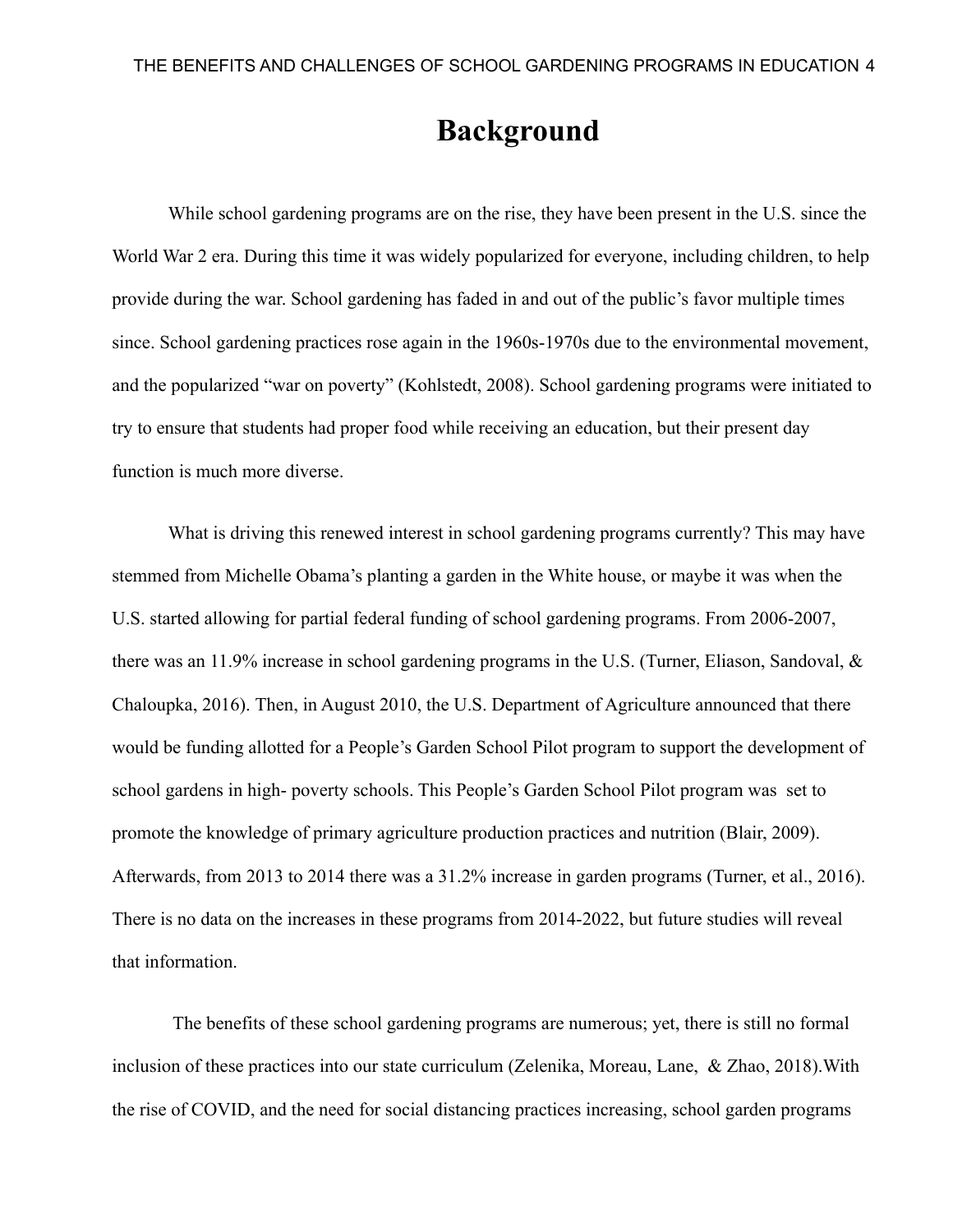# **Background**

While school gardening programs are on the rise, they have been present in the U.S. since the World War 2 era. During this time it was widely popularized for everyone, including children, to help provide during the war. School gardening has faded in and out of the public's favor multiple times since. School gardening practices rose again in the 1960s-1970s due to the environmental movement, and the popularized "war on poverty" (Kohlstedt, 2008). School gardening programs were initiated to try to ensure that students had proper food while receiving an education, but their present day function is much more diverse.

What is driving this renewed interest in school gardening programs currently? This may have stemmed from Michelle Obama's planting a garden in the White house, or maybe it was when the U.S. started allowing for partial federal funding of school gardening programs. From 2006-2007, there was an 11.9% increase in school gardening programs in the U.S. (Turner, Eliason, Sandoval, & Chaloupka, 2016). Then, in August 2010, the U.S. Department of Agriculture announced that there would be funding allotted for a People's Garden School Pilot program to support the development of school gardens in high- poverty schools. This People's Garden School Pilot program was set to promote the knowledge of primary agriculture production practices and nutrition (Blair, 2009). Afterwards, from 2013 to 2014 there was a 31.2% increase in garden programs (Turner, et al., 2016). There is no data on the increases in these programs from 2014-2022, but future studies will reveal that information.

The benefits of these school gardening programs are numerous; yet, there is still no formal inclusion of these practices into our state curriculum (Zelenika, Moreau, Lane, & Zhao, 2018).With the rise of COVID, and the need for social distancing practices increasing, school garden programs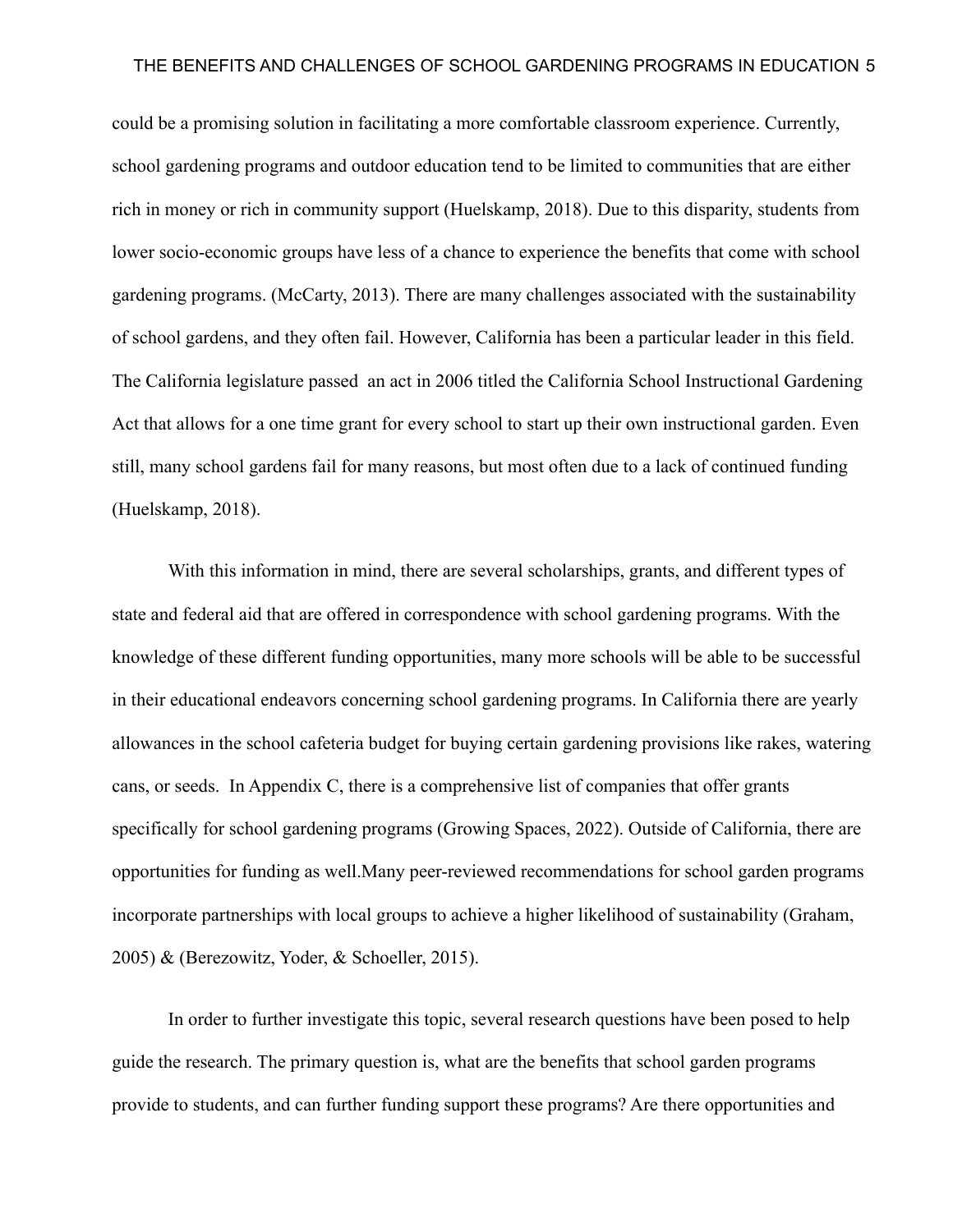could be a promising solution in facilitating a more comfortable classroom experience. Currently, school gardening programs and outdoor education tend to be limited to communities that are either rich in money or rich in community support (Huelskamp, 2018). Due to this disparity, students from lower socio-economic groups have less of a chance to experience the benefits that come with school gardening programs. (McCarty, 2013). There are many challenges associated with the sustainability of school gardens, and they often fail. However, California has been a particular leader in this field. The California legislature passed an act in 2006 titled the California School Instructional Gardening Act that allows for a one time grant for every school to start up their own instructional garden. Even still, many school gardens fail for many reasons, but most often due to a lack of continued funding (Huelskamp, 2018).

With this information in mind, there are several scholarships, grants, and different types of state and federal aid that are offered in correspondence with school gardening programs. With the knowledge of these different funding opportunities, many more schools will be able to be successful in their educational endeavors concerning school gardening programs. In California there are yearly allowances in the school cafeteria budget for buying certain gardening provisions like rakes, watering cans, or seeds. In Appendix C, there is a comprehensive list of companies that offer grants specifically for school gardening programs (Growing Spaces, 2022). Outside of California, there are opportunities for funding as well.Many peer-reviewed recommendations for school garden programs incorporate partnerships with local groups to achieve a higher likelihood of sustainability (Graham, 2005) & (Berezowitz, Yoder, & Schoeller, 2015).

In order to further investigate this topic, several research questions have been posed to help guide the research. The primary question is, what are the benefits that school garden programs provide to students, and can further funding support these programs? Are there opportunities and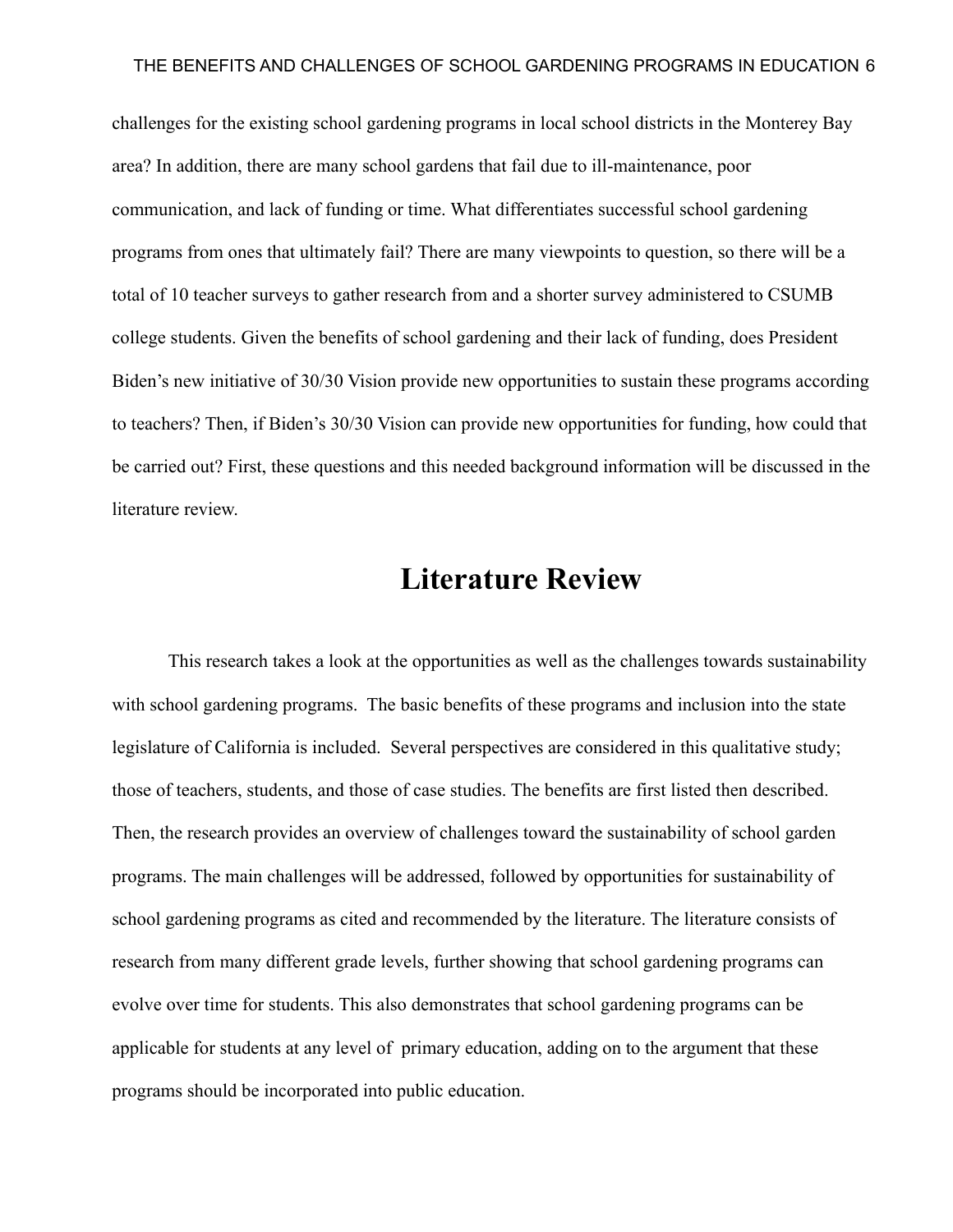challenges for the existing school gardening programs in local school districts in the Monterey Bay area? In addition, there are many school gardens that fail due to ill-maintenance, poor communication, and lack of funding or time. What differentiates successful school gardening programs from ones that ultimately fail? There are many viewpoints to question, so there will be a total of 10 teacher surveys to gather research from and a shorter survey administered to CSUMB college students. Given the benefits of school gardening and their lack of funding, does President Biden's new initiative of 30/30 Vision provide new opportunities to sustain these programs according to teachers? Then, if Biden's 30/30 Vision can provide new opportunities for funding, how could that be carried out? First, these questions and this needed background information will be discussed in the literature review.

# **Literature Review**

This research takes a look at the opportunities as well as the challenges towards sustainability with school gardening programs. The basic benefits of these programs and inclusion into the state legislature of California is included. Several perspectives are considered in this qualitative study; those of teachers, students, and those of case studies. The benefits are first listed then described. Then, the research provides an overview of challenges toward the sustainability of school garden programs. The main challenges will be addressed, followed by opportunities for sustainability of school gardening programs as cited and recommended by the literature. The literature consists of research from many different grade levels, further showing that school gardening programs can evolve over time for students. This also demonstrates that school gardening programs can be applicable for students at any level of primary education, adding on to the argument that these programs should be incorporated into public education.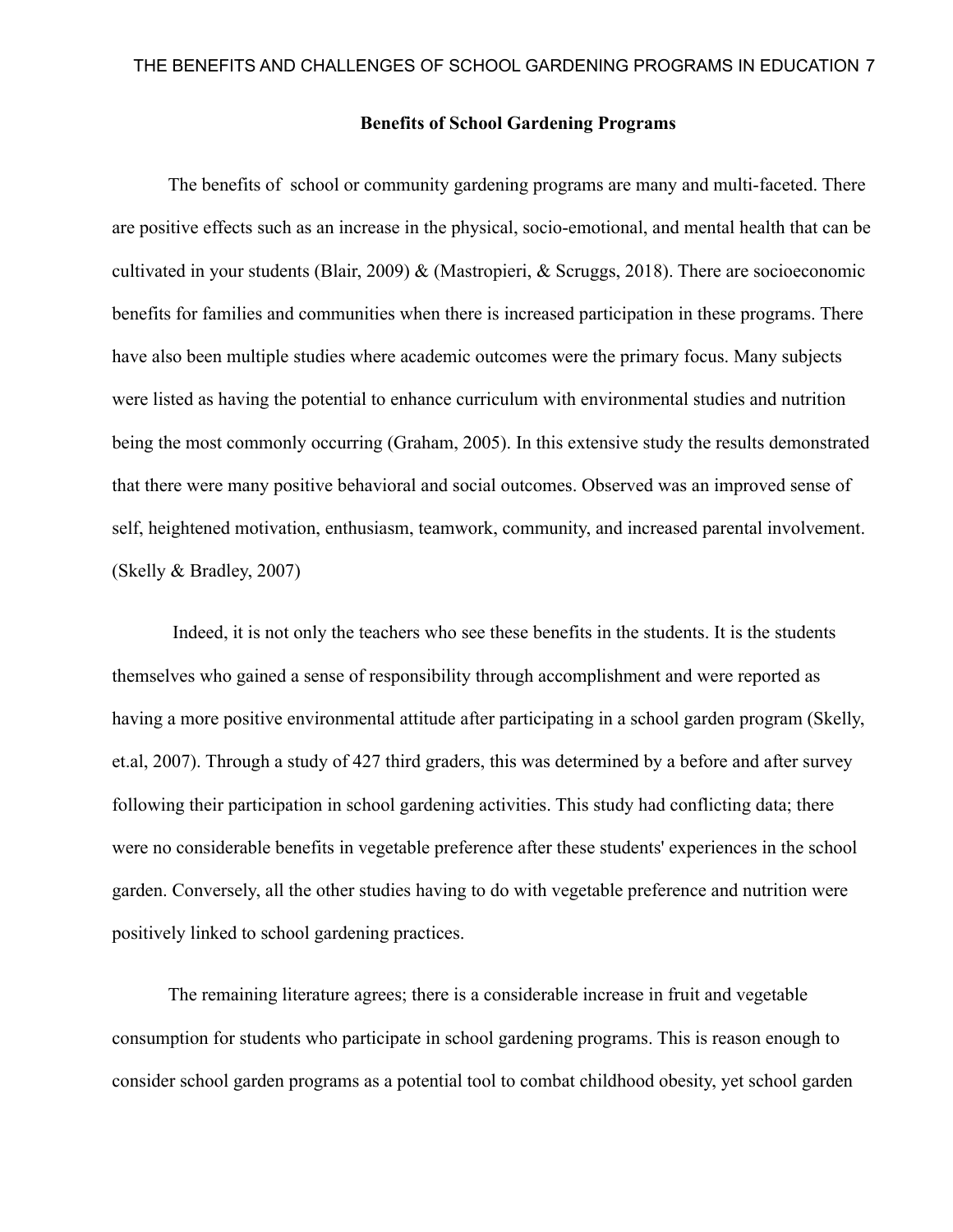#### **Benefits of School Gardening Programs**

The benefits of school or community gardening programs are many and multi-faceted. There are positive effects such as an increase in the physical, socio-emotional, and mental health that can be cultivated in your students (Blair, 2009) & (Mastropieri, & Scruggs, 2018). There are socioeconomic benefits for families and communities when there is increased participation in these programs. There have also been multiple studies where academic outcomes were the primary focus. Many subjects were listed as having the potential to enhance curriculum with environmental studies and nutrition being the most commonly occurring (Graham, 2005). In this extensive study the results demonstrated that there were many positive behavioral and social outcomes. Observed was an improved sense of self, heightened motivation, enthusiasm, teamwork, community, and increased parental involvement. (Skelly & Bradley, 2007)

Indeed, it is not only the teachers who see these benefits in the students. It is the students themselves who gained a sense of responsibility through accomplishment and were reported as having a more positive environmental attitude after participating in a school garden program (Skelly, et.al, 2007). Through a study of 427 third graders, this was determined by a before and after survey following their participation in school gardening activities. This study had conflicting data; there were no considerable benefits in vegetable preference after these students' experiences in the school garden. Conversely, all the other studies having to do with vegetable preference and nutrition were positively linked to school gardening practices.

The remaining literature agrees; there is a considerable increase in fruit and vegetable consumption for students who participate in school gardening programs. This is reason enough to consider school garden programs as a potential tool to combat childhood obesity, yet school garden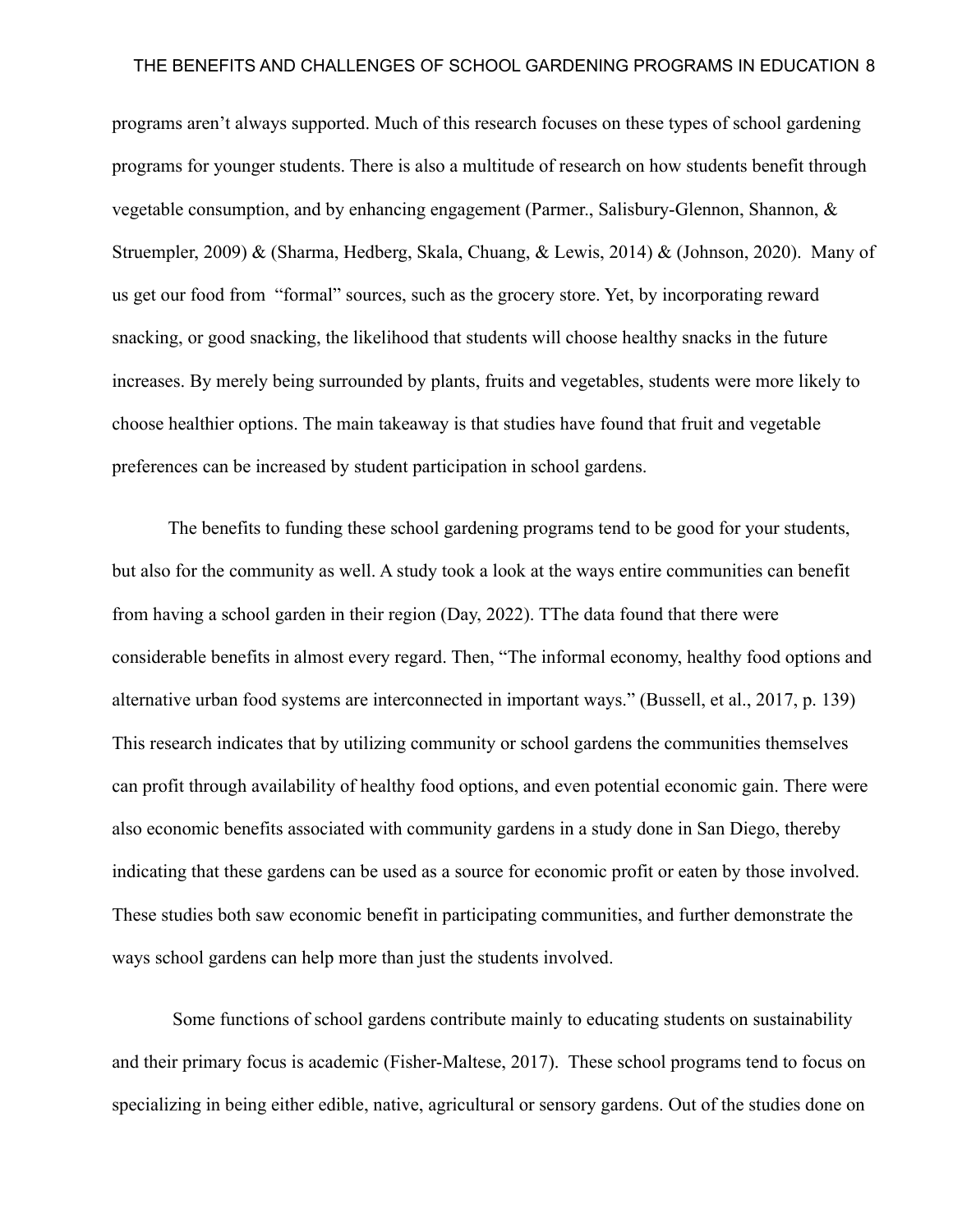programs aren't always supported. Much of this research focuses on these types of school gardening programs for younger students. There is also a multitude of research on how students benefit through vegetable consumption, and by enhancing engagement (Parmer., Salisbury-Glennon, Shannon, & Struempler, 2009) & (Sharma, Hedberg, Skala, Chuang, & Lewis, 2014) & (Johnson, 2020). Many of us get our food from "formal" sources, such as the grocery store. Yet, by incorporating reward snacking, or good snacking, the likelihood that students will choose healthy snacks in the future increases. By merely being surrounded by plants, fruits and vegetables, students were more likely to choose healthier options. The main takeaway is that studies have found that fruit and vegetable preferences can be increased by student participation in school gardens.

The benefits to funding these school gardening programs tend to be good for your students, but also for the community as well. A study took a look at the ways entire communities can benefit from having a school garden in their region (Day, 2022). TThe data found that there were considerable benefits in almost every regard. Then, "The informal economy, healthy food options and alternative urban food systems are interconnected in important ways." (Bussell, et al., 2017, p. 139) This research indicates that by utilizing community or school gardens the communities themselves can profit through availability of healthy food options, and even potential economic gain. There were also economic benefits associated with community gardens in a study done in San Diego, thereby indicating that these gardens can be used as a source for economic profit or eaten by those involved. These studies both saw economic benefit in participating communities, and further demonstrate the ways school gardens can help more than just the students involved.

Some functions of school gardens contribute mainly to educating students on sustainability and their primary focus is academic (Fisher-Maltese, 2017). These school programs tend to focus on specializing in being either edible, native, agricultural or sensory gardens. Out of the studies done on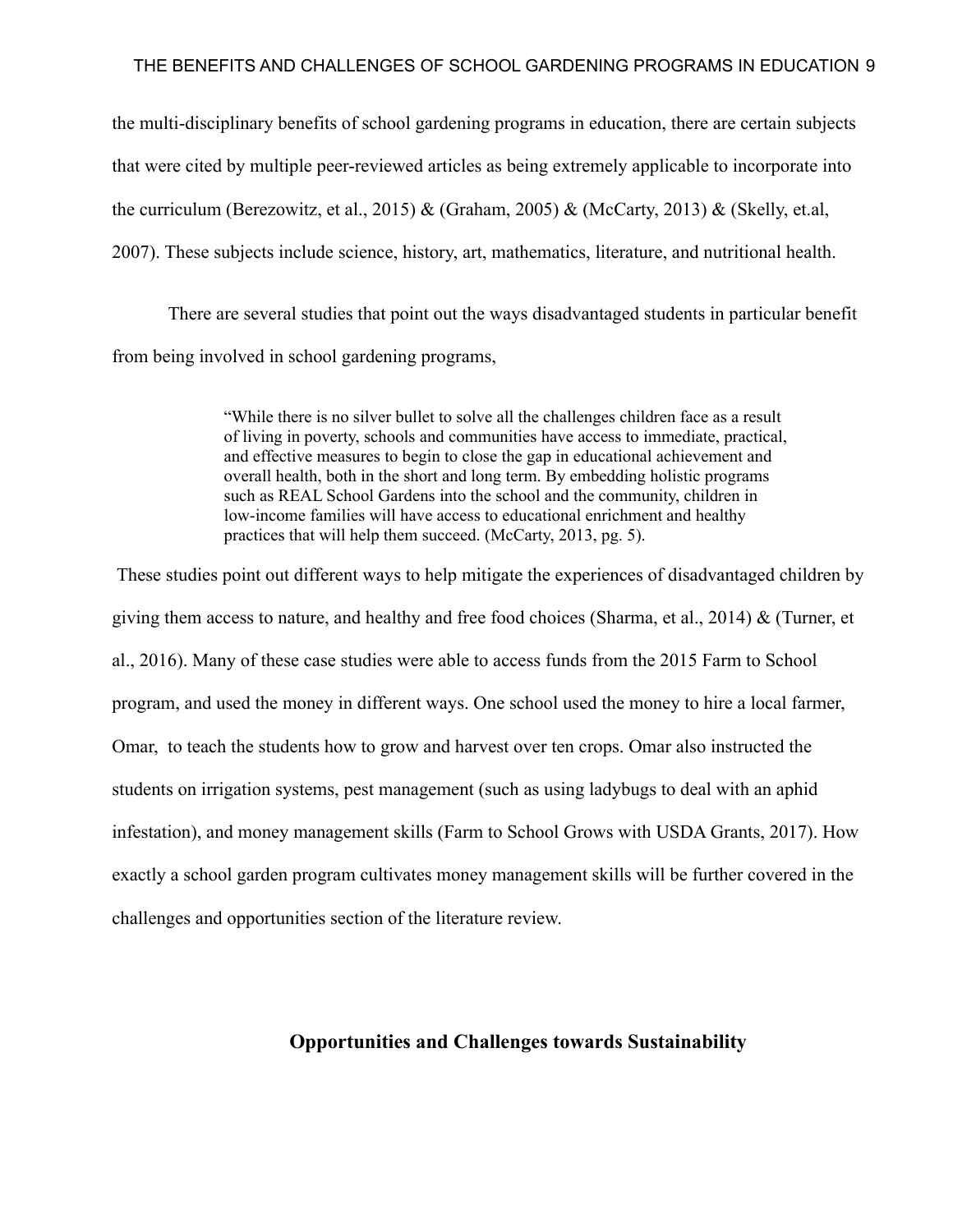the multi-disciplinary benefits of school gardening programs in education, there are certain subjects that were cited by multiple peer-reviewed articles as being extremely applicable to incorporate into the curriculum (Berezowitz, et al., 2015) & (Graham, 2005) & (McCarty, 2013) & (Skelly, et.al, 2007). These subjects include science, history, art, mathematics, literature, and nutritional health.

There are several studies that point out the ways disadvantaged students in particular benefit from being involved in school gardening programs,

> "While there is no silver bullet to solve all the challenges children face as a result of living in poverty, schools and communities have access to immediate, practical, and effective measures to begin to close the gap in educational achievement and overall health, both in the short and long term. By embedding holistic programs such as REAL School Gardens into the school and the community, children in low-income families will have access to educational enrichment and healthy practices that will help them succeed. (McCarty, 2013, pg. 5).

These studies point out different ways to help mitigate the experiences of disadvantaged children by giving them access to nature, and healthy and free food choices (Sharma, et al., 2014) & (Turner, et al., 2016). Many of these case studies were able to access funds from the 2015 Farm to School program, and used the money in different ways. One school used the money to hire a local farmer, Omar, to teach the students how to grow and harvest over ten crops. Omar also instructed the students on irrigation systems, pest management (such as using ladybugs to deal with an aphid infestation), and money management skills (Farm to School Grows with USDA Grants, 2017). How exactly a school garden program cultivates money management skills will be further covered in the challenges and opportunities section of the literature review.

### **Opportunities and Challenges towards Sustainability**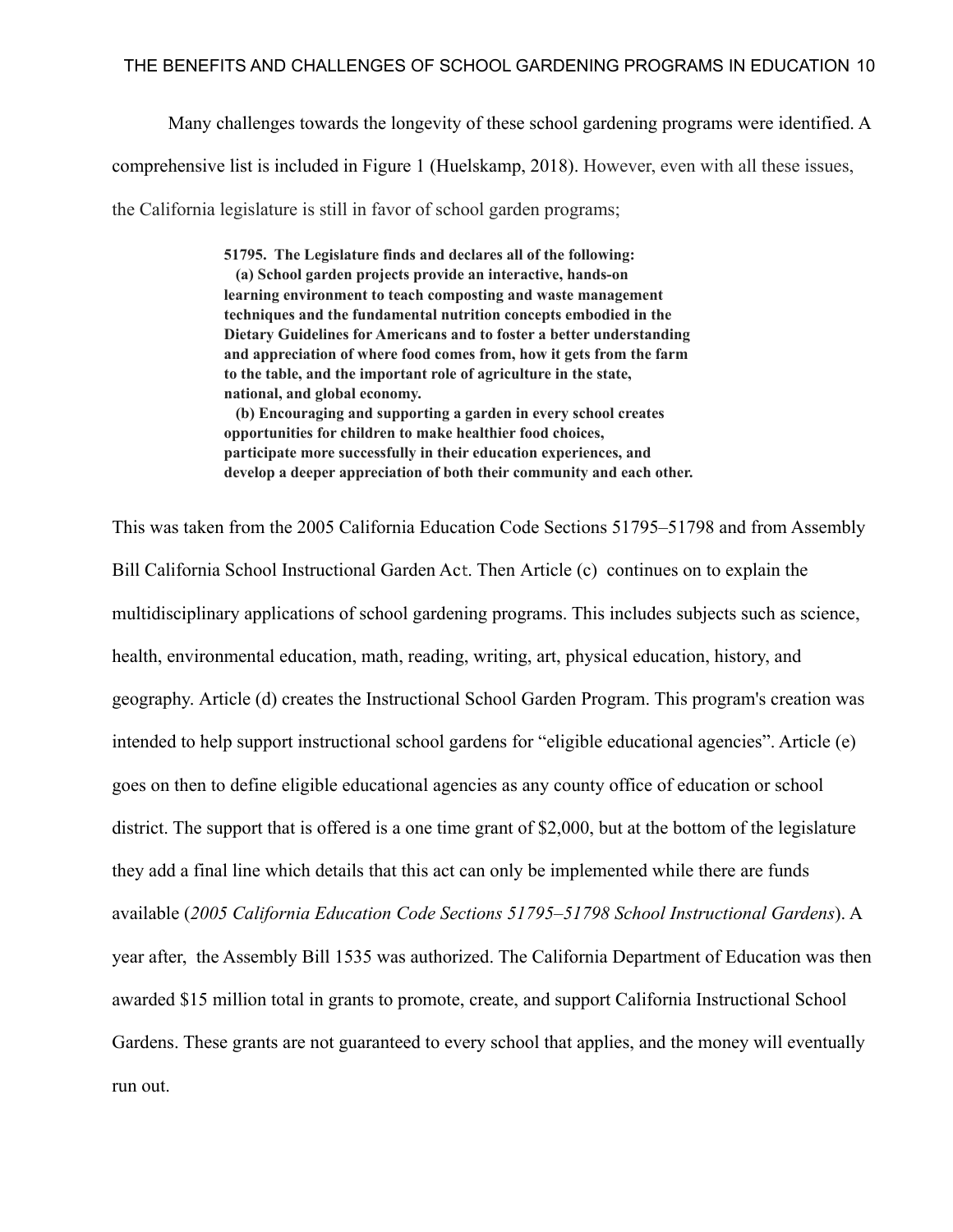Many challenges towards the longevity of these school gardening programs were identified. A comprehensive list is included in Figure 1 (Huelskamp, 2018). However, even with all these issues, the California legislature is still in favor of school garden programs;

> **51795. The Legislature finds and declares all of the following: (a) School garden projects provide an interactive, hands-on learning environment to teach composting and waste management techniques and the fundamental nutrition concepts embodied in the Dietary Guidelines for Americans and to foster a better understanding and appreciation of where food comes from, how it gets from the farm to the table, and the important role of agriculture in the state, national, and global economy. (b) Encouraging and supporting a garden in every school creates opportunities for children to make healthier food choices, participate more successfully in their education experiences, and**

> **develop a deeper appreciation of both their community and each other.**

This was taken from the 2005 California Education Code Sections 51795–51798 and from Assembly Bill California School Instructional Garden Act. Then Article (c) continues on to explain the multidisciplinary applications of school gardening programs. This includes subjects such as science, health, environmental education, math, reading, writing, art, physical education, history, and geography. Article (d) creates the Instructional School Garden Program. This program's creation was intended to help support instructional school gardens for "eligible educational agencies". Article (e) goes on then to define eligible educational agencies as any county office of education or school district. The support that is offered is a one time grant of \$2,000, but at the bottom of the legislature they add a final line which details that this act can only be implemented while there are funds available (*2005 California Education Code Sections 51795–51798 School Instructional Gardens*). A year after, the Assembly Bill 1535 was authorized. The California Department of Education was then awarded \$15 million total in grants to promote, create, and support California Instructional School Gardens. These grants are not guaranteed to every school that applies, and the money will eventually run out.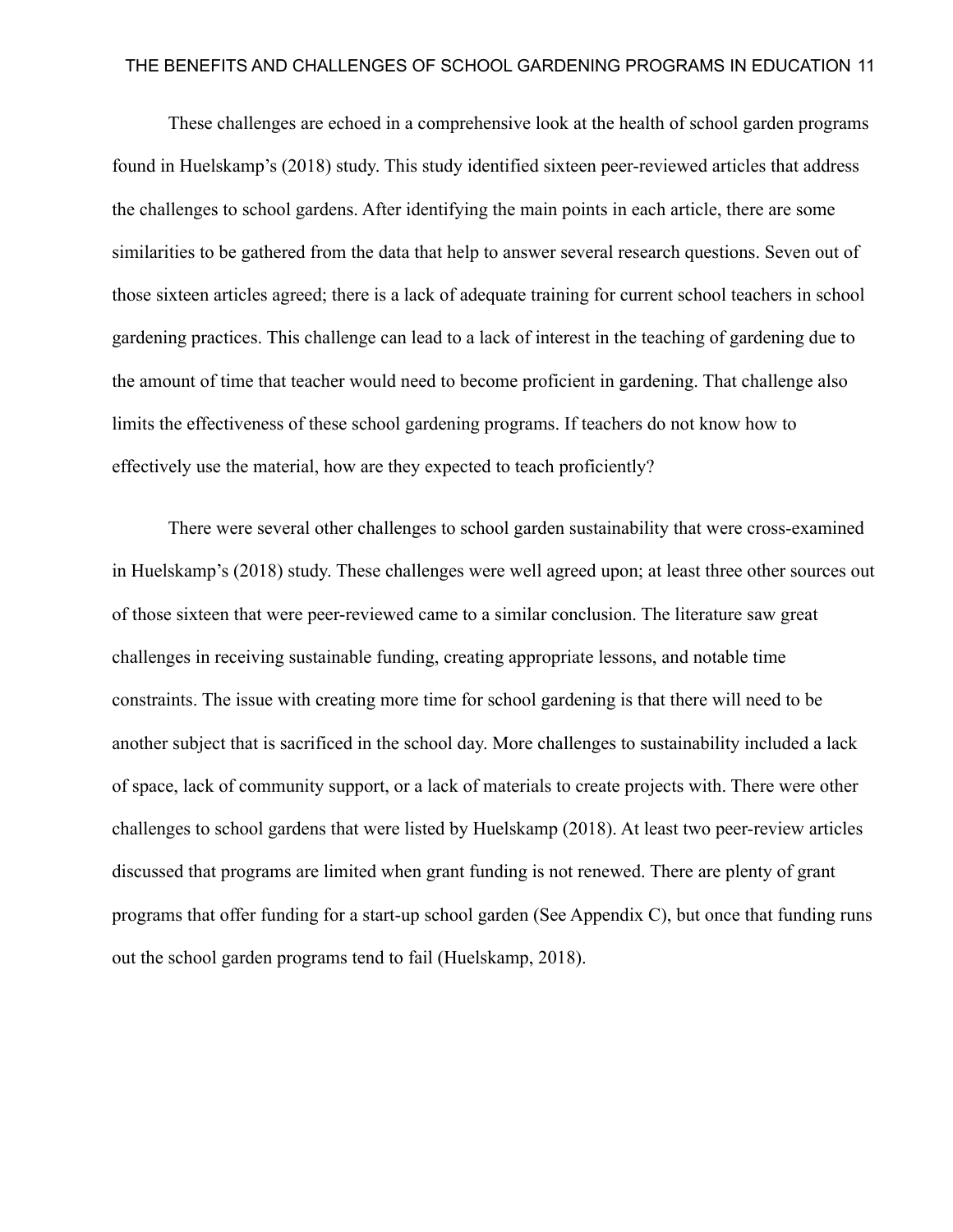These challenges are echoed in a comprehensive look at the health of school garden programs found in Huelskamp's (2018) study. This study identified sixteen peer-reviewed articles that address the challenges to school gardens. After identifying the main points in each article, there are some similarities to be gathered from the data that help to answer several research questions. Seven out of those sixteen articles agreed; there is a lack of adequate training for current school teachers in school gardening practices. This challenge can lead to a lack of interest in the teaching of gardening due to the amount of time that teacher would need to become proficient in gardening. That challenge also limits the effectiveness of these school gardening programs. If teachers do not know how to effectively use the material, how are they expected to teach proficiently?

There were several other challenges to school garden sustainability that were cross-examined in Huelskamp's (2018) study. These challenges were well agreed upon; at least three other sources out of those sixteen that were peer-reviewed came to a similar conclusion. The literature saw great challenges in receiving sustainable funding, creating appropriate lessons, and notable time constraints. The issue with creating more time for school gardening is that there will need to be another subject that is sacrificed in the school day. More challenges to sustainability included a lack of space, lack of community support, or a lack of materials to create projects with. There were other challenges to school gardens that were listed by Huelskamp (2018). At least two peer-review articles discussed that programs are limited when grant funding is not renewed. There are plenty of grant programs that offer funding for a start-up school garden (See Appendix C), but once that funding runs out the school garden programs tend to fail (Huelskamp, 2018).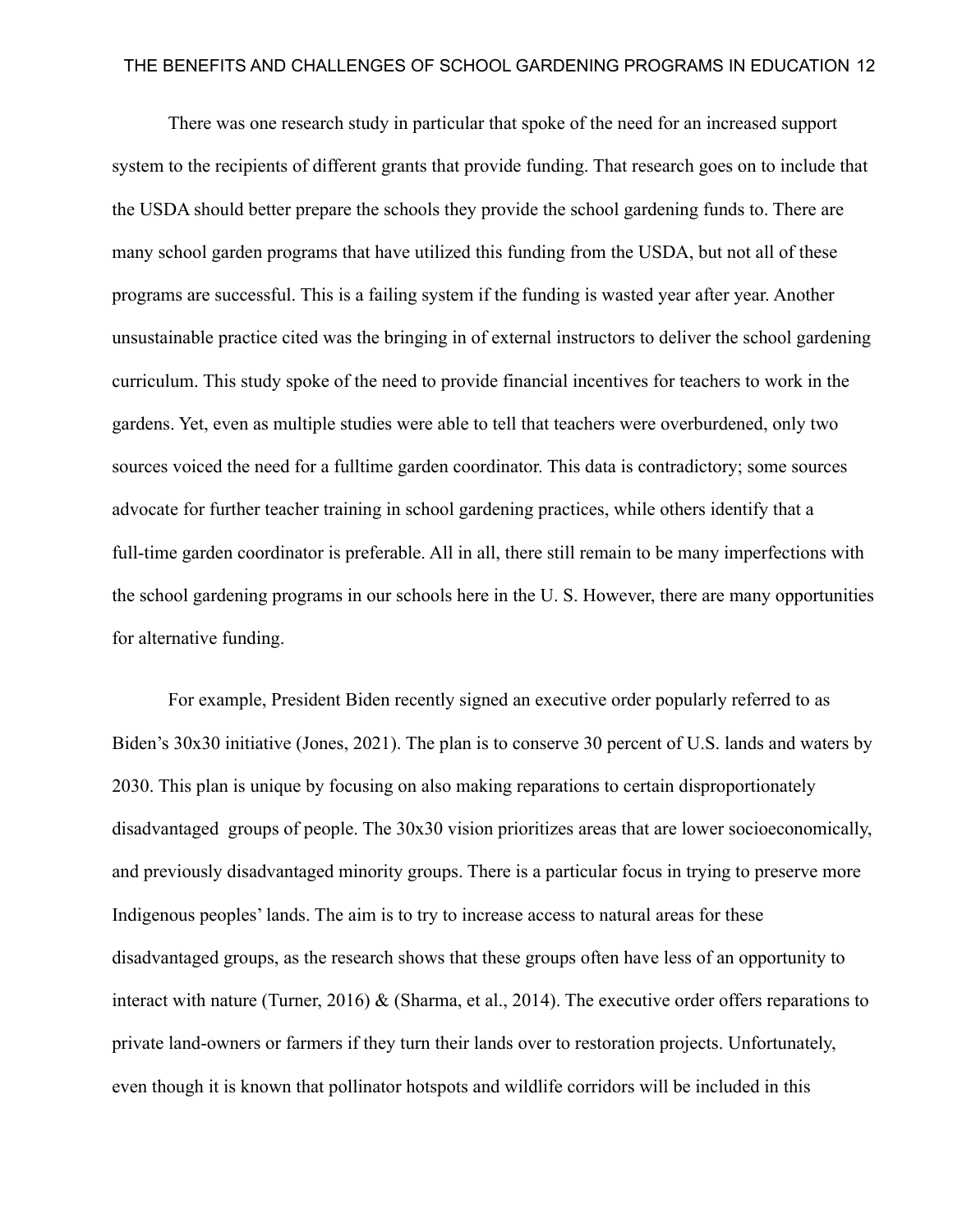There was one research study in particular that spoke of the need for an increased support system to the recipients of different grants that provide funding. That research goes on to include that the USDA should better prepare the schools they provide the school gardening funds to. There are many school garden programs that have utilized this funding from the USDA, but not all of these programs are successful. This is a failing system if the funding is wasted year after year. Another unsustainable practice cited was the bringing in of external instructors to deliver the school gardening curriculum. This study spoke of the need to provide financial incentives for teachers to work in the gardens. Yet, even as multiple studies were able to tell that teachers were overburdened, only two sources voiced the need for a fulltime garden coordinator. This data is contradictory; some sources advocate for further teacher training in school gardening practices, while others identify that a full-time garden coordinator is preferable. All in all, there still remain to be many imperfections with the school gardening programs in our schools here in the U. S. However, there are many opportunities for alternative funding.

For example, President Biden recently signed an executive order popularly referred to as Biden's 30x30 initiative (Jones, 2021). The plan is to conserve 30 percent of U.S. lands and waters by 2030. This plan is unique by focusing on also making reparations to certain disproportionately disadvantaged groups of people. The 30x30 vision prioritizes areas that are lower socioeconomically, and previously disadvantaged minority groups. There is a particular focus in trying to preserve more Indigenous peoples' lands. The aim is to try to increase access to natural areas for these disadvantaged groups, as the research shows that these groups often have less of an opportunity to interact with nature (Turner, 2016) & (Sharma, et al., 2014). The executive order offers reparations to private land-owners or farmers if they turn their lands over to restoration projects. Unfortunately, even though it is known that pollinator hotspots and wildlife corridors will be included in this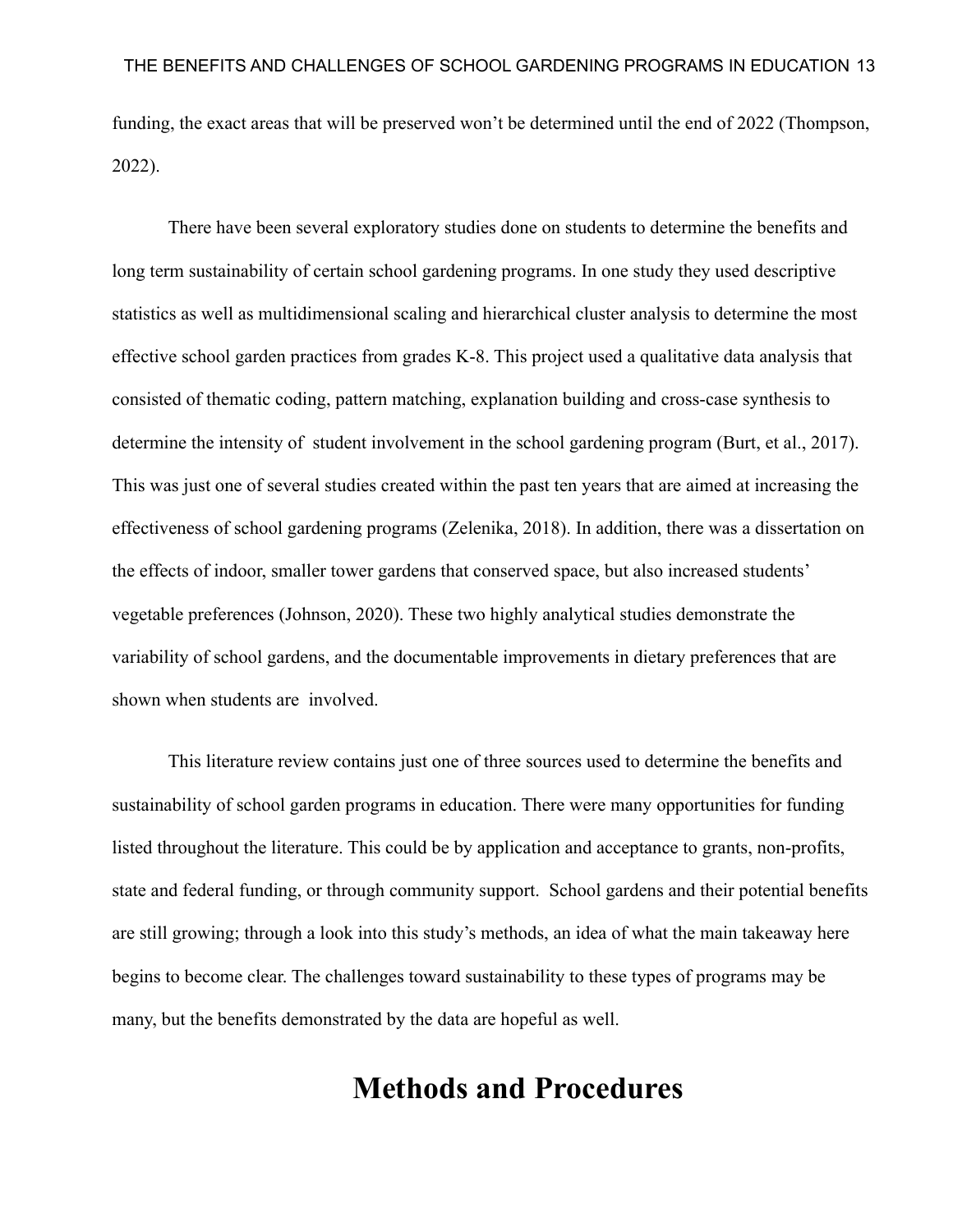funding, the exact areas that will be preserved won't be determined until the end of 2022 (Thompson, 2022).

There have been several exploratory studies done on students to determine the benefits and long term sustainability of certain school gardening programs. In one study they used descriptive statistics as well as multidimensional scaling and hierarchical cluster analysis to determine the most effective school garden practices from grades K-8. This project used a qualitative data analysis that consisted of thematic coding, pattern matching, explanation building and cross-case synthesis to determine the intensity of student involvement in the school gardening program (Burt, et al., 2017). This was just one of several studies created within the past ten years that are aimed at increasing the effectiveness of school gardening programs (Zelenika, 2018). In addition, there was a dissertation on the effects of indoor, smaller tower gardens that conserved space, but also increased students' vegetable preferences (Johnson, 2020). These two highly analytical studies demonstrate the variability of school gardens, and the documentable improvements in dietary preferences that are shown when students are involved.

This literature review contains just one of three sources used to determine the benefits and sustainability of school garden programs in education. There were many opportunities for funding listed throughout the literature. This could be by application and acceptance to grants, non-profits, state and federal funding, or through community support. School gardens and their potential benefits are still growing; through a look into this study's methods, an idea of what the main takeaway here begins to become clear. The challenges toward sustainability to these types of programs may be many, but the benefits demonstrated by the data are hopeful as well.

# **Methods and Procedures**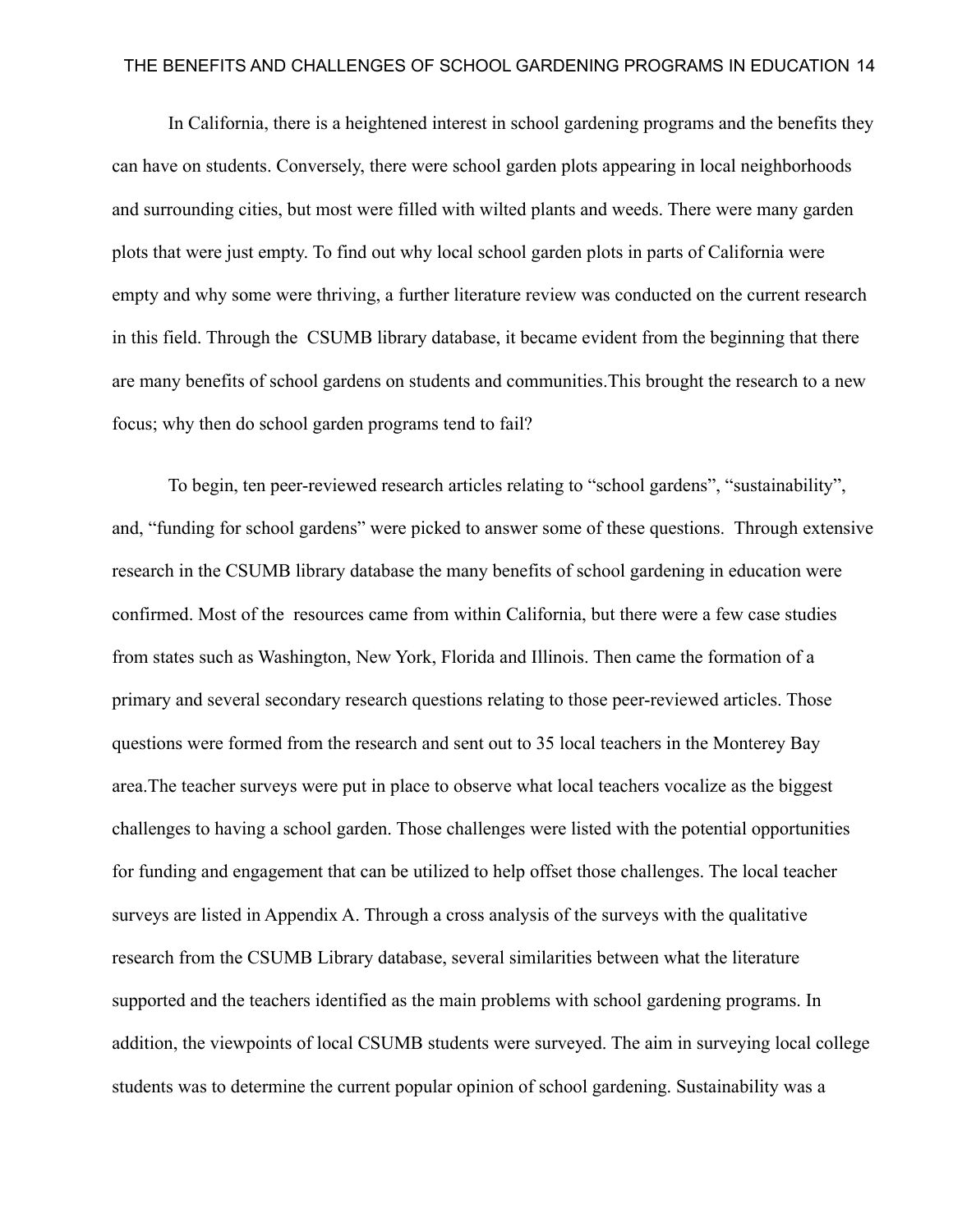In California, there is a heightened interest in school gardening programs and the benefits they can have on students. Conversely, there were school garden plots appearing in local neighborhoods and surrounding cities, but most were filled with wilted plants and weeds. There were many garden plots that were just empty. To find out why local school garden plots in parts of California were empty and why some were thriving, a further literature review was conducted on the current research in this field. Through the CSUMB library database, it became evident from the beginning that there are many benefits of school gardens on students and communities.This brought the research to a new focus; why then do school garden programs tend to fail?

To begin, ten peer-reviewed research articles relating to "school gardens", "sustainability", and, "funding for school gardens" were picked to answer some of these questions. Through extensive research in the CSUMB library database the many benefits of school gardening in education were confirmed. Most of the resources came from within California, but there were a few case studies from states such as Washington, New York, Florida and Illinois. Then came the formation of a primary and several secondary research questions relating to those peer-reviewed articles. Those questions were formed from the research and sent out to 35 local teachers in the Monterey Bay area.The teacher surveys were put in place to observe what local teachers vocalize as the biggest challenges to having a school garden. Those challenges were listed with the potential opportunities for funding and engagement that can be utilized to help offset those challenges. The local teacher surveys are listed in Appendix A. Through a cross analysis of the surveys with the qualitative research from the CSUMB Library database, several similarities between what the literature supported and the teachers identified as the main problems with school gardening programs. In addition, the viewpoints of local CSUMB students were surveyed. The aim in surveying local college students was to determine the current popular opinion of school gardening. Sustainability was a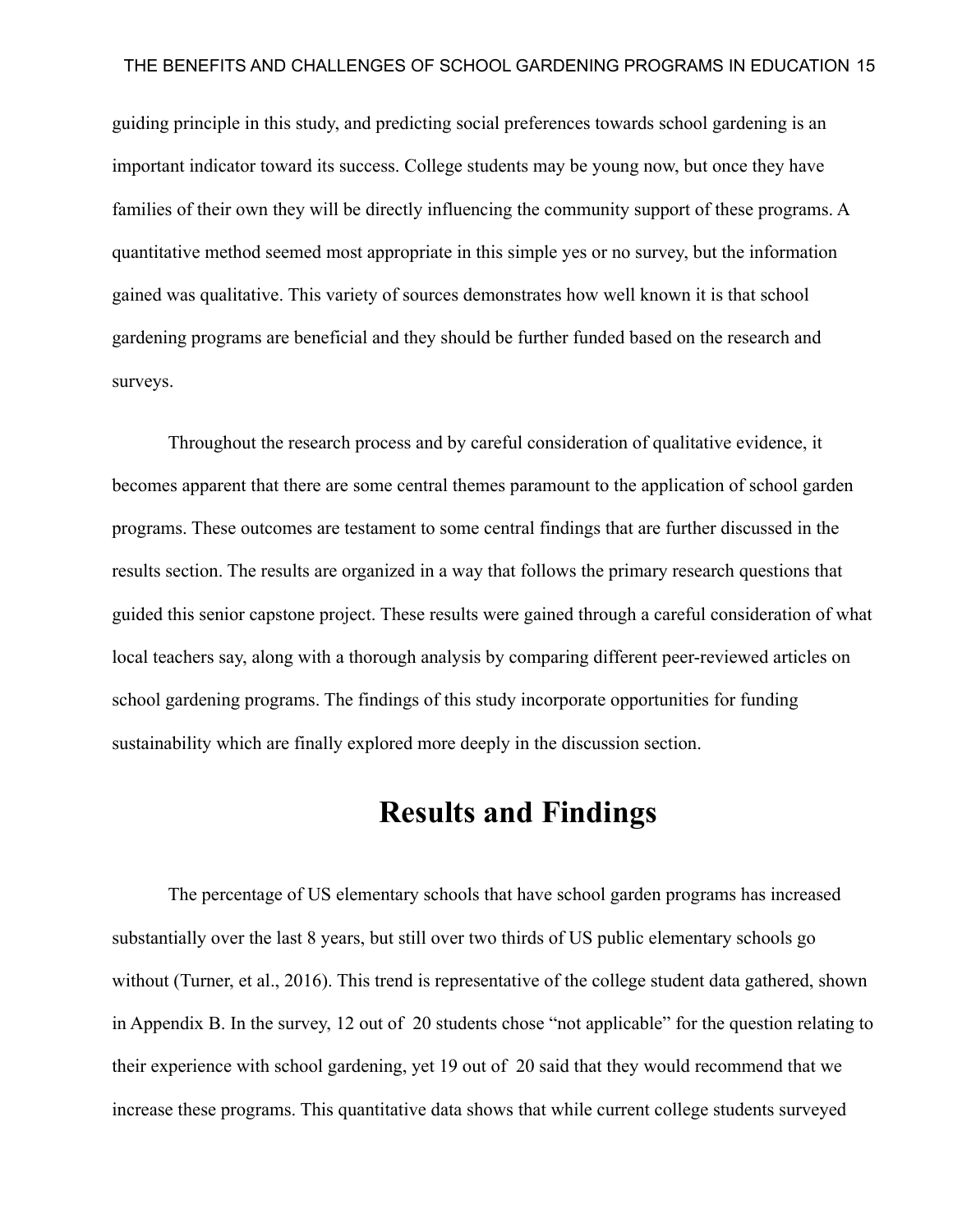guiding principle in this study, and predicting social preferences towards school gardening is an important indicator toward its success. College students may be young now, but once they have families of their own they will be directly influencing the community support of these programs. A quantitative method seemed most appropriate in this simple yes or no survey, but the information gained was qualitative. This variety of sources demonstrates how well known it is that school gardening programs are beneficial and they should be further funded based on the research and surveys.

Throughout the research process and by careful consideration of qualitative evidence, it becomes apparent that there are some central themes paramount to the application of school garden programs. These outcomes are testament to some central findings that are further discussed in the results section. The results are organized in a way that follows the primary research questions that guided this senior capstone project. These results were gained through a careful consideration of what local teachers say, along with a thorough analysis by comparing different peer-reviewed articles on school gardening programs. The findings of this study incorporate opportunities for funding sustainability which are finally explored more deeply in the discussion section.

### **Results and Findings**

The percentage of US elementary schools that have school garden programs has increased substantially over the last 8 years, but still over two thirds of US public elementary schools go without (Turner, et al., 2016). This trend is representative of the college student data gathered, shown in Appendix B. In the survey, 12 out of 20 students chose "not applicable" for the question relating to their experience with school gardening, yet 19 out of 20 said that they would recommend that we increase these programs. This quantitative data shows that while current college students surveyed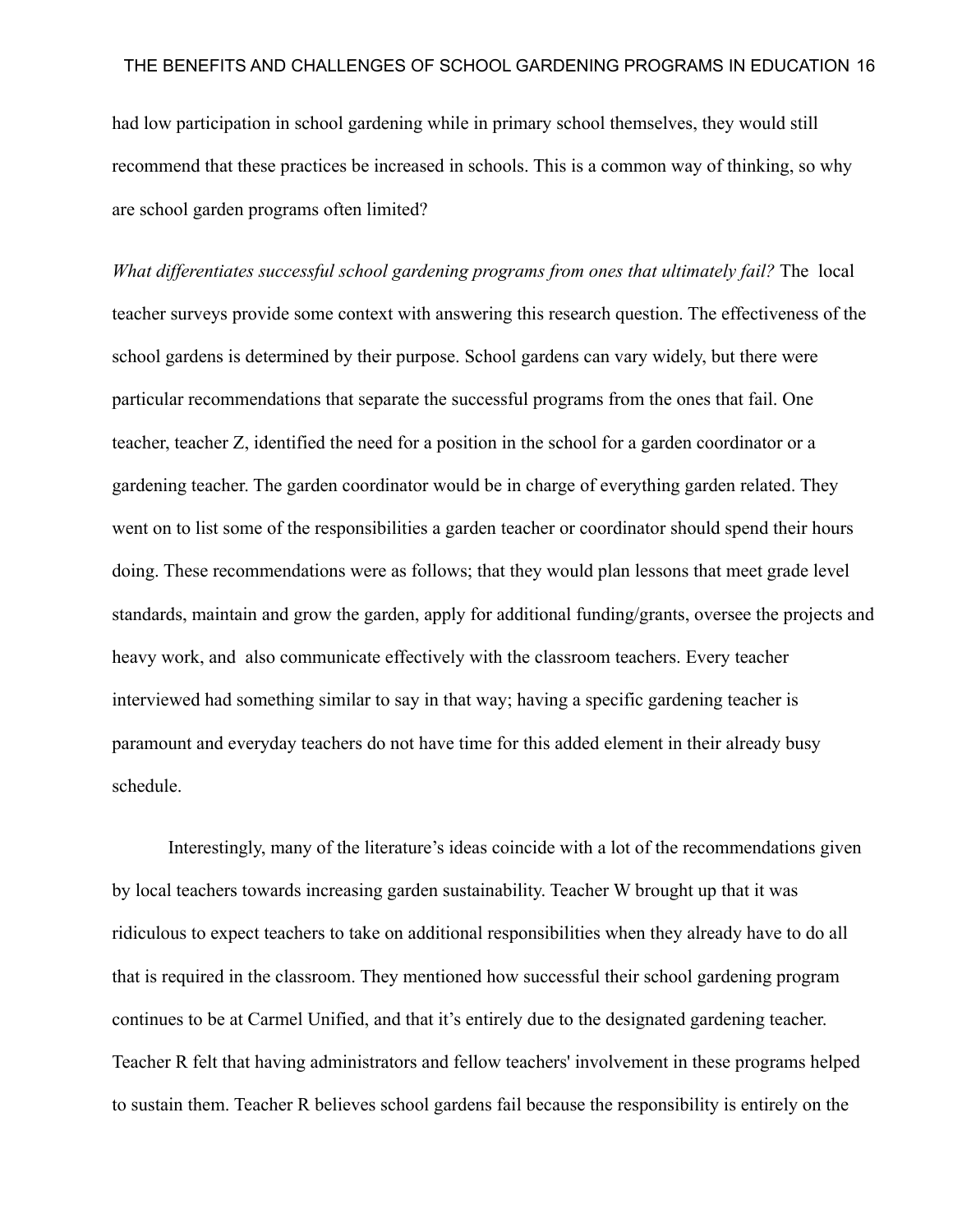had low participation in school gardening while in primary school themselves, they would still recommend that these practices be increased in schools. This is a common way of thinking, so why are school garden programs often limited?

*What differentiates successful school gardening programs from ones that ultimately fail?* The local teacher surveys provide some context with answering this research question. The effectiveness of the school gardens is determined by their purpose. School gardens can vary widely, but there were particular recommendations that separate the successful programs from the ones that fail. One teacher, teacher Z, identified the need for a position in the school for a garden coordinator or a gardening teacher. The garden coordinator would be in charge of everything garden related. They went on to list some of the responsibilities a garden teacher or coordinator should spend their hours doing. These recommendations were as follows; that they would plan lessons that meet grade level standards, maintain and grow the garden, apply for additional funding/grants, oversee the projects and heavy work, and also communicate effectively with the classroom teachers. Every teacher interviewed had something similar to say in that way; having a specific gardening teacher is paramount and everyday teachers do not have time for this added element in their already busy schedule.

Interestingly, many of the literature's ideas coincide with a lot of the recommendations given by local teachers towards increasing garden sustainability. Teacher W brought up that it was ridiculous to expect teachers to take on additional responsibilities when they already have to do all that is required in the classroom. They mentioned how successful their school gardening program continues to be at Carmel Unified, and that it's entirely due to the designated gardening teacher. Teacher R felt that having administrators and fellow teachers' involvement in these programs helped to sustain them. Teacher R believes school gardens fail because the responsibility is entirely on the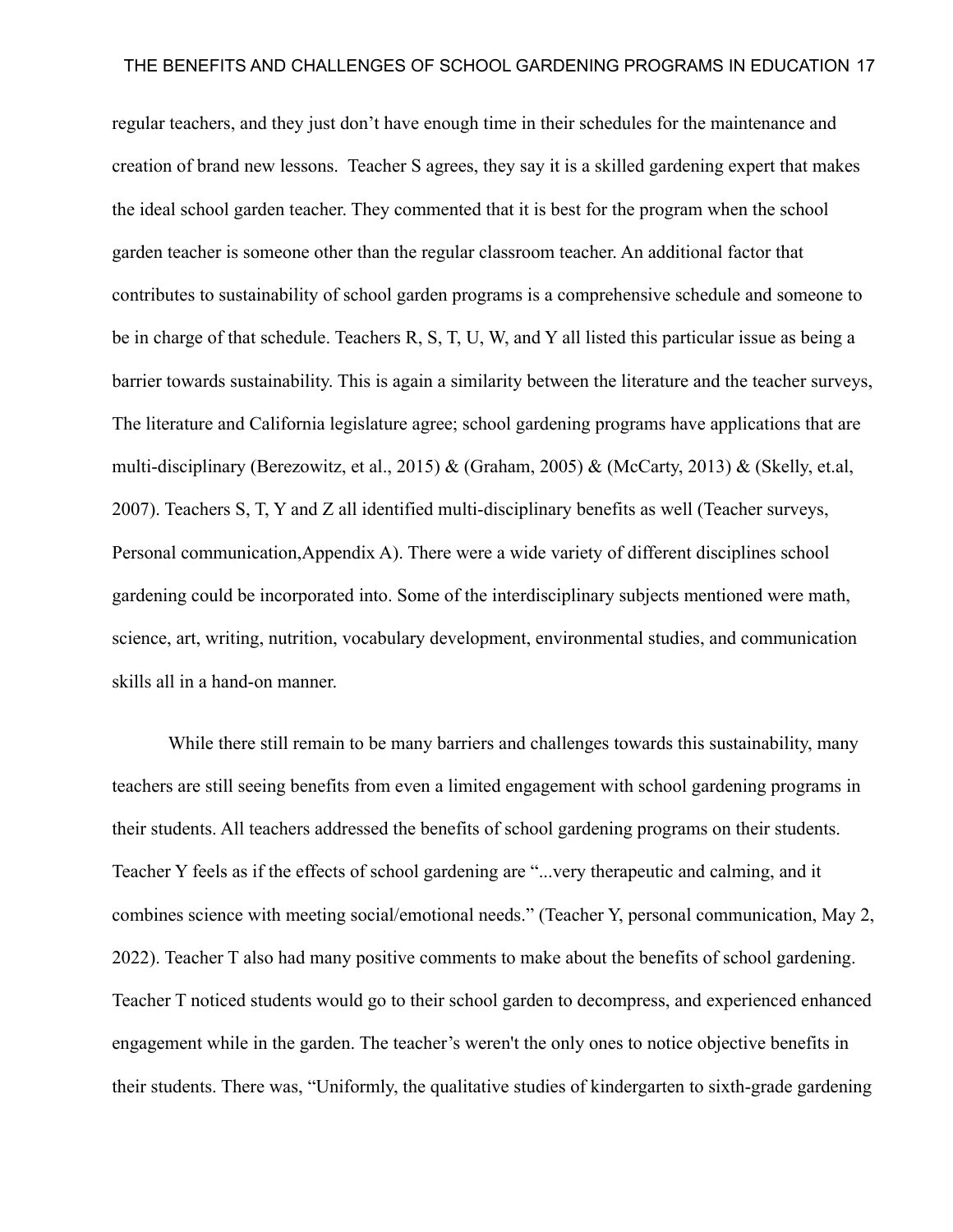regular teachers, and they just don't have enough time in their schedules for the maintenance and creation of brand new lessons. Teacher S agrees, they say it is a skilled gardening expert that makes the ideal school garden teacher. They commented that it is best for the program when the school garden teacher is someone other than the regular classroom teacher. An additional factor that contributes to sustainability of school garden programs is a comprehensive schedule and someone to be in charge of that schedule. Teachers R, S, T, U, W, and Y all listed this particular issue as being a barrier towards sustainability. This is again a similarity between the literature and the teacher surveys, The literature and California legislature agree; school gardening programs have applications that are multi-disciplinary (Berezowitz, et al., 2015) & (Graham, 2005) & (McCarty, 2013) & (Skelly, et.al, 2007). Teachers S, T, Y and Z all identified multi-disciplinary benefits as well (Teacher surveys, Personal communication,Appendix A). There were a wide variety of different disciplines school gardening could be incorporated into. Some of the interdisciplinary subjects mentioned were math, science, art, writing, nutrition, vocabulary development, environmental studies, and communication skills all in a hand-on manner.

While there still remain to be many barriers and challenges towards this sustainability, many teachers are still seeing benefits from even a limited engagement with school gardening programs in their students. All teachers addressed the benefits of school gardening programs on their students. Teacher Y feels as if the effects of school gardening are "...very therapeutic and calming, and it combines science with meeting social/emotional needs." (Teacher Y, personal communication, May 2, 2022). Teacher T also had many positive comments to make about the benefits of school gardening. Teacher T noticed students would go to their school garden to decompress, and experienced enhanced engagement while in the garden. The teacher's weren't the only ones to notice objective benefits in their students. There was, "Uniformly, the qualitative studies of kindergarten to sixth-grade gardening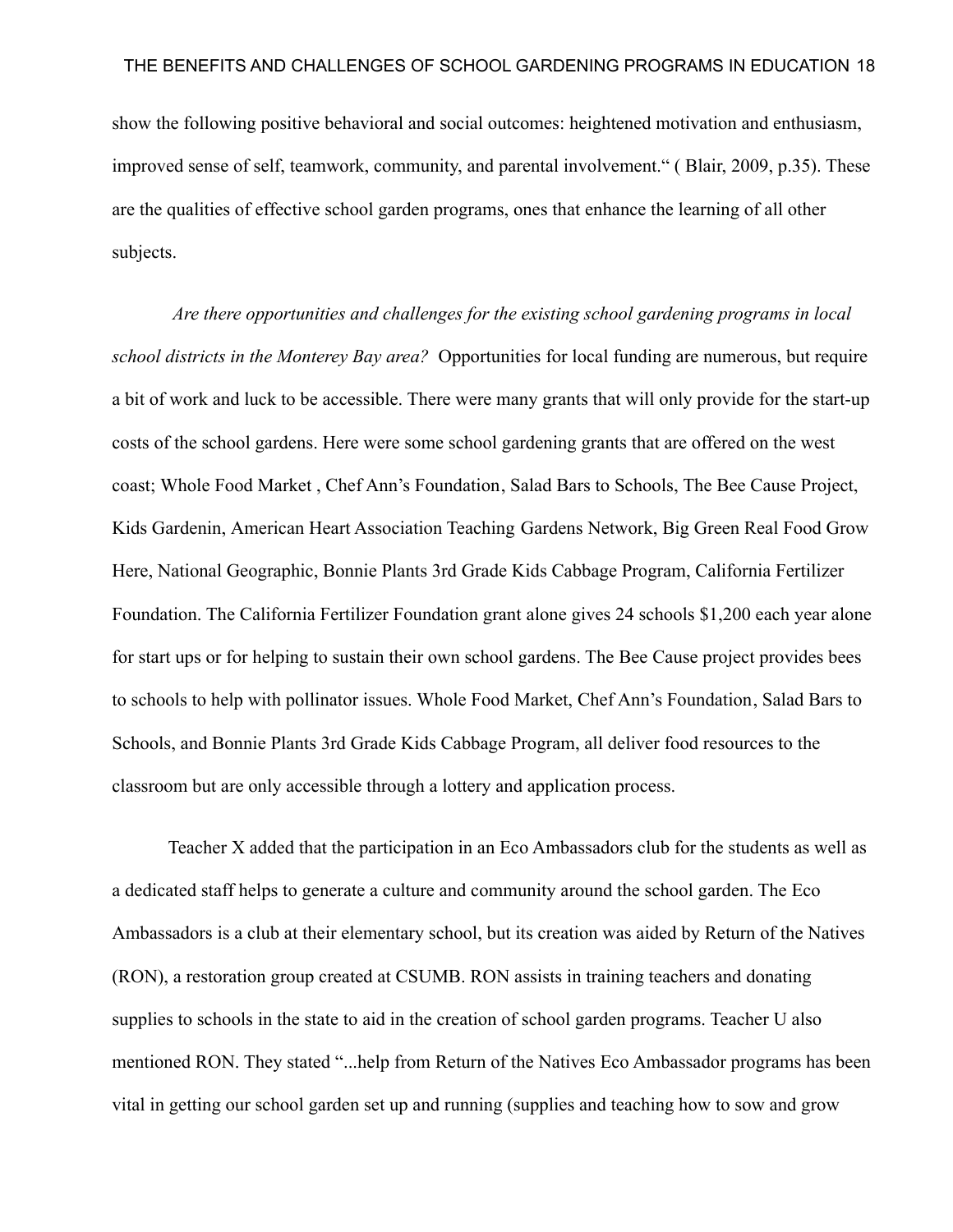show the following positive behavioral and social outcomes: heightened motivation and enthusiasm, improved sense of self, teamwork, community, and parental involvement." ( Blair, 2009, p.35). These are the qualities of effective school garden programs, ones that enhance the learning of all other subjects.

*Are there opportunities and challenges for the existing school gardening programs in local school districts in the Monterey Bay area?* Opportunities for local funding are numerous, but require a bit of work and luck to be accessible. There were many grants that will only provide for the start-up costs of the school gardens. Here were some school gardening grants that are offered on the west coast; [Whole Food Market](https://www.wholekidsfoundation.org/programs/school-gardens-grant) , [Chef Ann's Foundation,](http://www.chefannfoundation.org/programs-and-grants/) [Salad Bars to Schools,](http://www.saladbars2schools.org/) [The Bee Cause Project,](http://www.thebeecause.org/) [Kids Gardenin](https://www.kidsgardening.org/garden-grants/), [American Heart Association Teaching](https://www.heart.org/en/professional/educator/teaching-gardens/join-the-teaching-gardens-network) Gardens Network, [Big Green Real Food Grow](https://biggreen.org/thegreenhouse/) [Here](https://biggreen.org/thegreenhouse/), [National Geographic,](https://www.nationalgeographic.org/grants/grant-opportunities/) [Bonnie Plants 3rd Grade](https://bonniecabbageprogram.com/) Kids Cabbage Program, [California Fertilizer](http://www.calfertilizer.org/Grant14.htm) [Foundation.](http://www.calfertilizer.org/Grant14.htm) The California Fertilizer Foundation grant alone gives 24 schools \$1,200 each year alone for start ups or for helping to sustain their own school gardens. The Bee Cause project provides bees to schools to help with pollinator issues. Whole Food Market, [Chef Ann's Foundation,](http://www.chefannfoundation.org/programs-and-grants/) [Salad Bars to](http://www.saladbars2schools.org/) [Schools](http://www.saladbars2schools.org/), and [Bonnie Plants 3rd Grade Kids Cabbage](https://bonniecabbageprogram.com/) Program, all deliver food resources to the classroom but are only accessible through a lottery and application process.

Teacher X added that the participation in an Eco Ambassadors club for the students as well as a dedicated staff helps to generate a culture and community around the school garden. The Eco Ambassadors is a club at their elementary school, but its creation was aided by Return of the Natives (RON), a restoration group created at CSUMB. RON assists in training teachers and donating supplies to schools in the state to aid in the creation of school garden programs. Teacher U also mentioned RON. They stated "...help from Return of the Natives Eco Ambassador programs has been vital in getting our school garden set up and running (supplies and teaching how to sow and grow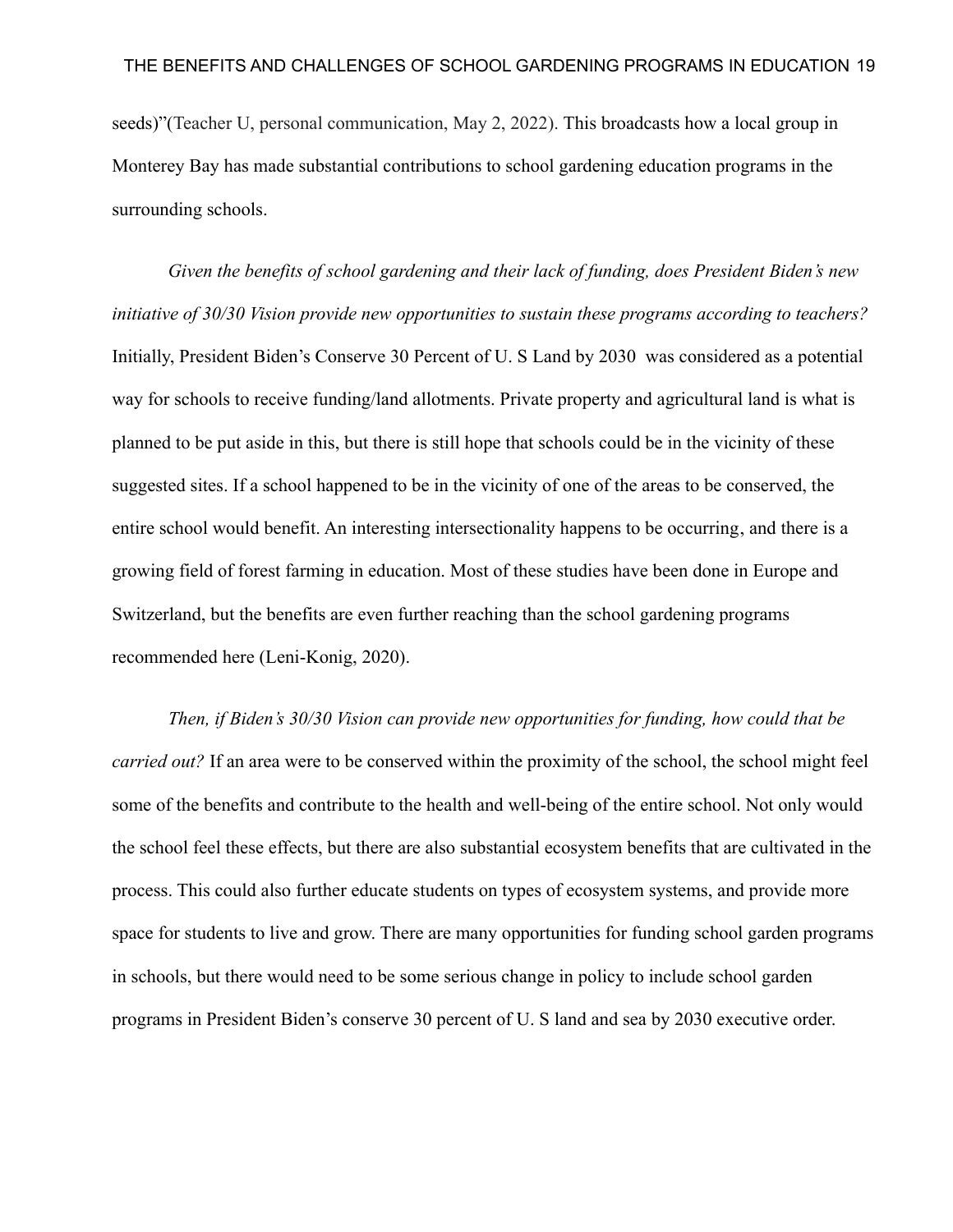seeds)"(Teacher U, personal communication, May 2, 2022). This broadcasts how a local group in Monterey Bay has made substantial contributions to school gardening education programs in the surrounding schools.

*Given the benefits of school gardening and their lack of funding, does President Biden's new initiative of 30/30 Vision provide new opportunities to sustain these programs according to teachers?* Initially, President Biden's Conserve 30 Percent of U. S Land by 2030 was considered as a potential way for schools to receive funding/land allotments. Private property and agricultural land is what is planned to be put aside in this, but there is still hope that schools could be in the vicinity of these suggested sites. If a school happened to be in the vicinity of one of the areas to be conserved, the entire school would benefit. An interesting intersectionality happens to be occurring, and there is a growing field of forest farming in education. Most of these studies have been done in Europe and Switzerland, but the benefits are even further reaching than the school gardening programs recommended here (Leni-Konig, 2020).

*Then, if Biden's 30/30 Vision can provide new opportunities for funding, how could that be carried out?* If an area were to be conserved within the proximity of the school, the school might feel some of the benefits and contribute to the health and well-being of the entire school. Not only would the school feel these effects, but there are also substantial ecosystem benefits that are cultivated in the process. This could also further educate students on types of ecosystem systems, and provide more space for students to live and grow. There are many opportunities for funding school garden programs in schools, but there would need to be some serious change in policy to include school garden programs in President Biden's conserve 30 percent of U. S land and sea by 2030 executive order.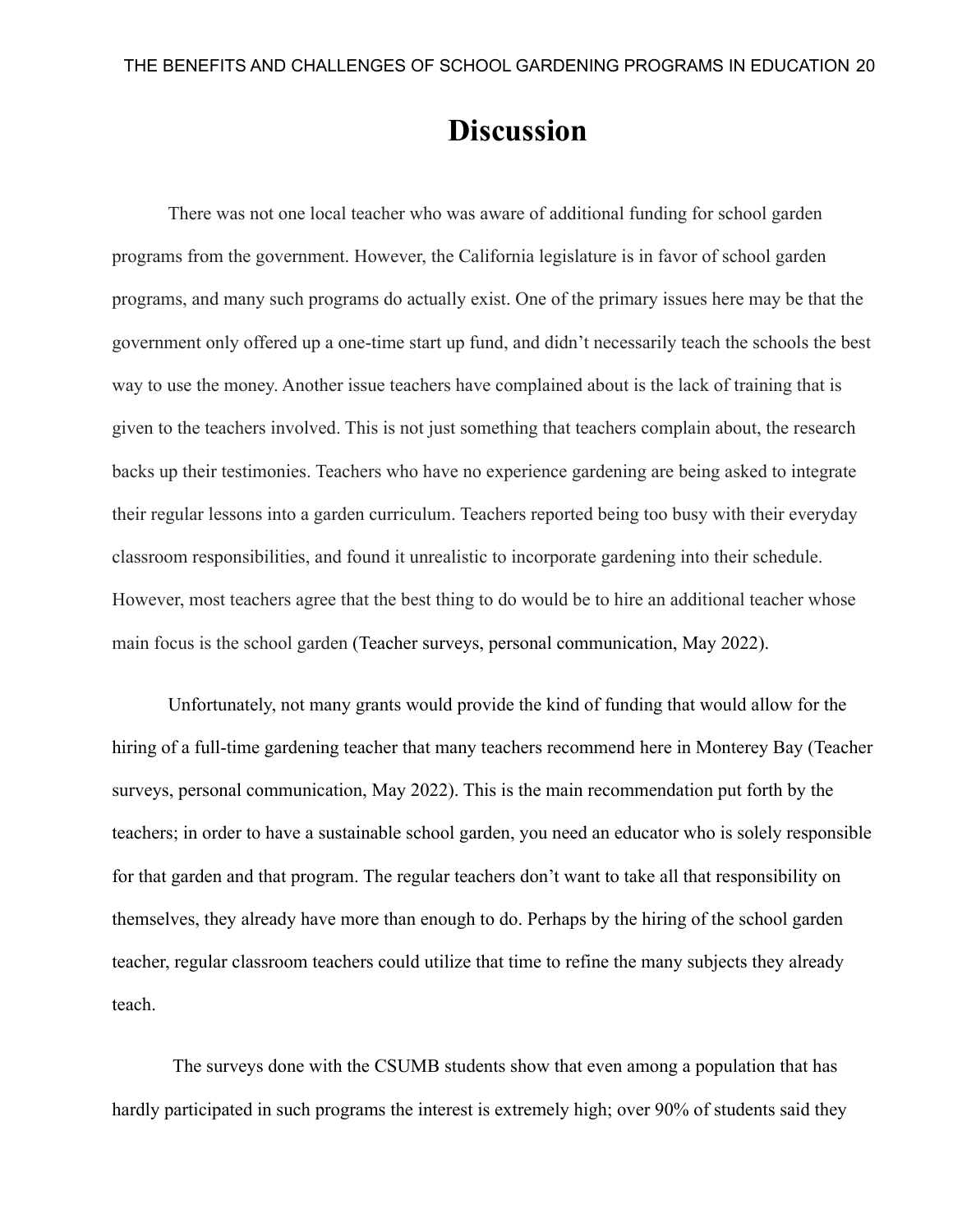# **Discussion**

There was not one local teacher who was aware of additional funding for school garden programs from the government. However, the California legislature is in favor of school garden programs, and many such programs do actually exist. One of the primary issues here may be that the government only offered up a one-time start up fund, and didn't necessarily teach the schools the best way to use the money. Another issue teachers have complained about is the lack of training that is given to the teachers involved. This is not just something that teachers complain about, the research backs up their testimonies. Teachers who have no experience gardening are being asked to integrate their regular lessons into a garden curriculum. Teachers reported being too busy with their everyday classroom responsibilities, and found it unrealistic to incorporate gardening into their schedule. However, most teachers agree that the best thing to do would be to hire an additional teacher whose main focus is the school garden (Teacher surveys, personal communication, May 2022).

Unfortunately, not many grants would provide the kind of funding that would allow for the hiring of a full-time gardening teacher that many teachers recommend here in Monterey Bay (Teacher surveys, personal communication, May 2022). This is the main recommendation put forth by the teachers; in order to have a sustainable school garden, you need an educator who is solely responsible for that garden and that program. The regular teachers don't want to take all that responsibility on themselves, they already have more than enough to do. Perhaps by the hiring of the school garden teacher, regular classroom teachers could utilize that time to refine the many subjects they already teach.

The surveys done with the CSUMB students show that even among a population that has hardly participated in such programs the interest is extremely high; over 90% of students said they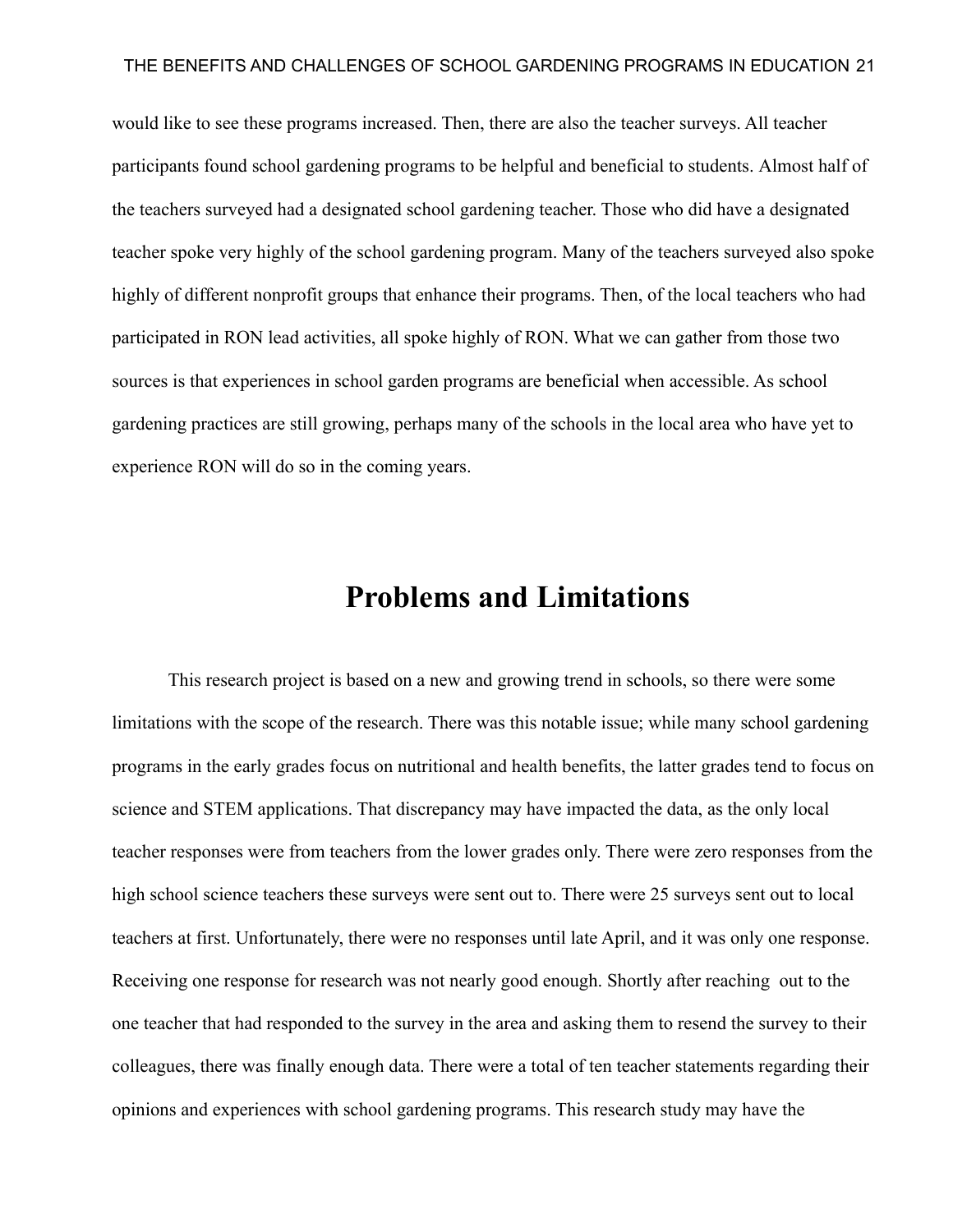would like to see these programs increased. Then, there are also the teacher surveys. All teacher participants found school gardening programs to be helpful and beneficial to students. Almost half of the teachers surveyed had a designated school gardening teacher. Those who did have a designated teacher spoke very highly of the school gardening program. Many of the teachers surveyed also spoke highly of different nonprofit groups that enhance their programs. Then, of the local teachers who had participated in RON lead activities, all spoke highly of RON. What we can gather from those two sources is that experiences in school garden programs are beneficial when accessible. As school gardening practices are still growing, perhaps many of the schools in the local area who have yet to experience RON will do so in the coming years.

# **Problems and Limitations**

This research project is based on a new and growing trend in schools, so there were some limitations with the scope of the research. There was this notable issue; while many school gardening programs in the early grades focus on nutritional and health benefits, the latter grades tend to focus on science and STEM applications. That discrepancy may have impacted the data, as the only local teacher responses were from teachers from the lower grades only. There were zero responses from the high school science teachers these surveys were sent out to. There were 25 surveys sent out to local teachers at first. Unfortunately, there were no responses until late April, and it was only one response. Receiving one response for research was not nearly good enough. Shortly after reaching out to the one teacher that had responded to the survey in the area and asking them to resend the survey to their colleagues, there was finally enough data. There were a total of ten teacher statements regarding their opinions and experiences with school gardening programs. This research study may have the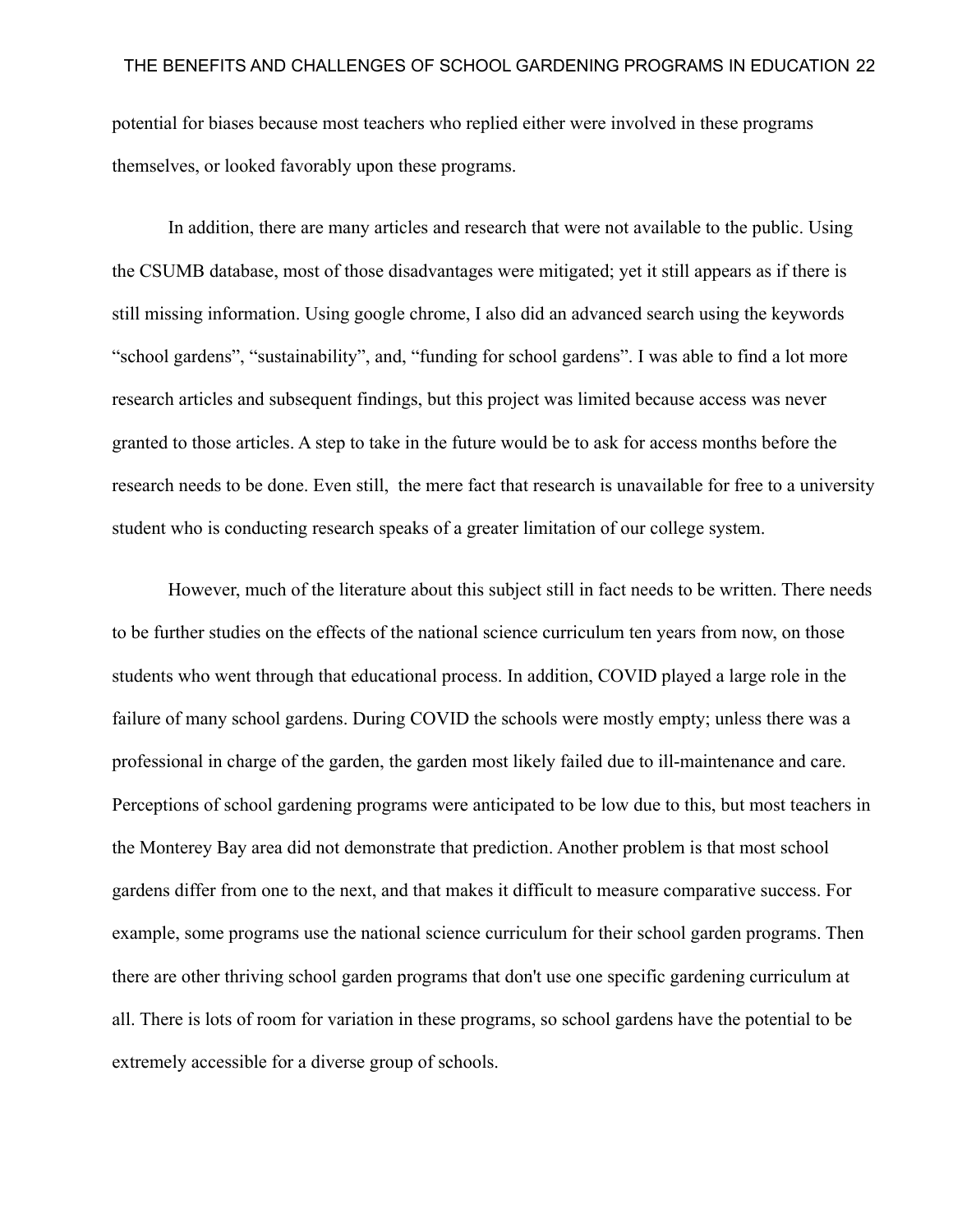potential for biases because most teachers who replied either were involved in these programs themselves, or looked favorably upon these programs.

In addition, there are many articles and research that were not available to the public. Using the CSUMB database, most of those disadvantages were mitigated; yet it still appears as if there is still missing information. Using google chrome, I also did an advanced search using the keywords "school gardens", "sustainability", and, "funding for school gardens". I was able to find a lot more research articles and subsequent findings, but this project was limited because access was never granted to those articles. A step to take in the future would be to ask for access months before the research needs to be done. Even still, the mere fact that research is unavailable for free to a university student who is conducting research speaks of a greater limitation of our college system.

However, much of the literature about this subject still in fact needs to be written. There needs to be further studies on the effects of the national science curriculum ten years from now, on those students who went through that educational process. In addition, COVID played a large role in the failure of many school gardens. During COVID the schools were mostly empty; unless there was a professional in charge of the garden, the garden most likely failed due to ill-maintenance and care. Perceptions of school gardening programs were anticipated to be low due to this, but most teachers in the Monterey Bay area did not demonstrate that prediction. Another problem is that most school gardens differ from one to the next, and that makes it difficult to measure comparative success. For example, some programs use the national science curriculum for their school garden programs. Then there are other thriving school garden programs that don't use one specific gardening curriculum at all. There is lots of room for variation in these programs, so school gardens have the potential to be extremely accessible for a diverse group of schools.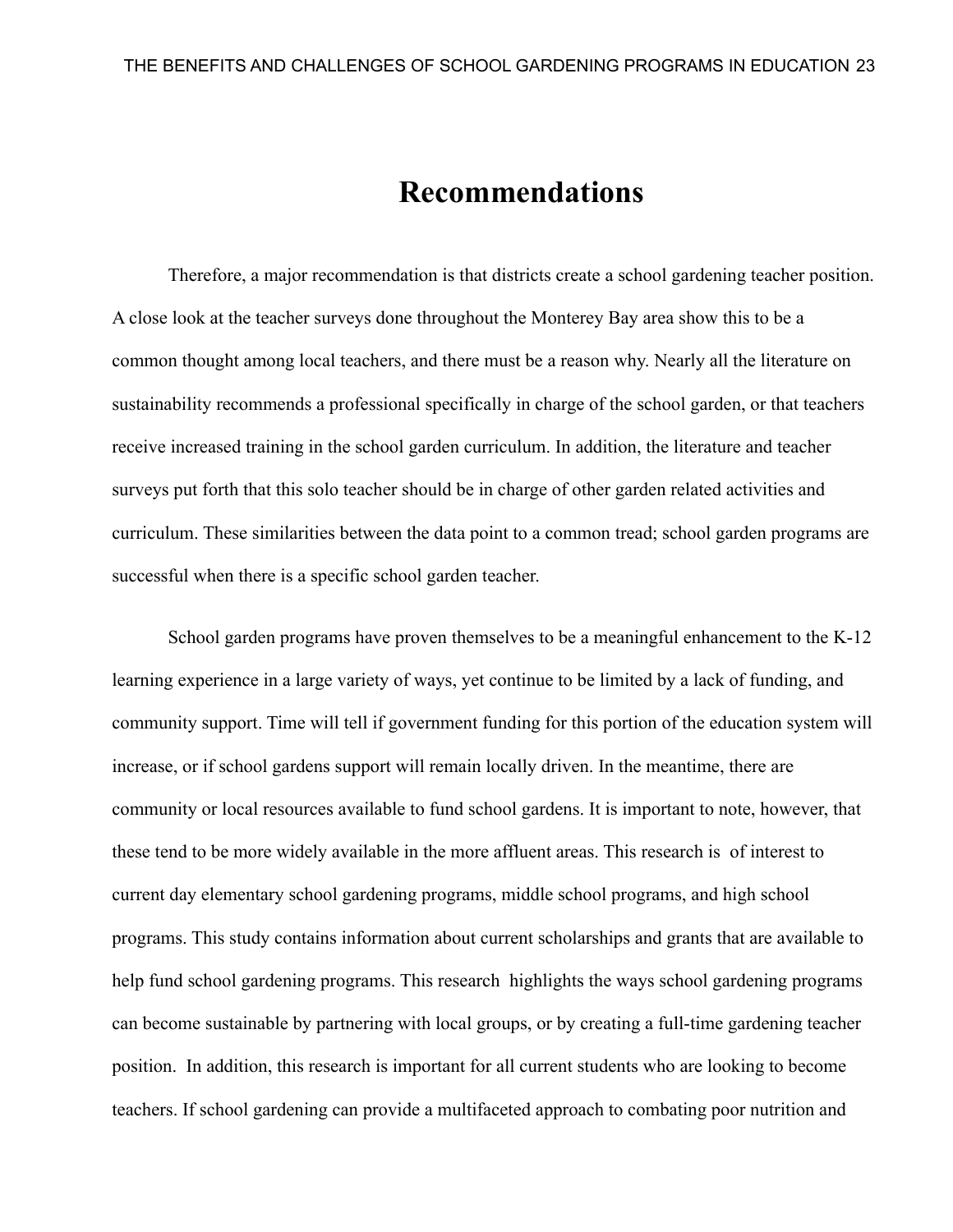# **Recommendations**

Therefore, a major recommendation is that districts create a school gardening teacher position. A close look at the teacher surveys done throughout the Monterey Bay area show this to be a common thought among local teachers, and there must be a reason why. Nearly all the literature on sustainability recommends a professional specifically in charge of the school garden, or that teachers receive increased training in the school garden curriculum. In addition, the literature and teacher surveys put forth that this solo teacher should be in charge of other garden related activities and curriculum. These similarities between the data point to a common tread; school garden programs are successful when there is a specific school garden teacher.

School garden programs have proven themselves to be a meaningful enhancement to the K-12 learning experience in a large variety of ways, yet continue to be limited by a lack of funding, and community support. Time will tell if government funding for this portion of the education system will increase, or if school gardens support will remain locally driven. In the meantime, there are community or local resources available to fund school gardens. It is important to note, however, that these tend to be more widely available in the more affluent areas. This research is of interest to current day elementary school gardening programs, middle school programs, and high school programs. This study contains information about current scholarships and grants that are available to help fund school gardening programs. This research highlights the ways school gardening programs can become sustainable by partnering with local groups, or by creating a full-time gardening teacher position. In addition, this research is important for all current students who are looking to become teachers. If school gardening can provide a multifaceted approach to combating poor nutrition and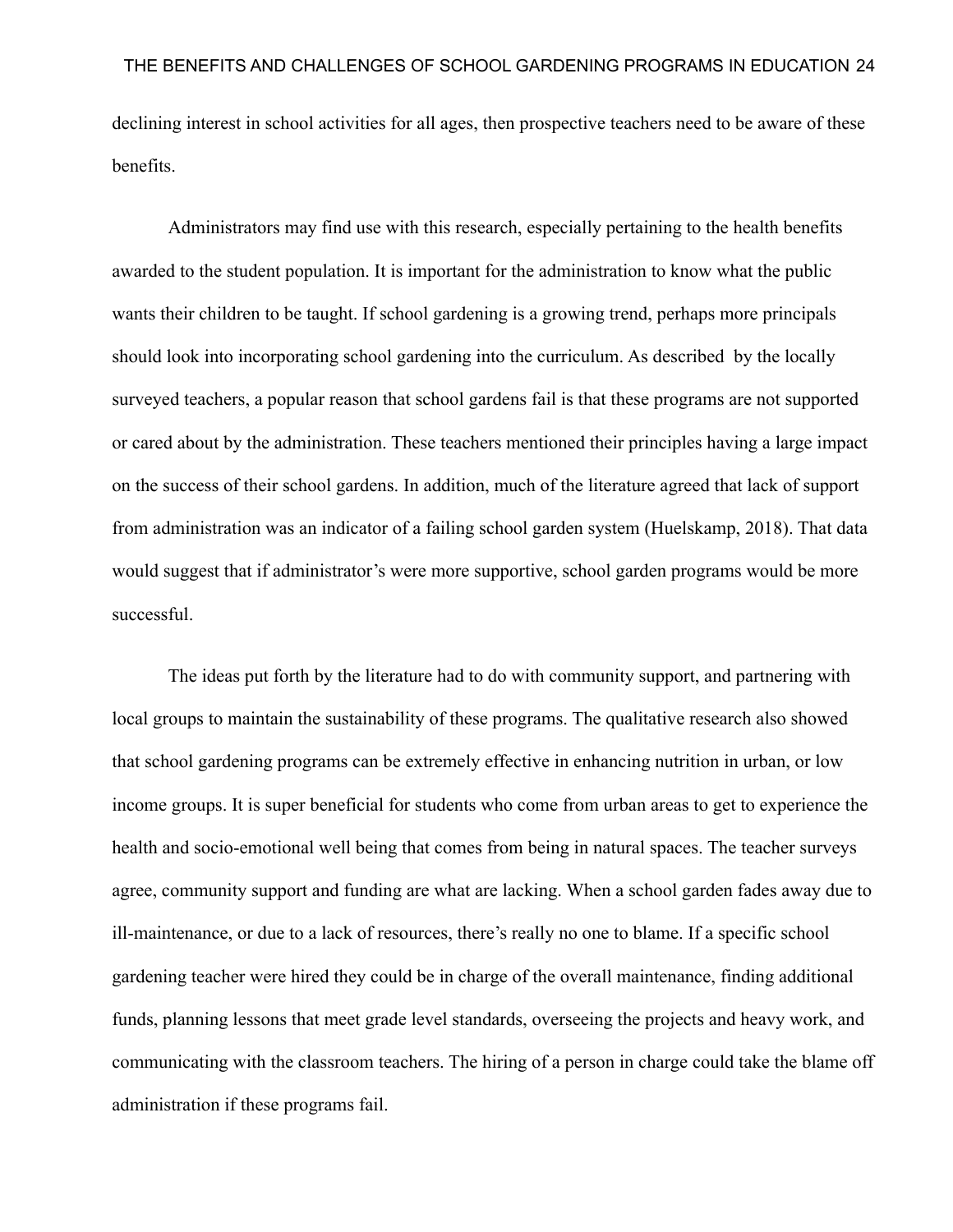declining interest in school activities for all ages, then prospective teachers need to be aware of these benefits.

Administrators may find use with this research, especially pertaining to the health benefits awarded to the student population. It is important for the administration to know what the public wants their children to be taught. If school gardening is a growing trend, perhaps more principals should look into incorporating school gardening into the curriculum. As described by the locally surveyed teachers, a popular reason that school gardens fail is that these programs are not supported or cared about by the administration. These teachers mentioned their principles having a large impact on the success of their school gardens. In addition, much of the literature agreed that lack of support from administration was an indicator of a failing school garden system (Huelskamp, 2018). That data would suggest that if administrator's were more supportive, school garden programs would be more successful.

The ideas put forth by the literature had to do with community support, and partnering with local groups to maintain the sustainability of these programs. The qualitative research also showed that school gardening programs can be extremely effective in enhancing nutrition in urban, or low income groups. It is super beneficial for students who come from urban areas to get to experience the health and socio-emotional well being that comes from being in natural spaces. The teacher surveys agree, community support and funding are what are lacking. When a school garden fades away due to ill-maintenance, or due to a lack of resources, there's really no one to blame. If a specific school gardening teacher were hired they could be in charge of the overall maintenance, finding additional funds, planning lessons that meet grade level standards, overseeing the projects and heavy work, and communicating with the classroom teachers. The hiring of a person in charge could take the blame off administration if these programs fail.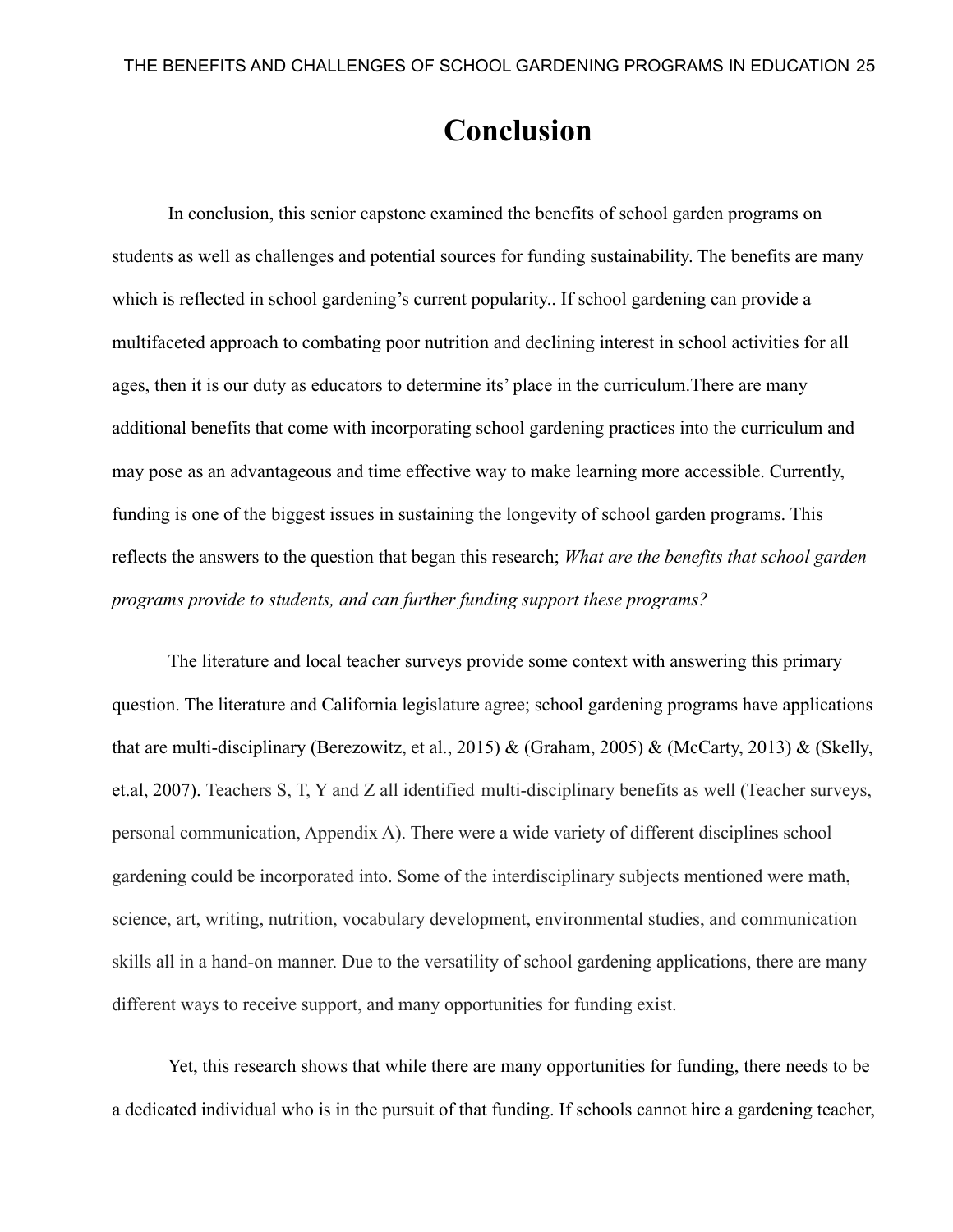# **Conclusion**

In conclusion, this senior capstone examined the benefits of school garden programs on students as well as challenges and potential sources for funding sustainability. The benefits are many which is reflected in school gardening's current popularity.. If school gardening can provide a multifaceted approach to combating poor nutrition and declining interest in school activities for all ages, then it is our duty as educators to determine its' place in the curriculum.There are many additional benefits that come with incorporating school gardening practices into the curriculum and may pose as an advantageous and time effective way to make learning more accessible. Currently, funding is one of the biggest issues in sustaining the longevity of school garden programs. This reflects the answers to the question that began this research; *What are the benefits that school garden programs provide to students, and can further funding support these programs?*

The literature and local teacher surveys provide some context with answering this primary question. The literature and California legislature agree; school gardening programs have applications that are multi-disciplinary (Berezowitz, et al., 2015) & (Graham, 2005) & (McCarty, 2013) & (Skelly, et.al, 2007). Teachers S, T, Y and Z all identified multi-disciplinary benefits as well (Teacher surveys, personal communication, Appendix A). There were a wide variety of different disciplines school gardening could be incorporated into. Some of the interdisciplinary subjects mentioned were math, science, art, writing, nutrition, vocabulary development, environmental studies, and communication skills all in a hand-on manner. Due to the versatility of school gardening applications, there are many different ways to receive support, and many opportunities for funding exist.

Yet, this research shows that while there are many opportunities for funding, there needs to be a dedicated individual who is in the pursuit of that funding. If schools cannot hire a gardening teacher,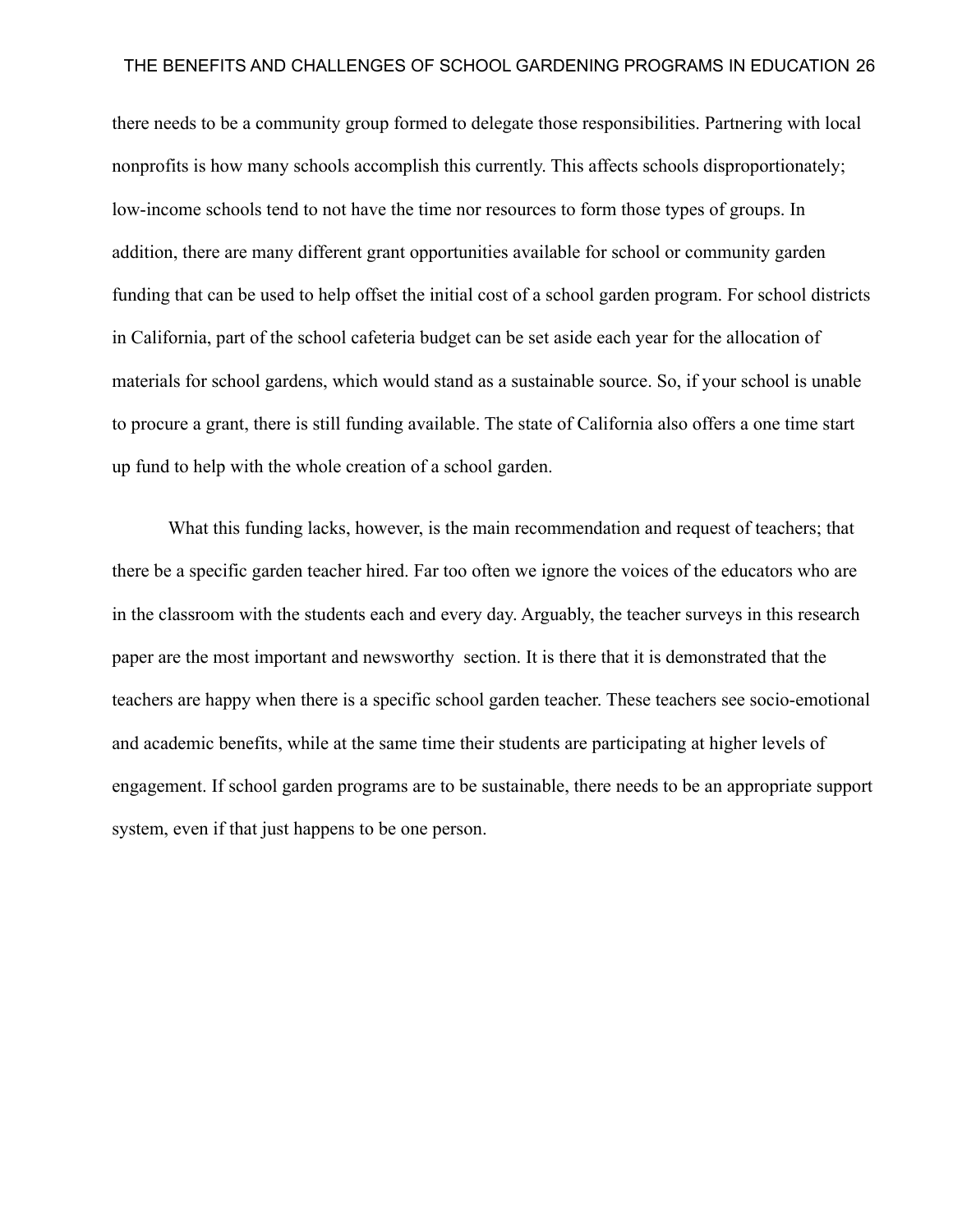there needs to be a community group formed to delegate those responsibilities. Partnering with local nonprofits is how many schools accomplish this currently. This affects schools disproportionately; low-income schools tend to not have the time nor resources to form those types of groups. In addition, there are many different grant opportunities available for school or community garden funding that can be used to help offset the initial cost of a school garden program. For school districts in California, part of the school cafeteria budget can be set aside each year for the allocation of materials for school gardens, which would stand as a sustainable source. So, if your school is unable to procure a grant, there is still funding available. The state of California also offers a one time start up fund to help with the whole creation of a school garden.

What this funding lacks, however, is the main recommendation and request of teachers; that there be a specific garden teacher hired. Far too often we ignore the voices of the educators who are in the classroom with the students each and every day. Arguably, the teacher surveys in this research paper are the most important and newsworthy section. It is there that it is demonstrated that the teachers are happy when there is a specific school garden teacher. These teachers see socio-emotional and academic benefits, while at the same time their students are participating at higher levels of engagement. If school garden programs are to be sustainable, there needs to be an appropriate support system, even if that just happens to be one person.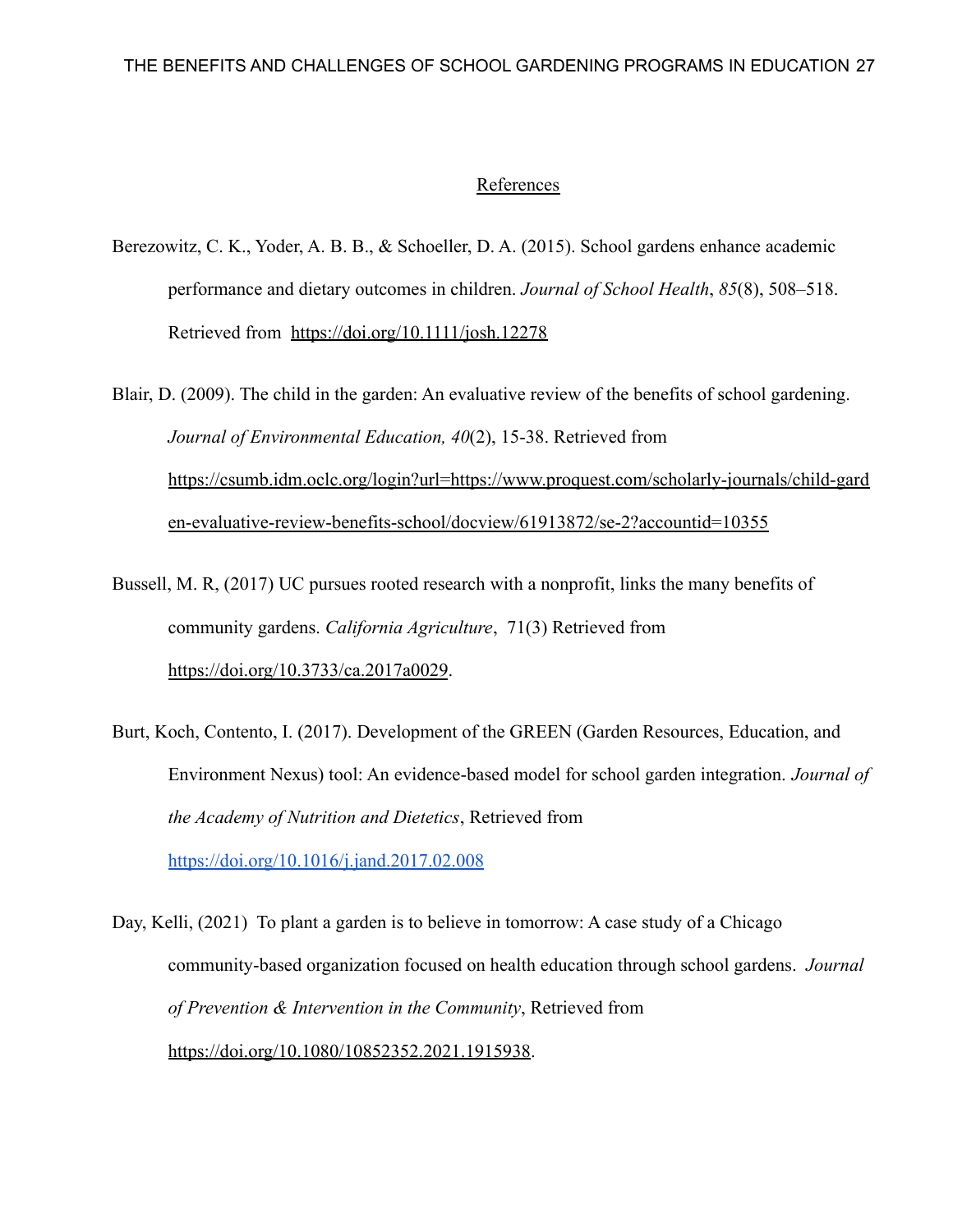#### References

- Berezowitz, C. K., Yoder, A. B. B., & Schoeller, D. A. (2015). School gardens enhance academic performance and dietary outcomes in children. *Journal of School Health*, *85*(8), 508–518. Retrieved from <https://doi.org/10.1111/josh.12278>
- Blair, D. (2009). The child in the garden: An evaluative review of the benefits of school gardening. *Journal of Environmental Education, 40*(2), 15-38. Retrieved from [https://csumb.idm.oclc.org/login?url=https://www.proquest.com/scholarly-journals/child-gard](https://csumb.idm.oclc.org/login?url=https://www.proquest.com/scholarly-journals/child-garden-evaluative-review-benefits-school/docview/61913872/se-2?accountid=10355) [en-evaluative-review-benefits-school/docview/61913872/se-2?accountid=10355](https://csumb.idm.oclc.org/login?url=https://www.proquest.com/scholarly-journals/child-garden-evaluative-review-benefits-school/docview/61913872/se-2?accountid=10355)
- Bussell, M. R, (2017) UC pursues rooted research with a nonprofit, links the many benefits of community gardens. *California Agriculture*, 71(3) Retrieved from <https://doi.org/10.3733/ca.2017a0029>.
- Burt, Koch, Contento, I. (2017). Development of the GREEN (Garden Resources, Education, and Environment Nexus) tool: An evidence-based model for school garden integration. *Journal of the Academy of Nutrition and Dietetics*, Retrieved from <https://doi.org/10.1016/j.jand.2017.02.008>
- Day, Kelli, (2021) To plant a garden is to believe in tomorrow: A case study of a Chicago community-based organization focused on health education through school gardens. *Journal of Prevention & Intervention in the Community*, Retrieved from <https://doi.org/10.1080/10852352.2021.1915938>.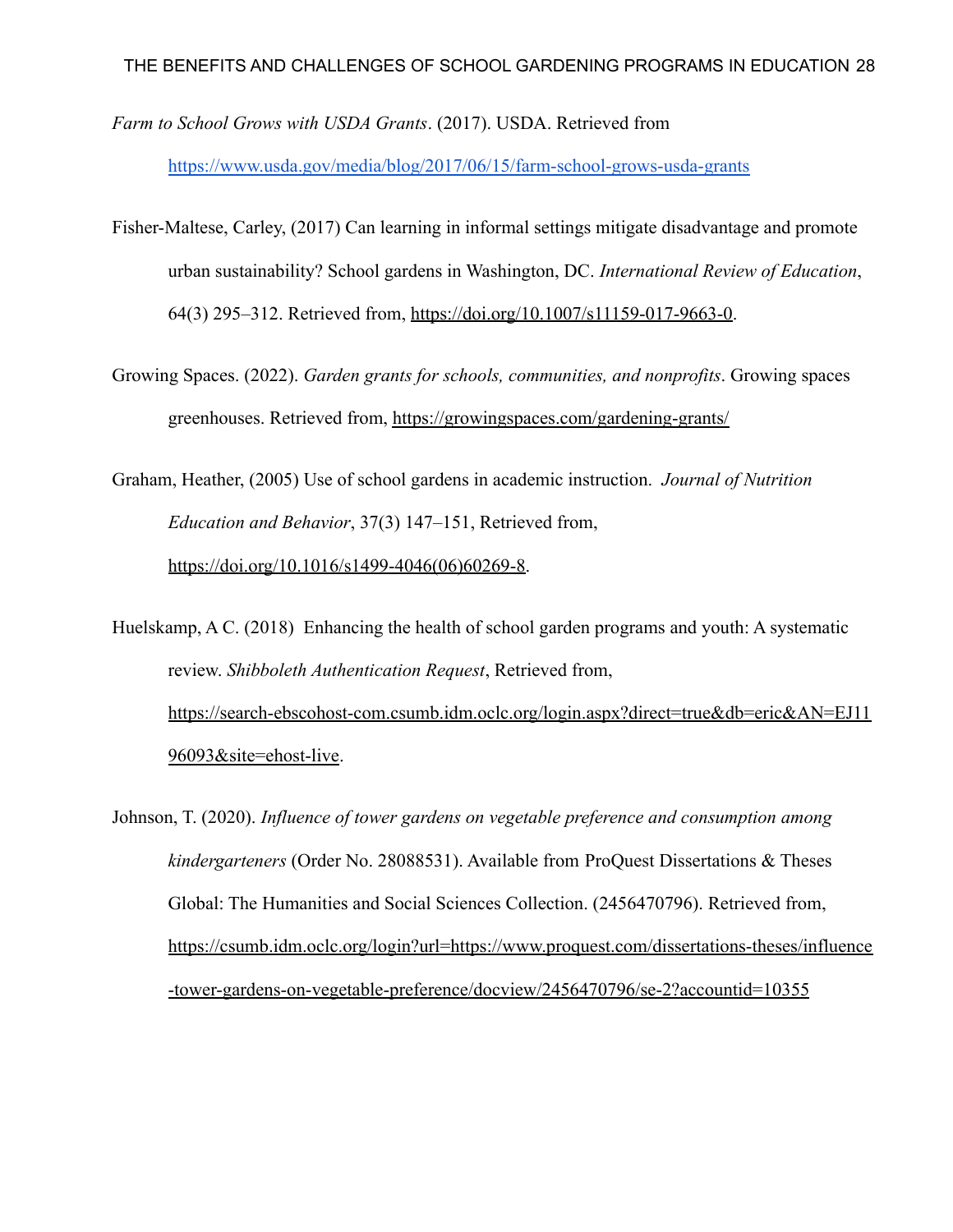*Farm to School Grows with USDA Grants*. (2017). USDA. Retrieved from

<https://www.usda.gov/media/blog/2017/06/15/farm-school-grows-usda-grants>

- Fisher-Maltese, Carley, (2017) Can learning in informal settings mitigate disadvantage and promote urban sustainability? School gardens in Washington, DC. *International Review of Education*, 64(3) 295–312. Retrieved from, [https://doi.org/10.1007/s11159-017-9663-0.](https://doi.org/10.1007/s11159-017-9663-0)
- Growing Spaces. (2022). *Garden grants for schools, communities, and nonprofits*. Growing spaces greenhouses. Retrieved from, <https://growingspaces.com/gardening-grants/>

Graham, Heather, (2005) Use of school gardens in academic instruction. *Journal of Nutrition Education and Behavior*, 37(3) 147–151, Retrieved from,

[https://doi.org/10.1016/s1499-4046\(06\)60269-8.](https://doi.org/10.1016/s1499-4046(06)60269-8)

Huelskamp, A C. (2018) Enhancing the health of school garden programs and youth: A systematic review. *Shibboleth Authentication Request*, Retrieved from, [https://search-ebscohost-com.csumb.idm.oclc.org/login.aspx?direct=true&db=eric&AN=EJ11](https://search-ebscohost-com.csumb.idm.oclc.org/login.aspx?direct=true&db=eric&AN=EJ1196093&site=ehost-live) [96093&site=ehost-live](https://search-ebscohost-com.csumb.idm.oclc.org/login.aspx?direct=true&db=eric&AN=EJ1196093&site=ehost-live).

Johnson, T. (2020). *Influence of tower gardens on vegetable preference and consumption among kindergarteners* (Order No. 28088531). Available from ProQuest Dissertations & Theses Global: The Humanities and Social Sciences Collection. (2456470796). Retrieved from, [https://csumb.idm.oclc.org/login?url=https://www.proquest.com/dissertations-theses/influence](https://csumb.idm.oclc.org/login?url=https://www.proquest.com/dissertations-theses/influence-tower-gardens-on-vegetable-preference/docview/2456470796/se-2?accountid=10355) [-tower-gardens-on-vegetable-preference/docview/2456470796/se-2?accountid=10355](https://csumb.idm.oclc.org/login?url=https://www.proquest.com/dissertations-theses/influence-tower-gardens-on-vegetable-preference/docview/2456470796/se-2?accountid=10355)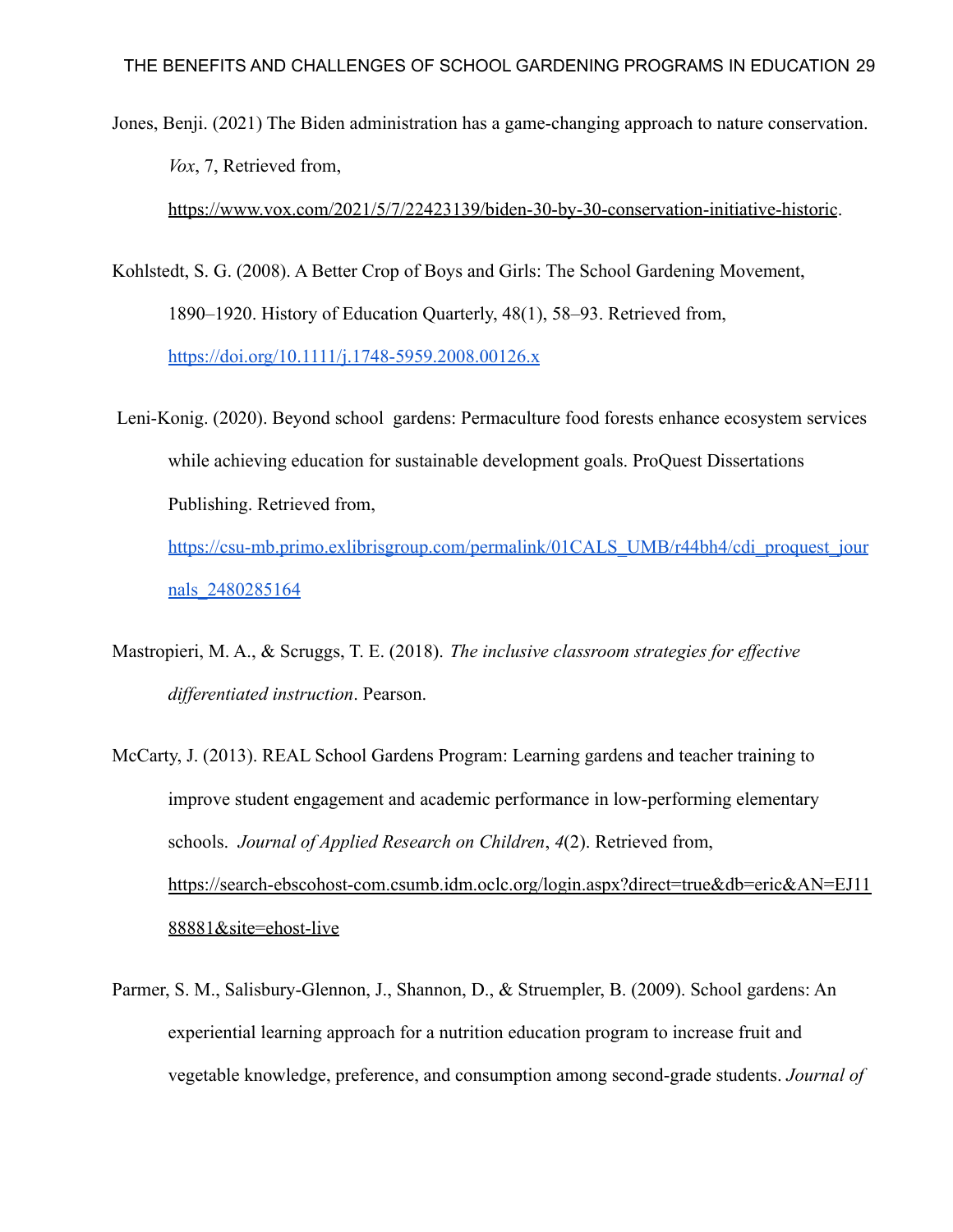Jones, Benji. (2021) The Biden administration has a game-changing approach to nature conservation. *Vox*, 7, Retrieved from,

<https://www.vox.com/2021/5/7/22423139/biden-30-by-30-conservation-initiative-historic>.

- Kohlstedt, S. G. (2008). A Better Crop of Boys and Girls: The School Gardening Movement, 1890–1920. History of Education Quarterly, 48(1), 58–93. Retrieved from, <https://doi.org/10.1111/j.1748-5959.2008.00126.x>
- Leni-Konig. (2020). Beyond school gardens: Permaculture food forests enhance ecosystem services while achieving education for sustainable development goals. ProQuest Dissertations Publishing. Retrieved from, [https://csu-mb.primo.exlibrisgroup.com/permalink/01CALS\\_UMB/r44bh4/cdi\\_proquest\\_jour](https://csu-mb.primo.exlibrisgroup.com/permalink/01CALS_UMB/r44bh4/cdi_proquest_journals_2480285164)

[nals\\_2480285164](https://csu-mb.primo.exlibrisgroup.com/permalink/01CALS_UMB/r44bh4/cdi_proquest_journals_2480285164)

- Mastropieri, M. A., & Scruggs, T. E. (2018). *The inclusive classroom strategies for effective differentiated instruction*. Pearson.
- McCarty, J. (2013). REAL School Gardens Program: Learning gardens and teacher training to improve student engagement and academic performance in low-performing elementary schools. *Journal of Applied Research on Children*, *4*(2). Retrieved from, [https://search-ebscohost-com.csumb.idm.oclc.org/login.aspx?direct=true&db=eric&AN=EJ11](https://search-ebscohost-com.csumb.idm.oclc.org/login.aspx?direct=true&db=eric&AN=EJ1188881&site=ehost-live) [88881&site=ehost-live](https://search-ebscohost-com.csumb.idm.oclc.org/login.aspx?direct=true&db=eric&AN=EJ1188881&site=ehost-live)
- Parmer, S. M., Salisbury-Glennon, J., Shannon, D., & Struempler, B. (2009). School gardens: An experiential learning approach for a nutrition education program to increase fruit and vegetable knowledge, preference, and consumption among second-grade students. *Journal of*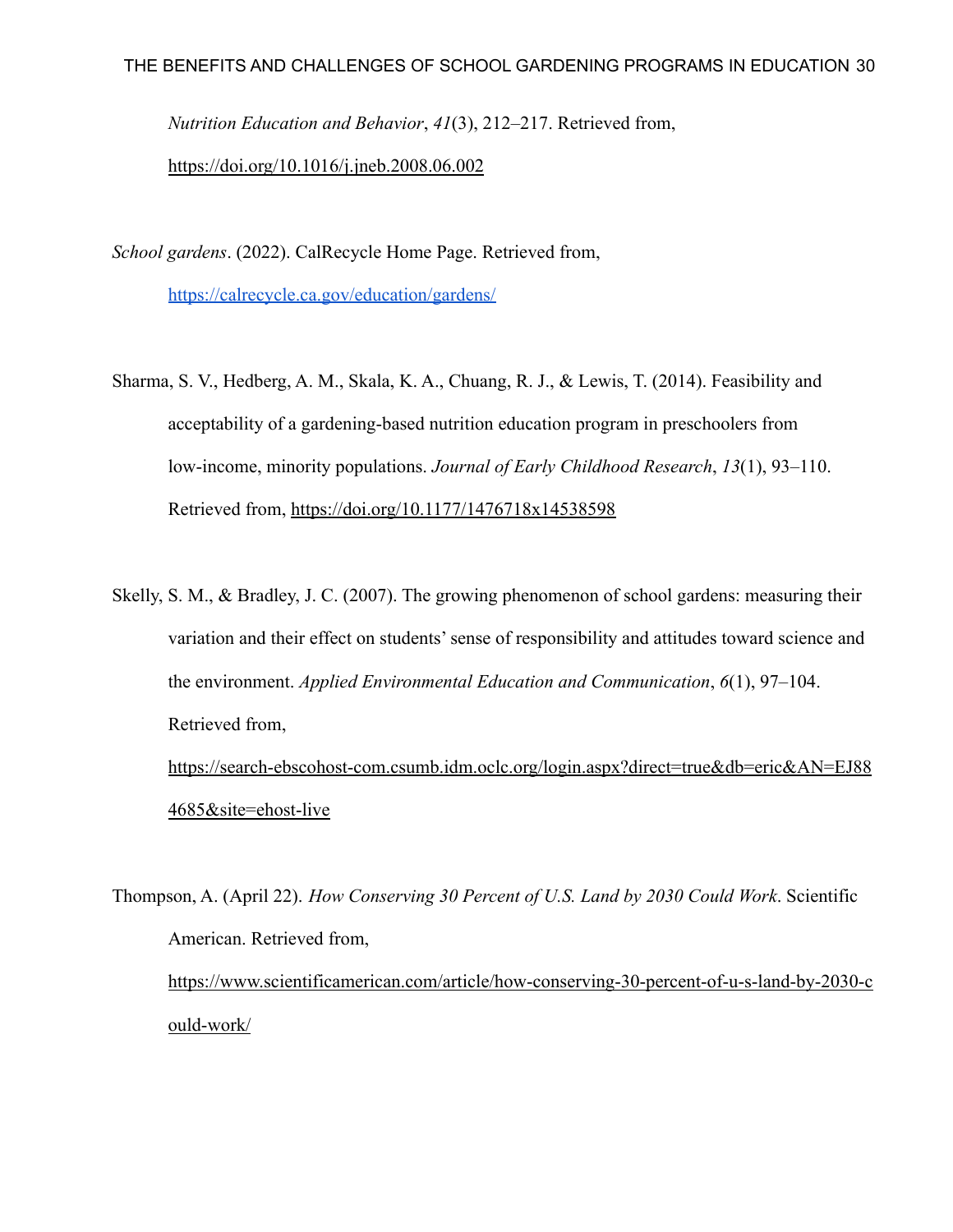*Nutrition Education and Behavior*, *41*(3), 212–217. Retrieved from,

<https://doi.org/10.1016/j.jneb.2008.06.002>

*School gardens*. (2022). CalRecycle Home Page. Retrieved from,

<https://calrecycle.ca.gov/education/gardens/>

- Sharma, S. V., Hedberg, A. M., Skala, K. A., Chuang, R. J., & Lewis, T. (2014). Feasibility and acceptability of a gardening-based nutrition education program in preschoolers from low-income, minority populations. *Journal of Early Childhood Research*, *13*(1), 93–110. Retrieved from, <https://doi.org/10.1177/1476718x14538598>
- Skelly, S. M., & Bradley, J. C. (2007). The growing phenomenon of school gardens: measuring their variation and their effect on students' sense of responsibility and attitudes toward science and the environment. *Applied Environmental Education and Communication*, *6*(1), 97–104. Retrieved from, [https://search-ebscohost-com.csumb.idm.oclc.org/login.aspx?direct=true&db=eric&AN=EJ88](https://search-ebscohost-com.csumb.idm.oclc.org/login.aspx?direct=true&db=eric&AN=EJ884685&site=ehost-live) [4685&site=ehost-live](https://search-ebscohost-com.csumb.idm.oclc.org/login.aspx?direct=true&db=eric&AN=EJ884685&site=ehost-live)

Thompson, A. (April 22). *How Conserving 30 Percent of U.S. Land by 2030 Could Work*. Scientific American. Retrieved from, [https://www.scientificamerican.com/article/how-conserving-30-percent-of-u-s-land-by-2030-c](https://www.scientificamerican.com/article/how-conserving-30-percent-of-u-s-land-by-2030-could-work/) [ould-work/](https://www.scientificamerican.com/article/how-conserving-30-percent-of-u-s-land-by-2030-could-work/)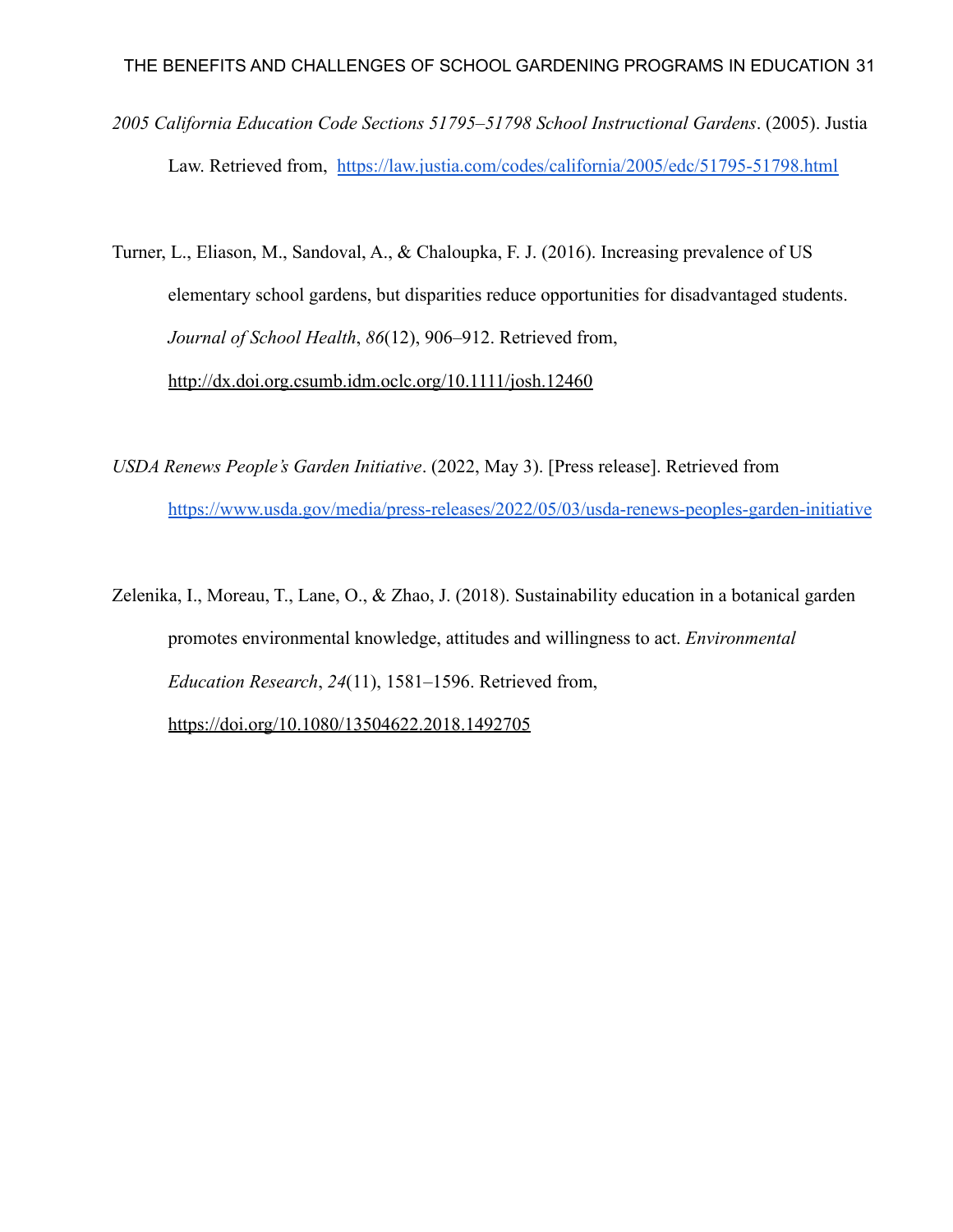*2005 California Education Code Sections 51795–51798 School Instructional Gardens*. (2005). Justia Law. Retrieved from, <https://law.justia.com/codes/california/2005/edc/51795-51798.html>

Turner, L., Eliason, M., Sandoval, A., & Chaloupka, F. J. (2016). Increasing prevalence of US elementary school gardens, but disparities reduce opportunities for disadvantaged students. *Journal of School Health*, *86*(12), 906–912. Retrieved from, <http://dx.doi.org.csumb.idm.oclc.org/10.1111/josh.12460>

- *USDA Renews People's Garden Initiative*. (2022, May 3). [Press release]. Retrieved from <https://www.usda.gov/media/press-releases/2022/05/03/usda-renews-peoples-garden-initiative>
- Zelenika, I., Moreau, T., Lane, O., & Zhao, J. (2018). Sustainability education in a botanical garden promotes environmental knowledge, attitudes and willingness to act. *Environmental Education Research*, *24*(11), 1581–1596. Retrieved from, <https://doi.org/10.1080/13504622.2018.1492705>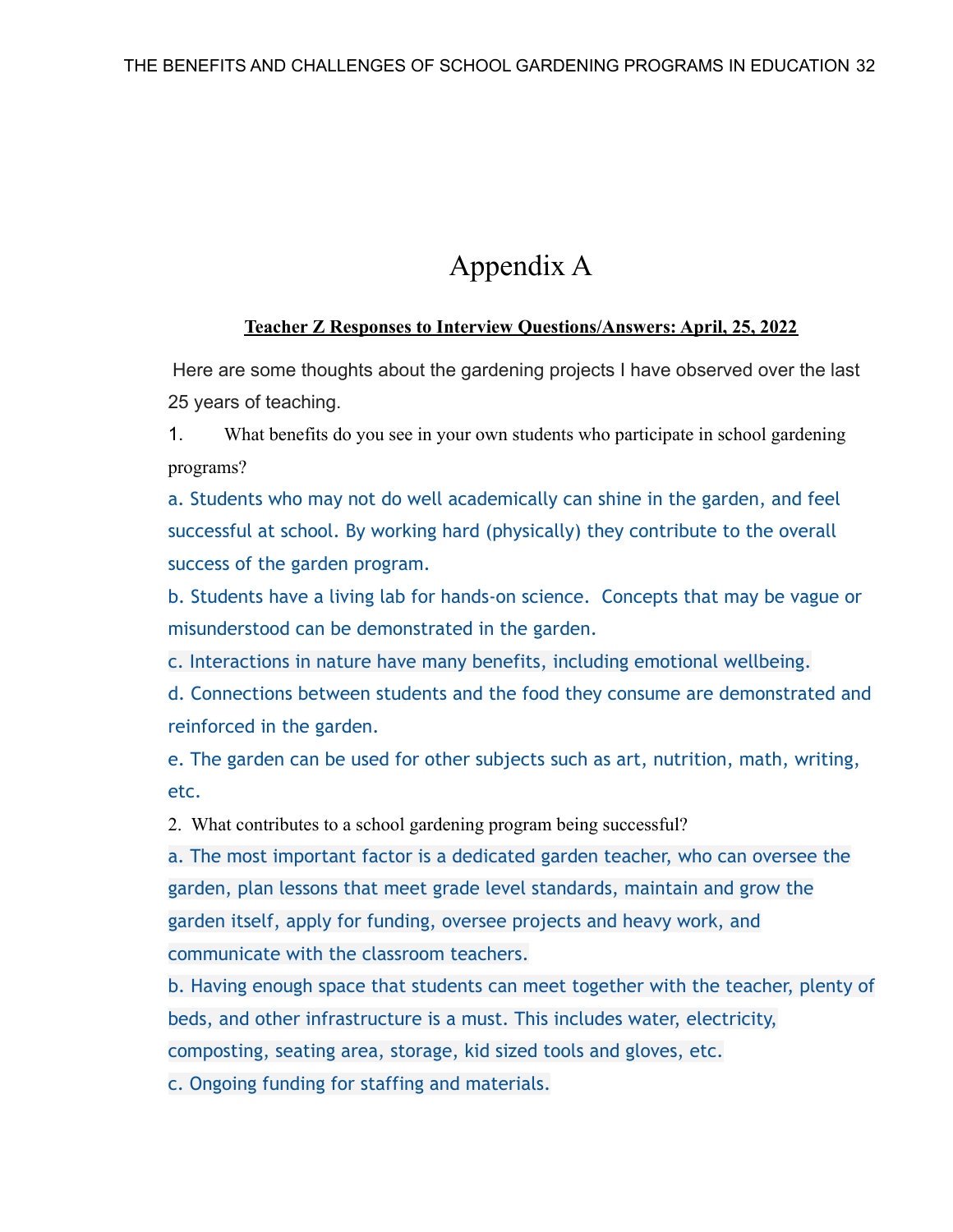# Appendix A

### **Teacher Z Responses to Interview Questions/Answers: April, 25, 2022**

Here are some thoughts about the gardening projects I have observed over the last 25 years of teaching.

1. What benefits do you see in your own students who participate in school gardening programs?

a. Students who may not do well academically can shine in the garden, and feel successful at school. By working hard (physically) they contribute to the overall success of the garden program.

b. Students have a living lab for hands-on science. Concepts that may be vague or misunderstood can be demonstrated in the garden.

c. Interactions in nature have many benefits, including emotional wellbeing.

d. Connections between students and the food they consume are demonstrated and reinforced in the garden.

e. The garden can be used for other subjects such as art, nutrition, math, writing, etc.

2. What contributes to a school gardening program being successful?

a. The most important factor is a dedicated garden teacher, who can oversee the garden, plan lessons that meet grade level standards, maintain and grow the garden itself, apply for funding, oversee projects and heavy work, and communicate with the classroom teachers.

b. Having enough space that students can meet together with the teacher, plenty of beds, and other infrastructure is a must. This includes water, electricity, composting, seating area, storage, kid sized tools and gloves, etc.

c. Ongoing funding for staffing and materials.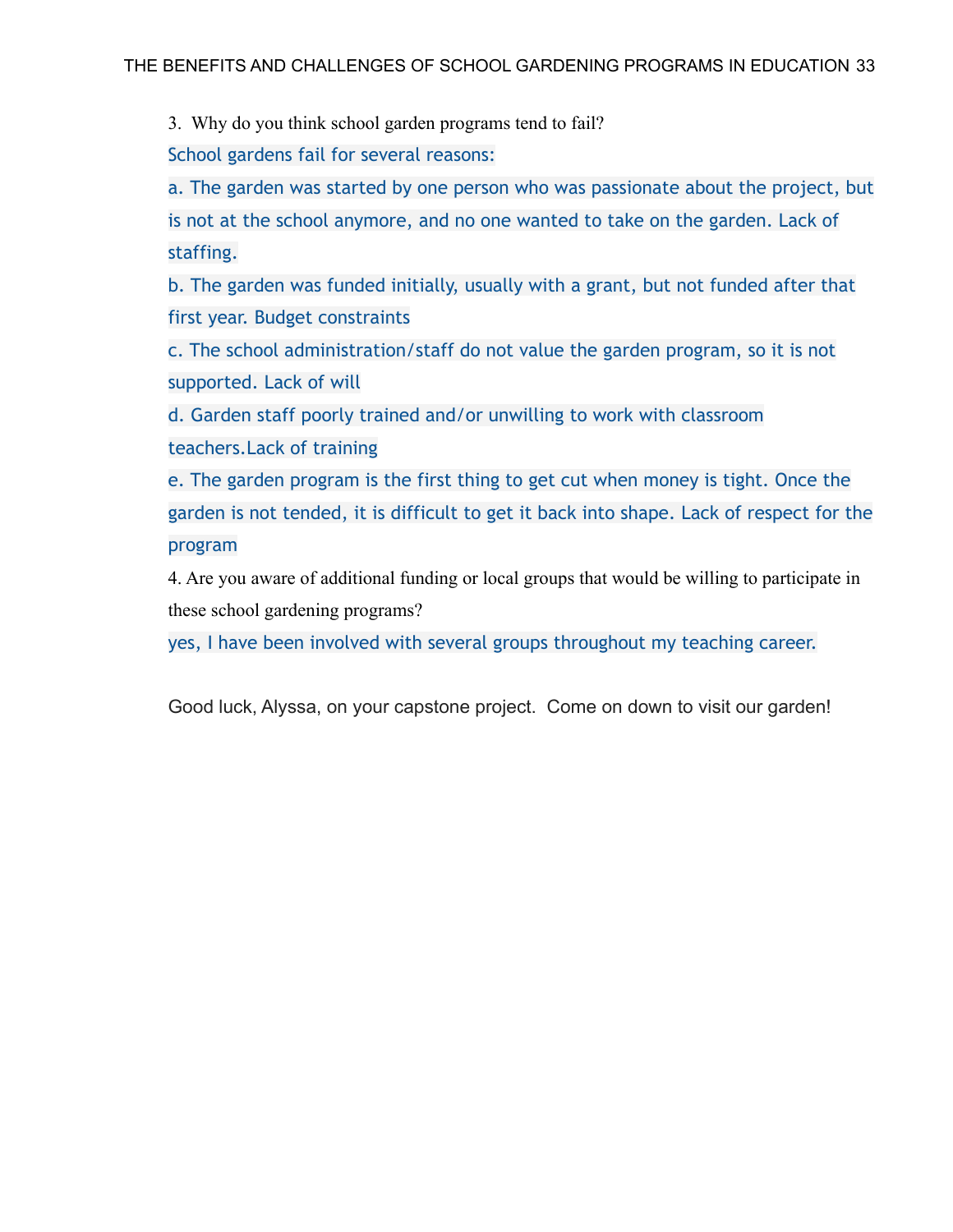3. Why do you think school garden programs tend to fail?

School gardens fail for several reasons:

a. The garden was started by one person who was passionate about the project, but is not at the school anymore, and no one wanted to take on the garden. Lack of staffing.

b. The garden was funded initially, usually with a grant, but not funded after that first year. Budget constraints

c. The school administration/staff do not value the garden program, so it is not supported. Lack of will

d. Garden staff poorly trained and/or unwilling to work with classroom teachers.Lack of training

e. The garden program is the first thing to get cut when money is tight. Once the garden is not tended, it is difficult to get it back into shape. Lack of respect for the program

4. Are you aware of additional funding or local groups that would be willing to participate in these school gardening programs?

yes, I have been involved with several groups throughout my teaching career.

Good luck, Alyssa, on your capstone project. Come on down to visit our garden!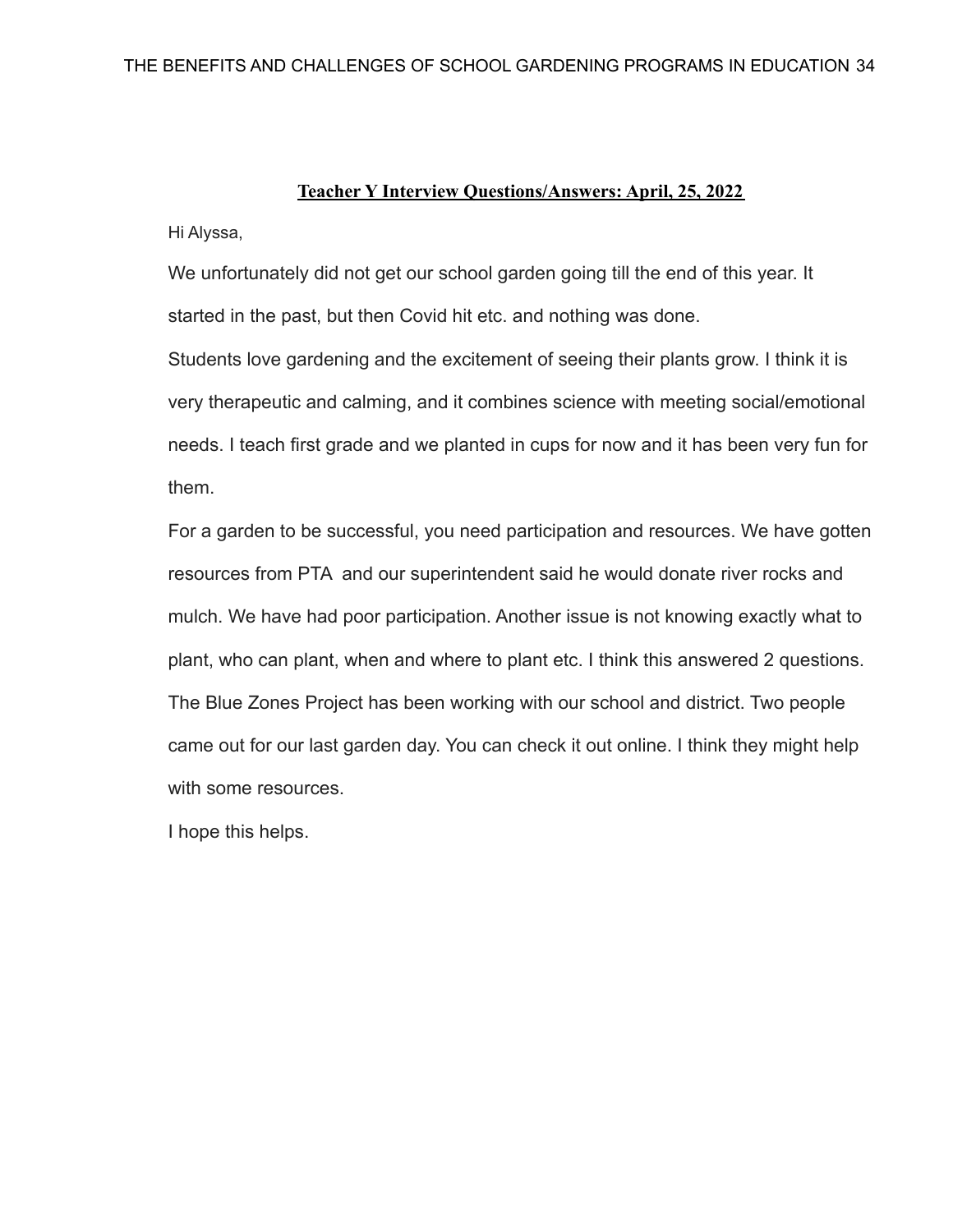#### **Teacher Y Interview Questions/Answers: April, 25, 2022**

Hi Alyssa,

We unfortunately did not get our school garden going till the end of this year. It started in the past, but then Covid hit etc. and nothing was done.

Students love gardening and the excitement of seeing their plants grow. I think it is very therapeutic and calming, and it combines science with meeting social/emotional needs. I teach first grade and we planted in cups for now and it has been very fun for them.

For a garden to be successful, you need participation and resources. We have gotten resources from PTA and our superintendent said he would donate river rocks and mulch. We have had poor participation. Another issue is not knowing exactly what to plant, who can plant, when and where to plant etc. I think this answered 2 questions. The Blue Zones Project has been working with our school and district. Two people came out for our last garden day. You can check it out online. I think they might help with some resources.

I hope this helps.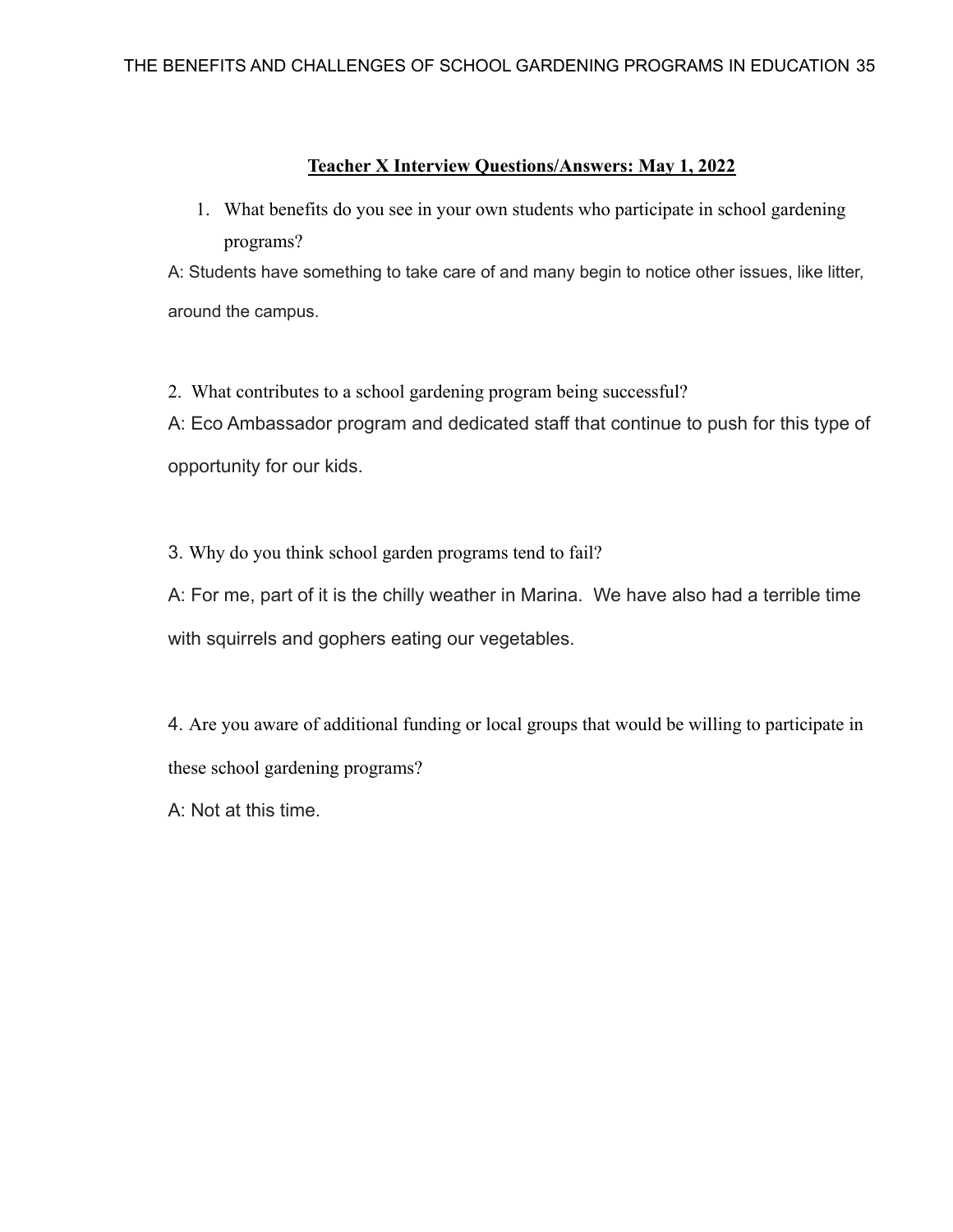### **Teacher X Interview Questions/Answers: May 1, 2022**

1. What benefits do you see in your own students who participate in school gardening programs?

A: Students have something to take care of and many begin to notice other issues, like litter, around the campus.

2. What contributes to a school gardening program being successful?

A: Eco Ambassador program and dedicated staff that continue to push for this type of opportunity for our kids.

3. Why do you think school garden programs tend to fail?

A: For me, part of it is the chilly weather in Marina. We have also had a terrible time with squirrels and gophers eating our vegetables.

4. Are you aware of additional funding or local groups that would be willing to participate in these school gardening programs?

A: Not at this time.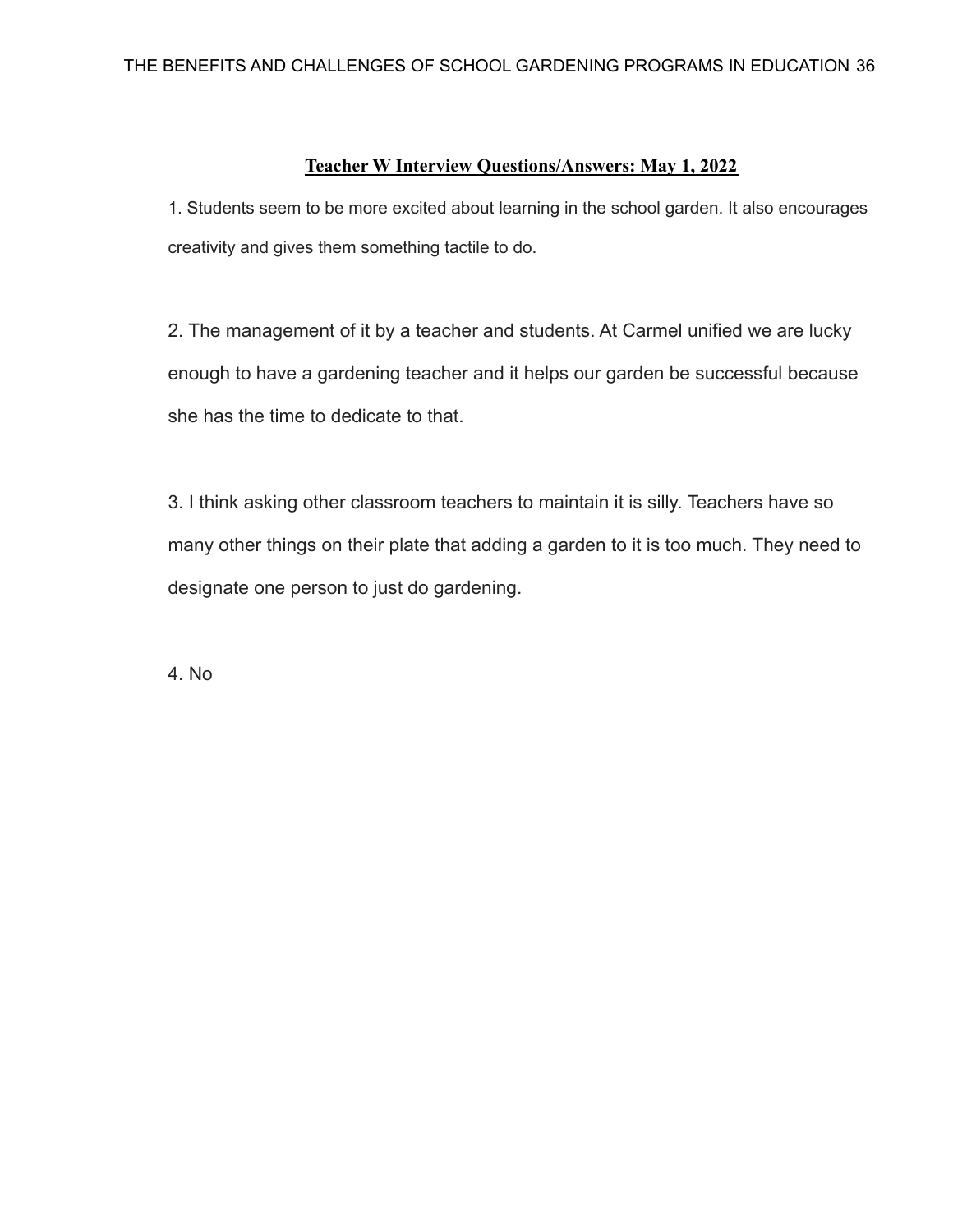### **Teacher W Interview Questions/Answers: May 1, 2022**

1. Students seem to be more excited about learning in the school garden. It also encourages creativity and gives them something tactile to do.

2. The management of it by a teacher and students. At Carmel unified we are lucky enough to have a gardening teacher and it helps our garden be successful because she has the time to dedicate to that.

3. I think asking other classroom teachers to maintain it is silly. Teachers have so many other things on their plate that adding a garden to it is too much. They need to designate one person to just do gardening.

4. No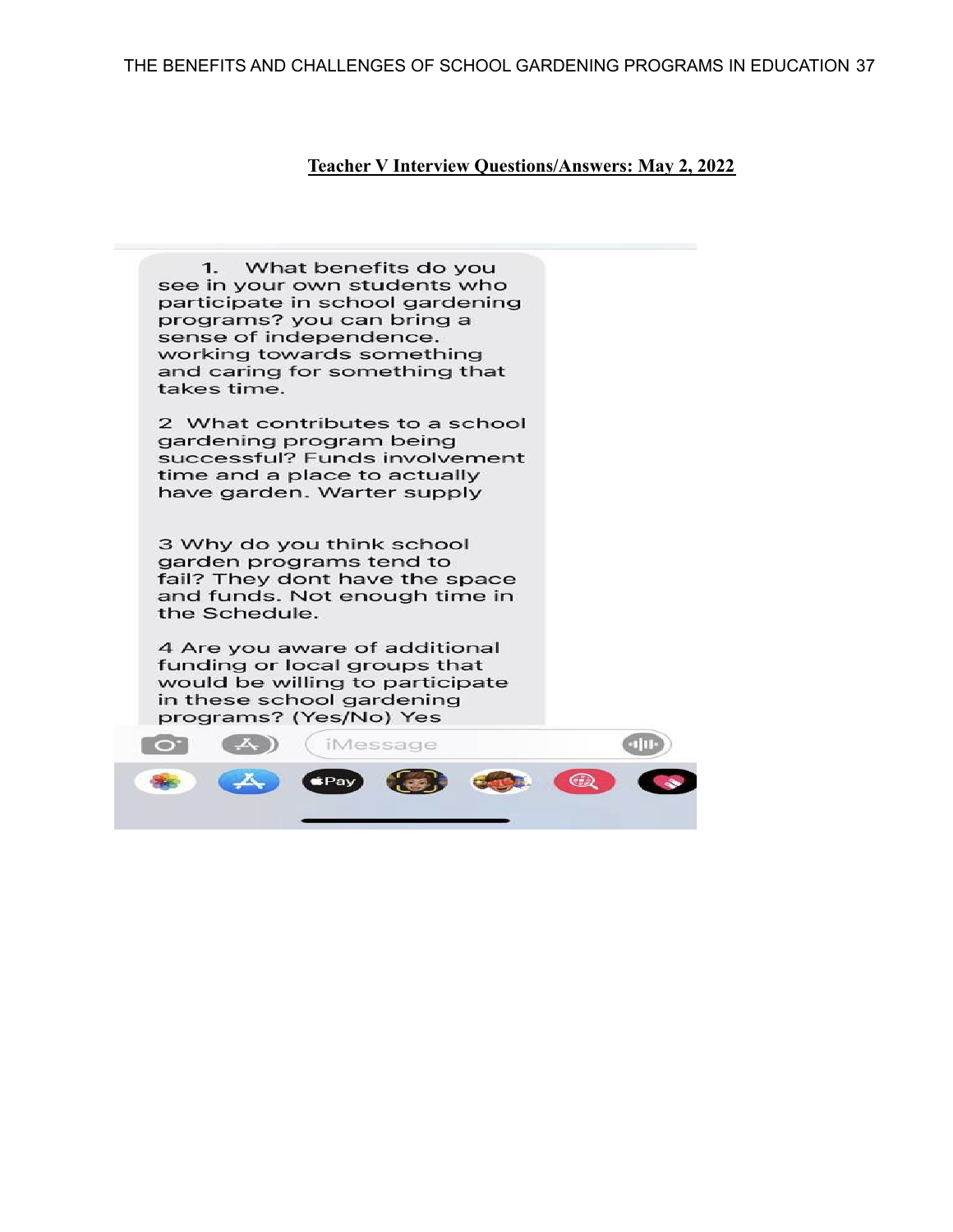#### **Teacher V Interview Questions/Answers: May 2, 2022**

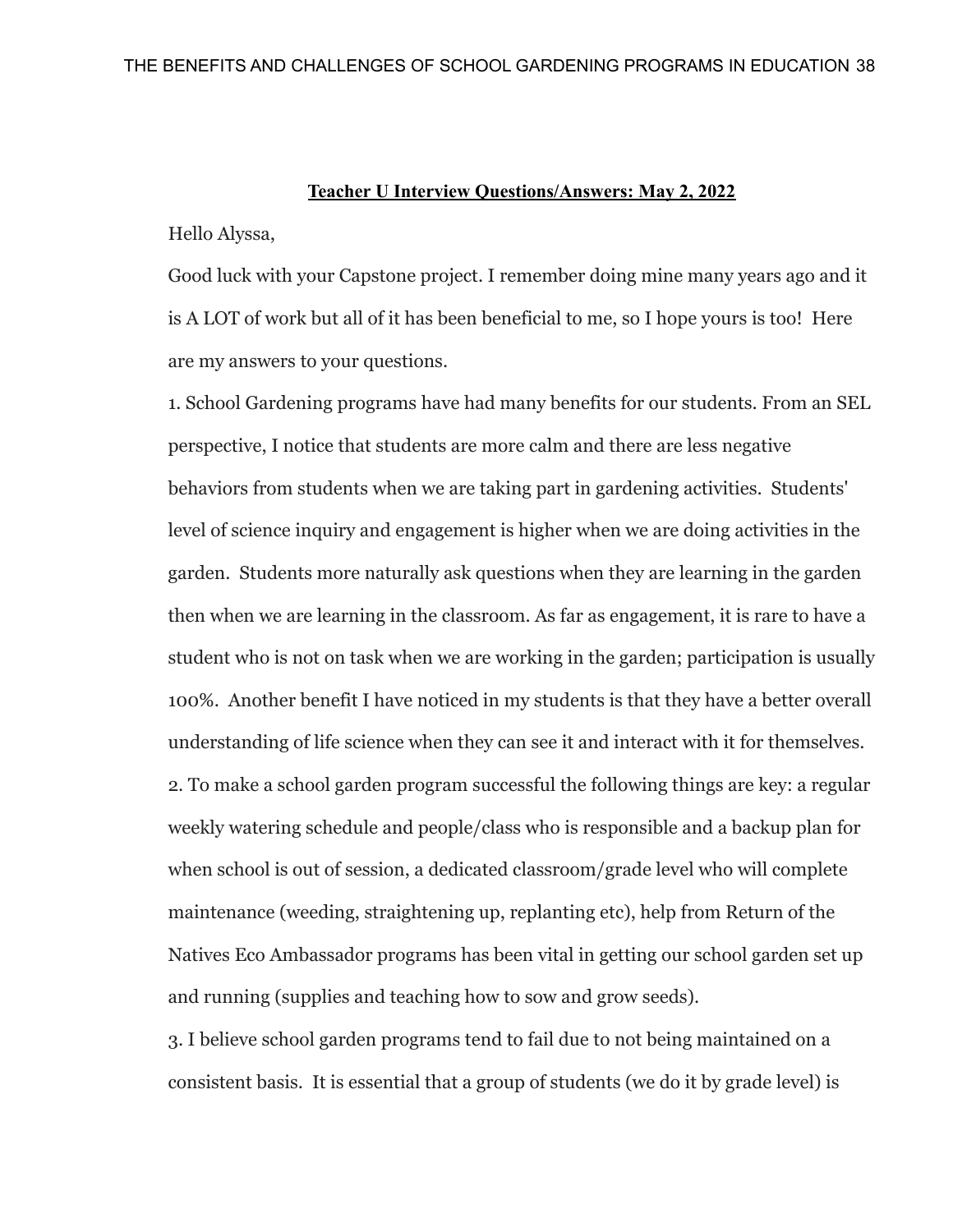#### **Teacher U Interview Questions/Answers: May 2, 2022**

Hello Alyssa,

Good luck with your Capstone project. I remember doing mine many years ago and it is A LOT of work but all of it has been beneficial to me, so I hope yours is too! Here are my answers to your questions.

1. School Gardening programs have had many benefits for our students. From an SEL perspective, I notice that students are more calm and there are less negative behaviors from students when we are taking part in gardening activities. Students' level of science inquiry and engagement is higher when we are doing activities in the garden. Students more naturally ask questions when they are learning in the garden then when we are learning in the classroom. As far as engagement, it is rare to have a student who is not on task when we are working in the garden; participation is usually 100%. Another benefit I have noticed in my students is that they have a better overall understanding of life science when they can see it and interact with it for themselves. 2. To make a school garden program successful the following things are key: a regular weekly watering schedule and people/class who is responsible and a backup plan for when school is out of session, a dedicated classroom/grade level who will complete maintenance (weeding, straightening up, replanting etc), help from Return of the Natives Eco Ambassador programs has been vital in getting our school garden set up and running (supplies and teaching how to sow and grow seeds).

3. I believe school garden programs tend to fail due to not being maintained on a consistent basis. It is essential that a group of students (we do it by grade level) is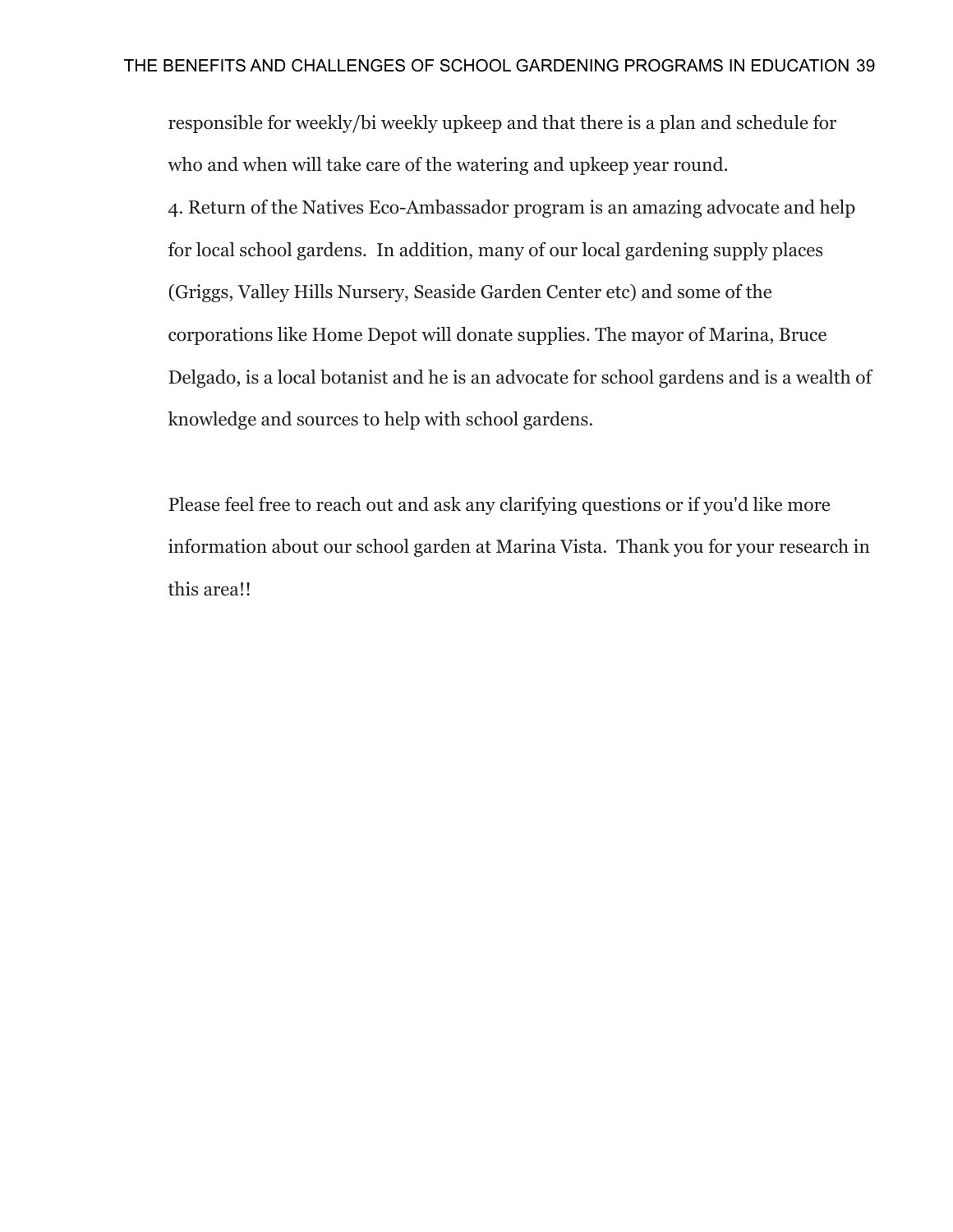responsible for weekly/bi weekly upkeep and that there is a plan and schedule for who and when will take care of the watering and upkeep year round. 4. Return of the Natives Eco-Ambassador program is an amazing advocate and help for local school gardens. In addition, many of our local gardening supply places (Griggs, Valley Hills Nursery, Seaside Garden Center etc) and some of the corporations like Home Depot will donate supplies. The mayor of Marina, Bruce Delgado, is a local botanist and he is an advocate for school gardens and is a wealth of knowledge and sources to help with school gardens.

Please feel free to reach out and ask any clarifying questions or if you'd like more information about our school garden at Marina Vista. Thank you for your research in this area!!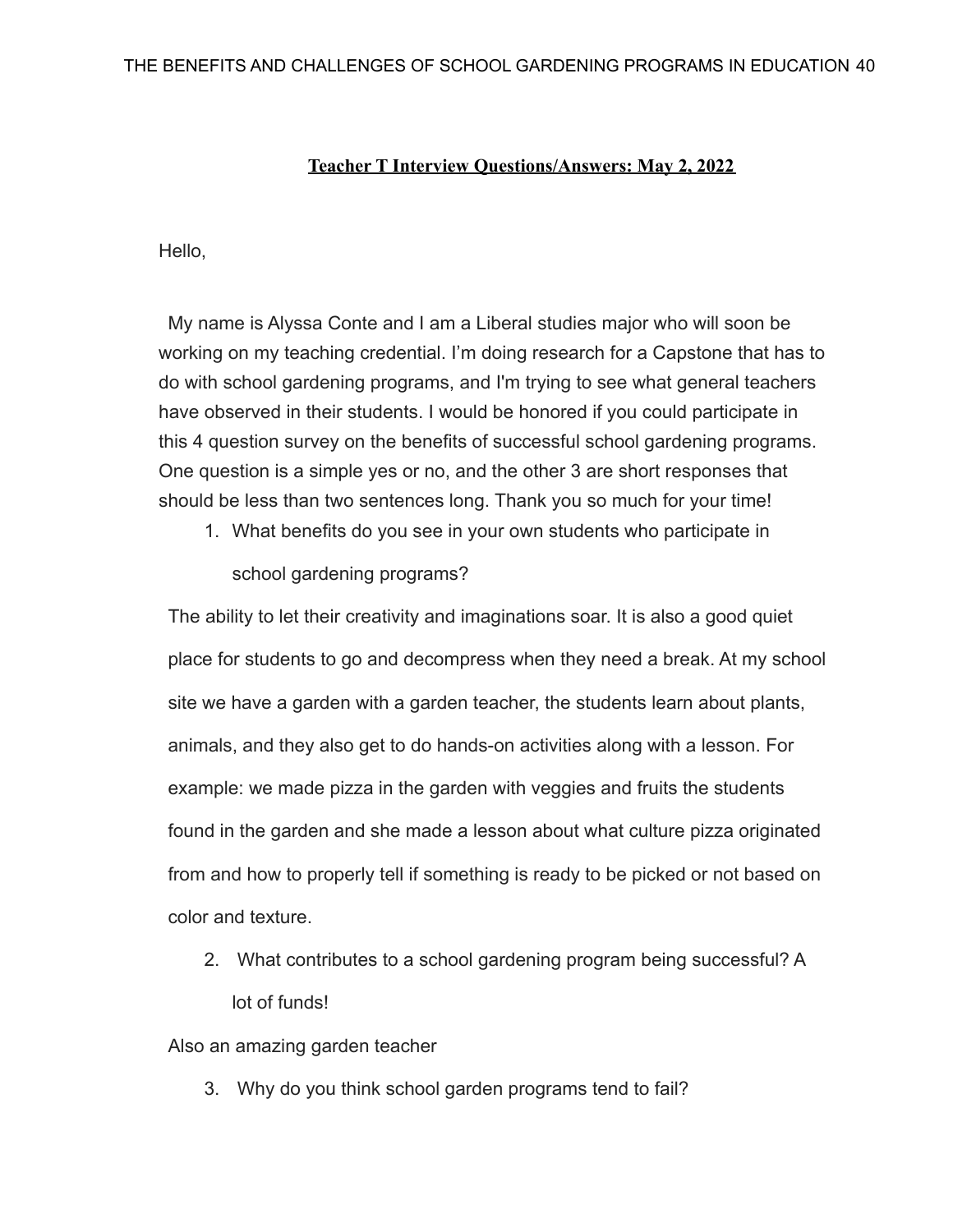### **Teacher T Interview Questions/Answers: May 2, 2022**

Hello,

My name is Alyssa Conte and I am a Liberal studies major who will soon be working on my teaching credential. I'm doing research for a Capstone that has to do with school gardening programs, and I'm trying to see what general teachers have observed in their students. I would be honored if you could participate in this 4 question survey on the benefits of successful school gardening programs. One question is a simple yes or no, and the other 3 are short responses that should be less than two sentences long. Thank you so much for your time!

1. What benefits do you see in your own students who participate in

school gardening programs?

The ability to let their creativity and imaginations soar. It is also a good quiet place for students to go and decompress when they need a break. At my school site we have a garden with a garden teacher, the students learn about plants, animals, and they also get to do hands-on activities along with a lesson. For example: we made pizza in the garden with veggies and fruits the students found in the garden and she made a lesson about what culture pizza originated from and how to properly tell if something is ready to be picked or not based on color and texture.

2. What contributes to a school gardening program being successful? A lot of funds!

Also an amazing garden teacher

3. Why do you think school garden programs tend to fail?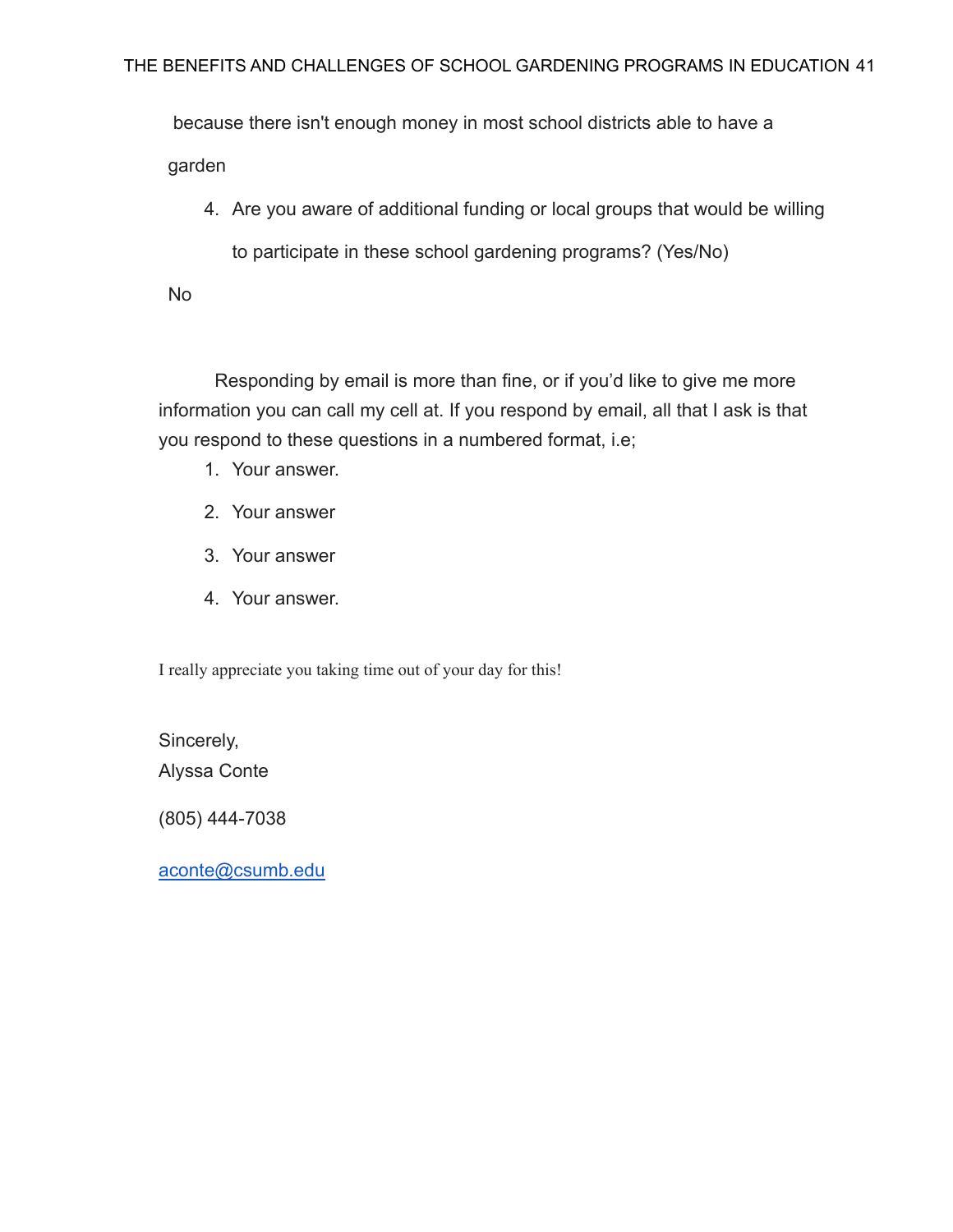because there isn't enough money in most school districts able to have a garden

4. Are you aware of additional funding or local groups that would be willing to participate in these school gardening programs? (Yes/No)

No

Responding by email is more than fine, or if you'd like to give me more information you can call my cell at. If you respond by email, all that I ask is that you respond to these questions in a numbered format, i.e;

- 1. Your answer.
- 2. Your answer
- 3. Your answer
- 4. Your answer.

I really appreciate you taking time out of your day for this!

Sincerely, Alyssa Conte

(805) 444-7038

[aconte@csumb.edu](mailto:aconte@csumb.edu)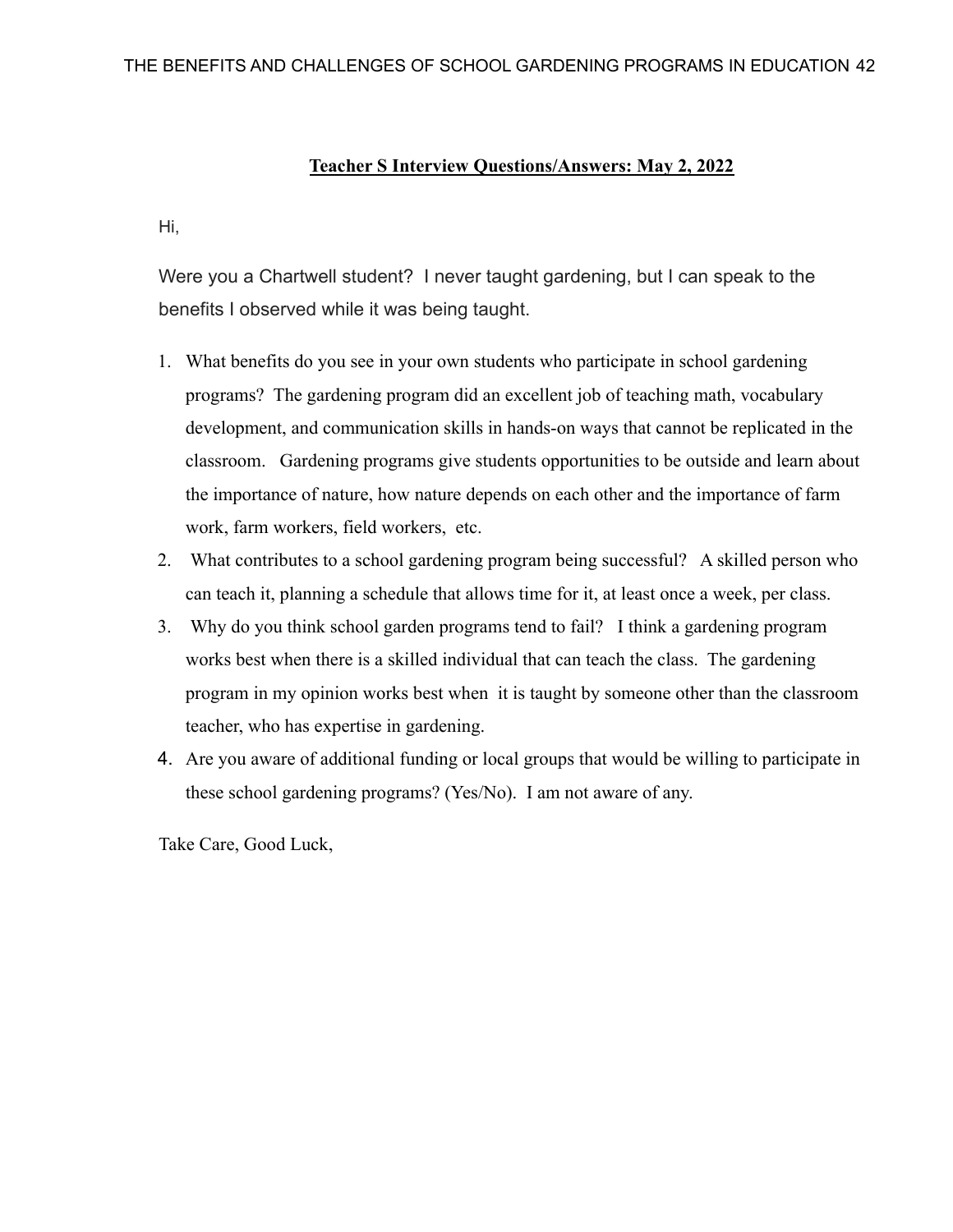#### **Teacher S Interview Questions/Answers: May 2, 2022**

Hi,

Were you a Chartwell student? I never taught gardening, but I can speak to the benefits I observed while it was being taught.

- 1. What benefits do you see in your own students who participate in school gardening programs? The gardening program did an excellent job of teaching math, vocabulary development, and communication skills in hands-on ways that cannot be replicated in the classroom. Gardening programs give students opportunities to be outside and learn about the importance of nature, how nature depends on each other and the importance of farm work, farm workers, field workers, etc.
- 2. What contributes to a school gardening program being successful? A skilled person who can teach it, planning a schedule that allows time for it, at least once a week, per class.
- 3. Why do you think school garden programs tend to fail? I think a gardening program works best when there is a skilled individual that can teach the class. The gardening program in my opinion works best when it is taught by someone other than the classroom teacher, who has expertise in gardening.
- 4. Are you aware of additional funding or local groups that would be willing to participate in these school gardening programs? (Yes/No). I am not aware of any.

Take Care, Good Luck,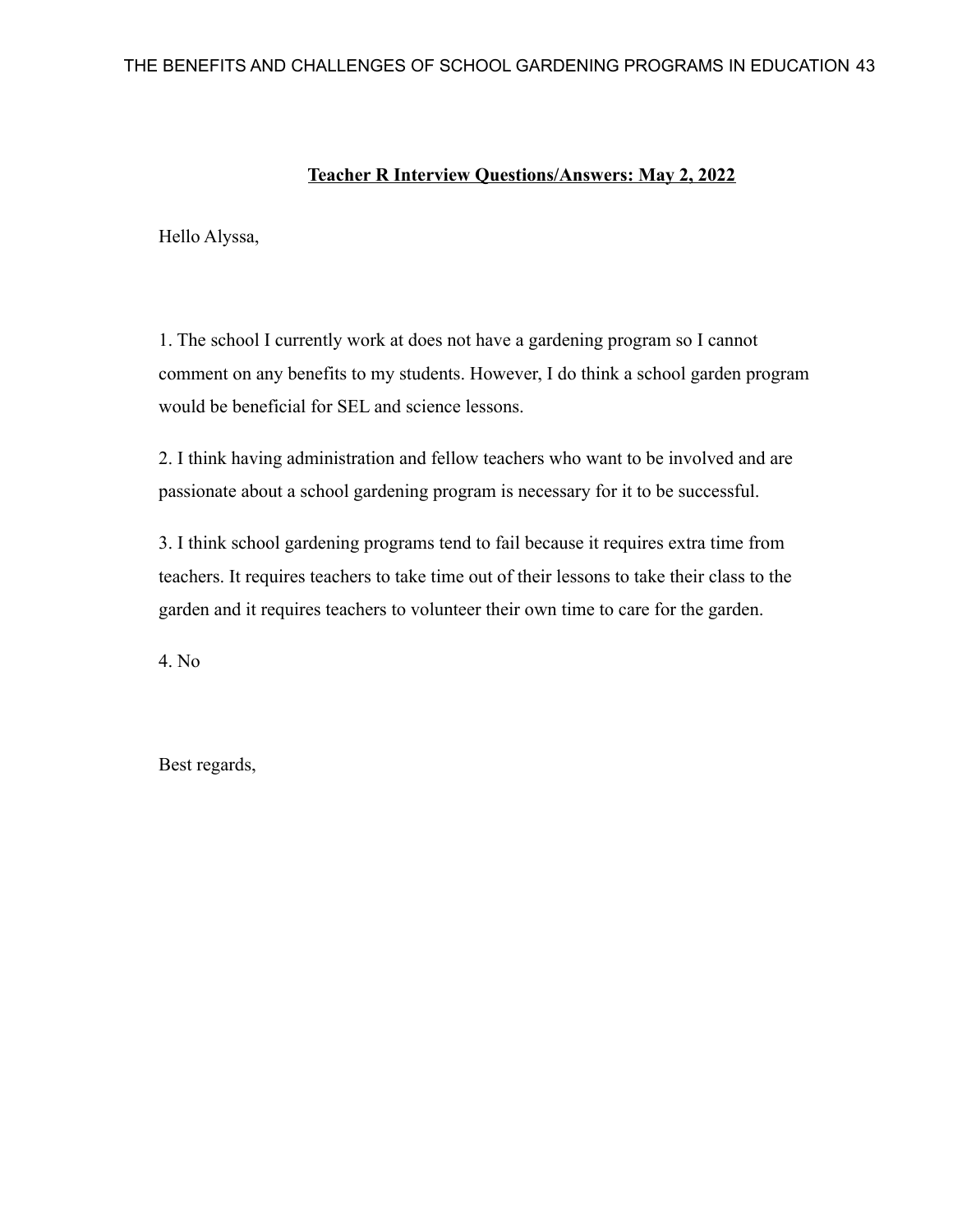### **Teacher R Interview Questions/Answers: May 2, 2022**

Hello Alyssa,

1. The school I currently work at does not have a gardening program so I cannot comment on any benefits to my students. However, I do think a school garden program would be beneficial for SEL and science lessons.

2. I think having administration and fellow teachers who want to be involved and are passionate about a school gardening program is necessary for it to be successful.

3. I think school gardening programs tend to fail because it requires extra time from teachers. It requires teachers to take time out of their lessons to take their class to the garden and it requires teachers to volunteer their own time to care for the garden.

4. No

Best regards,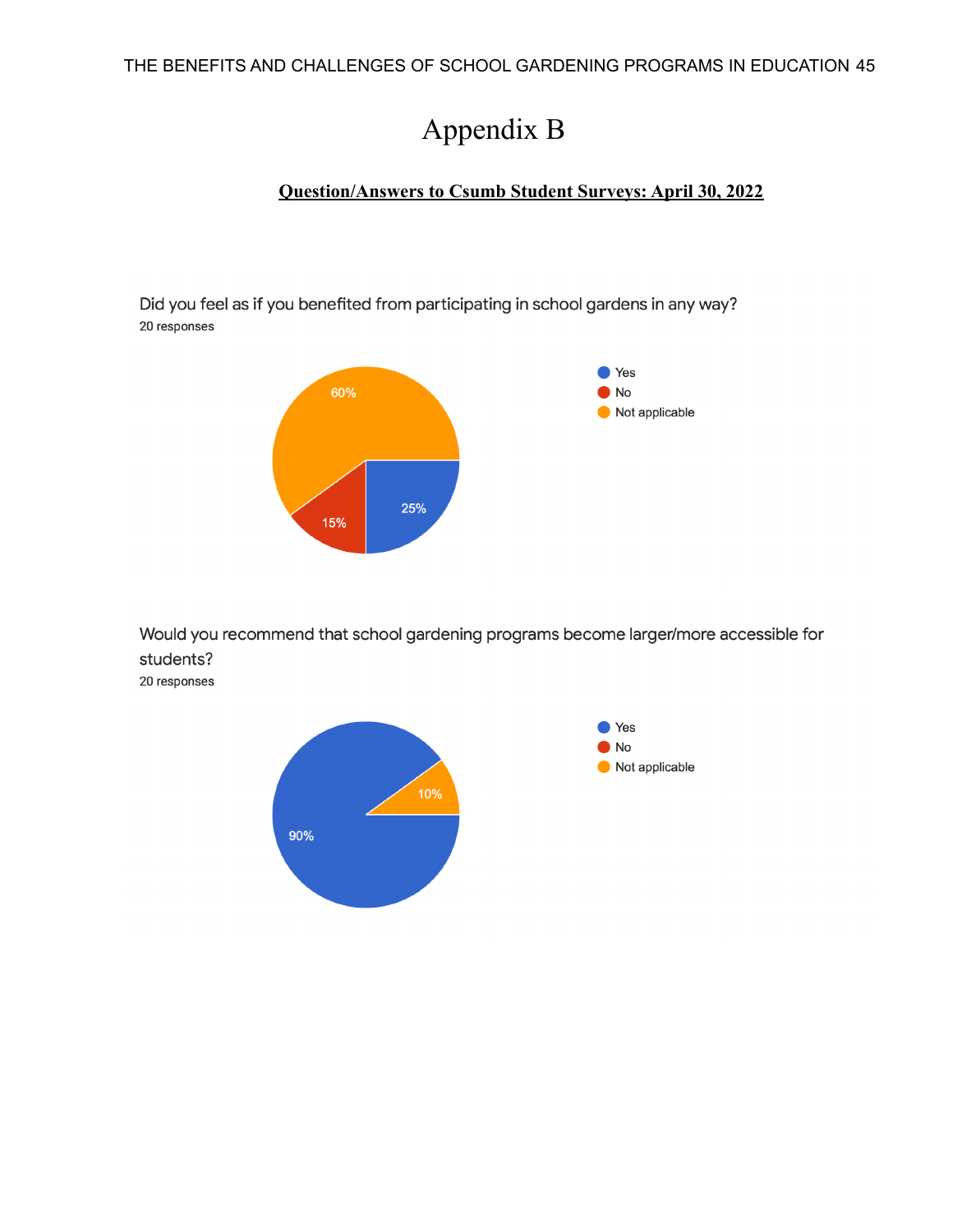# Appendix B

### **Question/Answers to Csumb Student Surveys: April 30, 2022**

Did you feel as if you benefited from participating in school gardens in any way? 20 responses



Would you recommend that school gardening programs become larger/more accessible for students?

20 responses